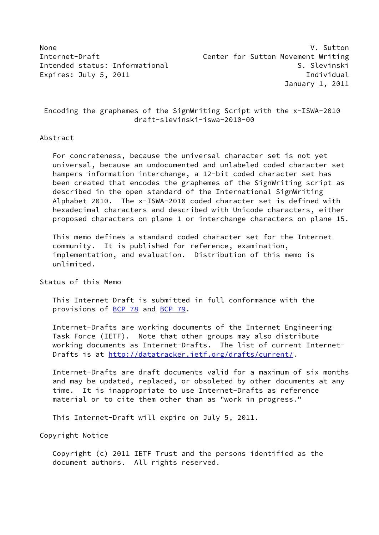None V. Sutton Internet-Draft **Center for Sutton Movement Writing** Intended status: Informational S. Slevinski Expires: July 5, 2011 **Individual** January 1, 2011

 Encoding the graphemes of the SignWriting Script with the x-ISWA-2010 draft-slevinski-iswa-2010-00

#### Abstract

 For concreteness, because the universal character set is not yet universal, because an undocumented and unlabeled coded character set hampers information interchange, a 12-bit coded character set has been created that encodes the graphemes of the SignWriting script as described in the open standard of the International SignWriting Alphabet 2010. The x-ISWA-2010 coded character set is defined with hexadecimal characters and described with Unicode characters, either proposed characters on plane 1 or interchange characters on plane 15.

 This memo defines a standard coded character set for the Internet community. It is published for reference, examination, implementation, and evaluation. Distribution of this memo is unlimited.

#### Status of this Memo

 This Internet-Draft is submitted in full conformance with the provisions of [BCP 78](https://datatracker.ietf.org/doc/pdf/bcp78) and [BCP 79](https://datatracker.ietf.org/doc/pdf/bcp79).

 Internet-Drafts are working documents of the Internet Engineering Task Force (IETF). Note that other groups may also distribute working documents as Internet-Drafts. The list of current Internet- Drafts is at<http://datatracker.ietf.org/drafts/current/>.

 Internet-Drafts are draft documents valid for a maximum of six months and may be updated, replaced, or obsoleted by other documents at any time. It is inappropriate to use Internet-Drafts as reference material or to cite them other than as "work in progress."

This Internet-Draft will expire on July 5, 2011.

Copyright Notice

 Copyright (c) 2011 IETF Trust and the persons identified as the document authors. All rights reserved.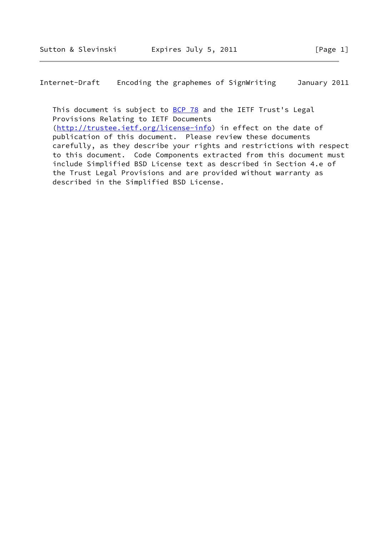Internet-Draft Encoding the graphemes of SignWriting January 2011

This document is subject to **[BCP 78](https://datatracker.ietf.org/doc/pdf/bcp78)** and the IETF Trust's Legal Provisions Relating to IETF Documents [\(http://trustee.ietf.org/license-info](http://trustee.ietf.org/license-info)) in effect on the date of publication of this document. Please review these documents carefully, as they describe your rights and restrictions with respect to this document. Code Components extracted from this document must include Simplified BSD License text as described in Section 4.e of the Trust Legal Provisions and are provided without warranty as described in the Simplified BSD License.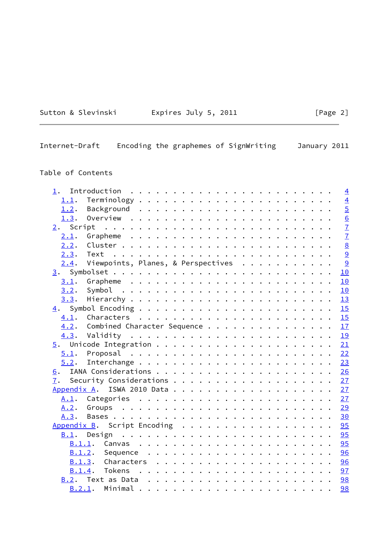## Expires July 5, 2011  $[Page 2]$

Internet-Draft Encoding the graphemes of SignWriting January 2011

## Table of Contents

| 1.     |                                    |  |  |  |  |  |  |  |  |  |  | $\overline{4}$  |
|--------|------------------------------------|--|--|--|--|--|--|--|--|--|--|-----------------|
| 1.1.   |                                    |  |  |  |  |  |  |  |  |  |  | $\overline{4}$  |
| 1.2.   |                                    |  |  |  |  |  |  |  |  |  |  | $\overline{5}$  |
| 1.3.   |                                    |  |  |  |  |  |  |  |  |  |  | $\underline{6}$ |
|        |                                    |  |  |  |  |  |  |  |  |  |  | $\overline{1}$  |
| 2.1.   |                                    |  |  |  |  |  |  |  |  |  |  | $\overline{1}$  |
| 2.2.   |                                    |  |  |  |  |  |  |  |  |  |  | $\underline{8}$ |
| 2.3.   | Text                               |  |  |  |  |  |  |  |  |  |  | $\overline{9}$  |
| 2.4.   | Viewpoints, Planes, & Perspectives |  |  |  |  |  |  |  |  |  |  | 9               |
|        |                                    |  |  |  |  |  |  |  |  |  |  | 10              |
| 3.1.   |                                    |  |  |  |  |  |  |  |  |  |  | 10              |
| 3.2.   |                                    |  |  |  |  |  |  |  |  |  |  | 10              |
| 3.3.   |                                    |  |  |  |  |  |  |  |  |  |  | 13              |
|        |                                    |  |  |  |  |  |  |  |  |  |  | 15              |
| 4.1.   |                                    |  |  |  |  |  |  |  |  |  |  | 15              |
| 4.2.   | Combined Character Sequence        |  |  |  |  |  |  |  |  |  |  | 17              |
|        |                                    |  |  |  |  |  |  |  |  |  |  | 19              |
|        |                                    |  |  |  |  |  |  |  |  |  |  | 21              |
| 5.1.   |                                    |  |  |  |  |  |  |  |  |  |  | 22              |
| 5.2.   |                                    |  |  |  |  |  |  |  |  |  |  | 23              |
|        |                                    |  |  |  |  |  |  |  |  |  |  | 26              |
| 7.     |                                    |  |  |  |  |  |  |  |  |  |  | 27              |
|        |                                    |  |  |  |  |  |  |  |  |  |  | 27              |
|        |                                    |  |  |  |  |  |  |  |  |  |  | 27              |
| A.2.   |                                    |  |  |  |  |  |  |  |  |  |  | 29              |
| A.3.   |                                    |  |  |  |  |  |  |  |  |  |  | 30              |
|        | Appendix B. Script Encoding        |  |  |  |  |  |  |  |  |  |  | 95              |
| B.1.   |                                    |  |  |  |  |  |  |  |  |  |  | 95              |
|        | B.1.1.                             |  |  |  |  |  |  |  |  |  |  | 95              |
| B.1.2. |                                    |  |  |  |  |  |  |  |  |  |  | 96              |
| B.1.3. |                                    |  |  |  |  |  |  |  |  |  |  | 96              |
| B.1.4. |                                    |  |  |  |  |  |  |  |  |  |  | 97              |
|        |                                    |  |  |  |  |  |  |  |  |  |  | 98              |
|        | B.2.1.                             |  |  |  |  |  |  |  |  |  |  | 98              |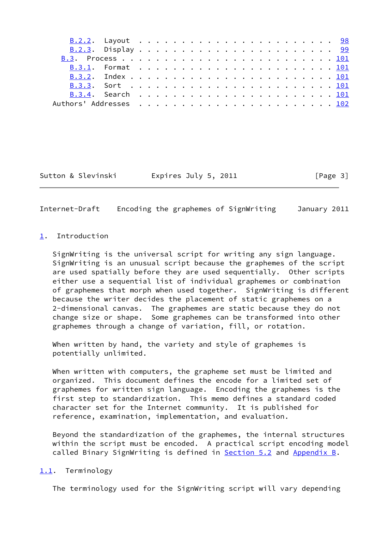Sutton & Slevinski Fxpires July 5, 2011 [Page 3]

<span id="page-3-1"></span>Internet-Draft Encoding the graphemes of SignWriting January 2011

#### <span id="page-3-0"></span>[1](#page-3-0). Introduction

 SignWriting is the universal script for writing any sign language. SignWriting is an unusual script because the graphemes of the script are used spatially before they are used sequentially. Other scripts either use a sequential list of individual graphemes or combination of graphemes that morph when used together. SignWriting is different because the writer decides the placement of static graphemes on a 2-dimensional canvas. The graphemes are static because they do not change size or shape. Some graphemes can be transformed into other graphemes through a change of variation, fill, or rotation.

 When written by hand, the variety and style of graphemes is potentially unlimited.

 When written with computers, the grapheme set must be limited and organized. This document defines the encode for a limited set of graphemes for written sign language. Encoding the graphemes is the first step to standardization. This memo defines a standard coded character set for the Internet community. It is published for reference, examination, implementation, and evaluation.

 Beyond the standardization of the graphemes, the internal structures within the script must be encoded. A practical script encoding model called Binary SignWriting is defined in [Section 5.2](#page-25-0) and [Appendix B](#page-106-0).

#### <span id="page-3-2"></span>[1.1](#page-3-2). Terminology

The terminology used for the SignWriting script will vary depending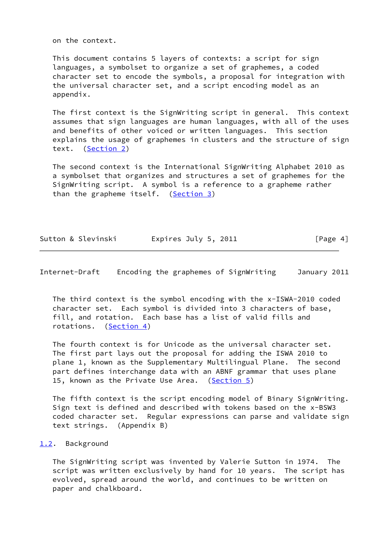on the context.

 This document contains 5 layers of contexts: a script for sign languages, a symbolset to organize a set of graphemes, a coded character set to encode the symbols, a proposal for integration with the universal character set, and a script encoding model as an appendix.

 The first context is the SignWriting script in general. This context assumes that sign languages are human languages, with all of the uses and benefits of other voiced or written languages. This section explains the usage of graphemes in clusters and the structure of sign text. [\(Section 2](#page-7-0))

 The second context is the International SignWriting Alphabet 2010 as a symbolset that organizes and structures a set of graphemes for the SignWriting script. A symbol is a reference to a grapheme rather than the grapheme itself. ([Section 3\)](#page-10-0)

| Sutton & Slevinski |                      |          |
|--------------------|----------------------|----------|
|                    | Expires July 5, 2011 | [Page 4] |

<span id="page-4-1"></span>Internet-Draft Encoding the graphemes of SignWriting January 2011

 The third context is the symbol encoding with the x-ISWA-2010 coded character set. Each symbol is divided into 3 characters of base, fill, and rotation. Each base has a list of valid fills and rotations. [\(Section 4](#page-16-0))

 The fourth context is for Unicode as the universal character set. The first part lays out the proposal for adding the ISWA 2010 to plane 1, known as the Supplementary Multilingual Plane. The second part defines interchange data with an ABNF grammar that uses plane 15, known as the Private Use Area. [\(Section 5](#page-23-0))

 The fifth context is the script encoding model of Binary SignWriting. Sign text is defined and described with tokens based on the x-BSW3 coded character set. Regular expressions can parse and validate sign text strings. (Appendix B)

#### <span id="page-4-0"></span>[1.2](#page-4-0). Background

 The SignWriting script was invented by Valerie Sutton in 1974. The script was written exclusively by hand for 10 years. The script has evolved, spread around the world, and continues to be written on paper and chalkboard.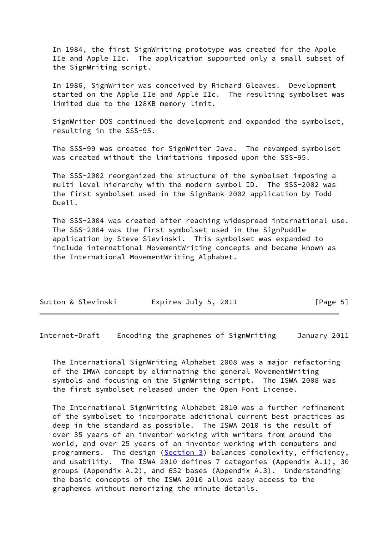In 1984, the first SignWriting prototype was created for the Apple IIe and Apple IIc. The application supported only a small subset of the SignWriting script.

 In 1986, SignWriter was conceived by Richard Gleaves. Development started on the Apple IIe and Apple IIc. The resulting symbolset was limited due to the 128KB memory limit.

 SignWriter DOS continued the development and expanded the symbolset, resulting in the SSS-95.

 The SSS-99 was created for SignWriter Java. The revamped symbolset was created without the limitations imposed upon the SSS-95.

 The SSS-2002 reorganized the structure of the symbolset imposing a multi level hierarchy with the modern symbol ID. The SSS-2002 was the first symbolset used in the SignBank 2002 application by Todd Duell.

 The SSS-2004 was created after reaching widespread international use. The SSS-2004 was the first symbolset used in the SignPuddle application by Steve Slevinski. This symbolset was expanded to include international MovementWriting concepts and became known as the International MovementWriting Alphabet.

| Expires July 5, 2011<br>Sutton & Slevinski | [Page 5] |
|--------------------------------------------|----------|
|--------------------------------------------|----------|

<span id="page-5-0"></span>Internet-Draft Encoding the graphemes of SignWriting January 2011

 The International SignWriting Alphabet 2008 was a major refactoring of the IMWA concept by eliminating the general MovementWriting symbols and focusing on the SignWriting script. The ISWA 2008 was the first symbolset released under the Open Font License.

 The International SignWriting Alphabet 2010 was a further refinement of the symbolset to incorporate additional current best practices as deep in the standard as possible. The ISWA 2010 is the result of over 35 years of an inventor working with writers from around the world, and over 25 years of an inventor working with computers and programmers. The design [\(Section 3\)](#page-10-0) balances complexity, efficiency, and usability. The ISWA 2010 defines 7 categories (Appendix A.1), 30 groups (Appendix A.2), and 652 bases (Appendix A.3). Understanding the basic concepts of the ISWA 2010 allows easy access to the graphemes without memorizing the minute details.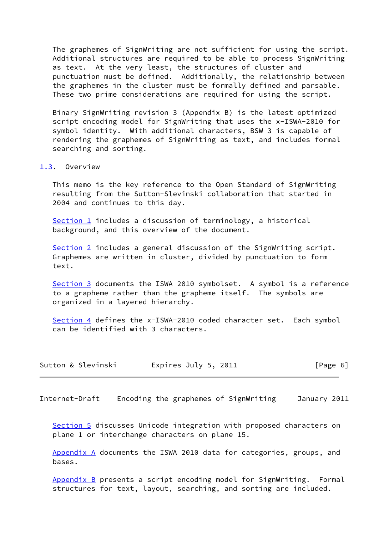The graphemes of SignWriting are not sufficient for using the script. Additional structures are required to be able to process SignWriting as text. At the very least, the structures of cluster and punctuation must be defined. Additionally, the relationship between the graphemes in the cluster must be formally defined and parsable. These two prime considerations are required for using the script.

 Binary SignWriting revision 3 (Appendix B) is the latest optimized script encoding model for SignWriting that uses the x-ISWA-2010 for symbol identity. With additional characters, BSW 3 is capable of rendering the graphemes of SignWriting as text, and includes formal searching and sorting.

#### <span id="page-6-0"></span>[1.3](#page-6-0). Overview

 This memo is the key reference to the Open Standard of SignWriting resulting from the Sutton-Slevinski collaboration that started in 2004 and continues to this day.

[Section 1](#page-3-0) includes a discussion of terminology, a historical background, and this overview of the document.

[Section 2](#page-7-0) includes a general discussion of the SignWriting script. Graphemes are written in cluster, divided by punctuation to form text.

 [Section 3](#page-10-0) documents the ISWA 2010 symbolset. A symbol is a reference to a grapheme rather than the grapheme itself. The symbols are organized in a layered hierarchy.

 [Section 4](#page-16-0) defines the x-ISWA-2010 coded character set. Each symbol can be identified with 3 characters.

| Sutton & Slevinski | Expires July 5, 2011 | [Page 6] |
|--------------------|----------------------|----------|
|--------------------|----------------------|----------|

<span id="page-6-1"></span>Internet-Draft Encoding the graphemes of SignWriting January 2011

[Section 5](#page-23-0) discusses Unicode integration with proposed characters on plane 1 or interchange characters on plane 15.

 [Appendix A](#page-29-2) documents the ISWA 2010 data for categories, groups, and bases.

[Appendix B](#page-106-0) presents a script encoding model for SignWriting. Formal structures for text, layout, searching, and sorting are included.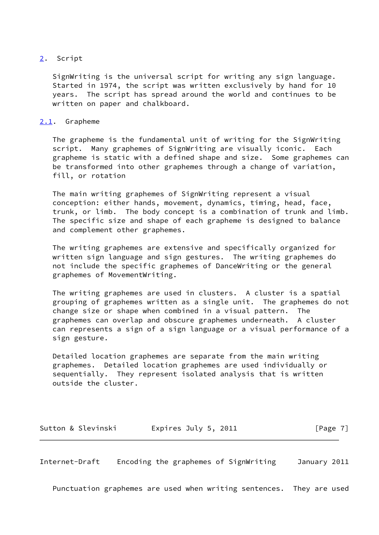#### <span id="page-7-0"></span>[2](#page-7-0). Script

 SignWriting is the universal script for writing any sign language. Started in 1974, the script was written exclusively by hand for 10 years. The script has spread around the world and continues to be written on paper and chalkboard.

#### <span id="page-7-1"></span>[2.1](#page-7-1). Grapheme

 The grapheme is the fundamental unit of writing for the SignWriting script. Many graphemes of SignWriting are visually iconic. Each grapheme is static with a defined shape and size. Some graphemes can be transformed into other graphemes through a change of variation, fill, or rotation

 The main writing graphemes of SignWriting represent a visual conception: either hands, movement, dynamics, timing, head, face, trunk, or limb. The body concept is a combination of trunk and limb. The specific size and shape of each grapheme is designed to balance and complement other graphemes.

 The writing graphemes are extensive and specifically organized for written sign language and sign gestures. The writing graphemes do not include the specific graphemes of DanceWriting or the general graphemes of MovementWriting.

 The writing graphemes are used in clusters. A cluster is a spatial grouping of graphemes written as a single unit. The graphemes do not change size or shape when combined in a visual pattern. The graphemes can overlap and obscure graphemes underneath. A cluster can represents a sign of a sign language or a visual performance of a sign gesture.

 Detailed location graphemes are separate from the main writing graphemes. Detailed location graphemes are used individually or sequentially. They represent isolated analysis that is written outside the cluster.

| Expires July 5, 2011<br>Sutton & Slevinski | [Page 7] |
|--------------------------------------------|----------|
|--------------------------------------------|----------|

<span id="page-7-2"></span>Internet-Draft Encoding the graphemes of SignWriting January 2011

Punctuation graphemes are used when writing sentences. They are used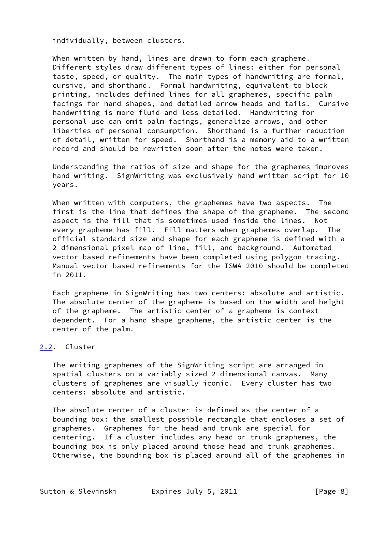individually, between clusters.

 When written by hand, lines are drawn to form each grapheme. Different styles draw different types of lines: either for personal taste, speed, or quality. The main types of handwriting are formal, cursive, and shorthand. Formal handwriting, equivalent to block printing, includes defined lines for all graphemes, specific palm facings for hand shapes, and detailed arrow heads and tails. Cursive handwriting is more fluid and less detailed. Handwriting for personal use can omit palm facings, generalize arrows, and other liberties of personal consumption. Shorthand is a further reduction of detail, written for speed. Shorthand is a memory aid to a written record and should be rewritten soon after the notes were taken.

 Understanding the ratios of size and shape for the graphemes improves hand writing. SignWriting was exclusively hand written script for 10 years.

 When written with computers, the graphemes have two aspects. The first is the line that defines the shape of the grapheme. The second aspect is the fill that is sometimes used inside the lines. Not every grapheme has fill. Fill matters when graphemes overlap. The official standard size and shape for each grapheme is defined with a 2 dimensional pixel map of line, fill, and background. Automated vector based refinements have been completed using polygon tracing. Manual vector based refinements for the ISWA 2010 should be completed in 2011.

 Each grapheme in SignWriting has two centers: absolute and artistic. The absolute center of the grapheme is based on the width and height of the grapheme. The artistic center of a grapheme is context dependent. For a hand shape grapheme, the artistic center is the center of the palm.

#### <span id="page-8-0"></span>[2.2](#page-8-0). Cluster

 The writing graphemes of the SignWriting script are arranged in spatial clusters on a variably sized 2 dimensional canvas. Many clusters of graphemes are visually iconic. Every cluster has two centers: absolute and artistic.

 The absolute center of a cluster is defined as the center of a bounding box: the smallest possible rectangle that encloses a set of graphemes. Graphemes for the head and trunk are special for centering. If a cluster includes any head or trunk graphemes, the bounding box is only placed around those head and trunk graphemes. Otherwise, the bounding box is placed around all of the graphemes in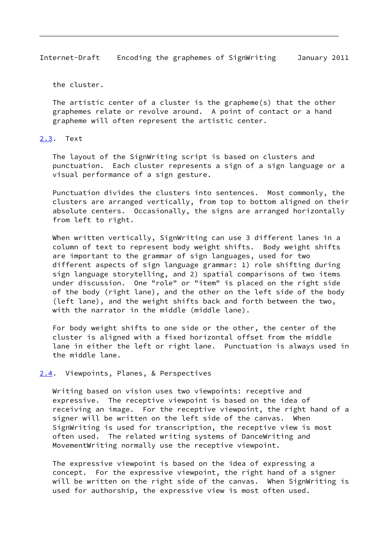<span id="page-9-1"></span>Internet-Draft Encoding the graphemes of SignWriting January 2011

the cluster.

 The artistic center of a cluster is the grapheme(s) that the other graphemes relate or revolve around. A point of contact or a hand grapheme will often represent the artistic center.

#### <span id="page-9-0"></span>[2.3](#page-9-0). Text

 The layout of the SignWriting script is based on clusters and punctuation. Each cluster represents a sign of a sign language or a visual performance of a sign gesture.

 Punctuation divides the clusters into sentences. Most commonly, the clusters are arranged vertically, from top to bottom aligned on their absolute centers. Occasionally, the signs are arranged horizontally from left to right.

 When written vertically, SignWriting can use 3 different lanes in a column of text to represent body weight shifts. Body weight shifts are important to the grammar of sign languages, used for two different aspects of sign language grammar: 1) role shifting during sign language storytelling, and 2) spatial comparisons of two items under discussion. One "role" or "item" is placed on the right side of the body (right lane), and the other on the left side of the body (left lane), and the weight shifts back and forth between the two, with the narrator in the middle (middle lane).

 For body weight shifts to one side or the other, the center of the cluster is aligned with a fixed horizontal offset from the middle lane in either the left or right lane. Punctuation is always used in the middle lane.

#### <span id="page-9-2"></span>[2.4](#page-9-2). Viewpoints, Planes, & Perspectives

 Writing based on vision uses two viewpoints: receptive and expressive. The receptive viewpoint is based on the idea of receiving an image. For the receptive viewpoint, the right hand of a signer will be written on the left side of the canvas. When SignWriting is used for transcription, the receptive view is most often used. The related writing systems of DanceWriting and MovementWriting normally use the receptive viewpoint.

 The expressive viewpoint is based on the idea of expressing a concept. For the expressive viewpoint, the right hand of a signer will be written on the right side of the canvas. When SignWriting is used for authorship, the expressive view is most often used.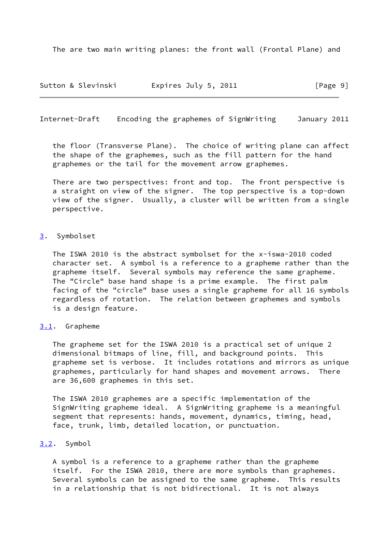The are two main writing planes: the front wall (Frontal Plane) and

Sutton & Slevinski Fxpires July 5, 2011 [Page 9]

<span id="page-10-1"></span>Internet-Draft Encoding the graphemes of SignWriting January 2011

 the floor (Transverse Plane). The choice of writing plane can affect the shape of the graphemes, such as the fill pattern for the hand graphemes or the tail for the movement arrow graphemes.

 There are two perspectives: front and top. The front perspective is a straight on view of the signer. The top perspective is a top-down view of the signer. Usually, a cluster will be written from a single perspective.

#### <span id="page-10-0"></span>[3](#page-10-0). Symbolset

 The ISWA 2010 is the abstract symbolset for the x-iswa-2010 coded character set. A symbol is a reference to a grapheme rather than the grapheme itself. Several symbols may reference the same grapheme. The "Circle" base hand shape is a prime example. The first palm facing of the "circle" base uses a single grapheme for all 16 symbols regardless of rotation. The relation between graphemes and symbols is a design feature.

#### <span id="page-10-2"></span>[3.1](#page-10-2). Grapheme

 The grapheme set for the ISWA 2010 is a practical set of unique 2 dimensional bitmaps of line, fill, and background points. This grapheme set is verbose. It includes rotations and mirrors as unique graphemes, particularly for hand shapes and movement arrows. There are 36,600 graphemes in this set.

 The ISWA 2010 graphemes are a specific implementation of the SignWriting grapheme ideal. A SignWriting grapheme is a meaningful segment that represents: hands, movement, dynamics, timing, head, face, trunk, limb, detailed location, or punctuation.

#### <span id="page-10-3"></span>[3.2](#page-10-3). Symbol

 A symbol is a reference to a grapheme rather than the grapheme itself. For the ISWA 2010, there are more symbols than graphemes. Several symbols can be assigned to the same grapheme. This results in a relationship that is not bidirectional. It is not always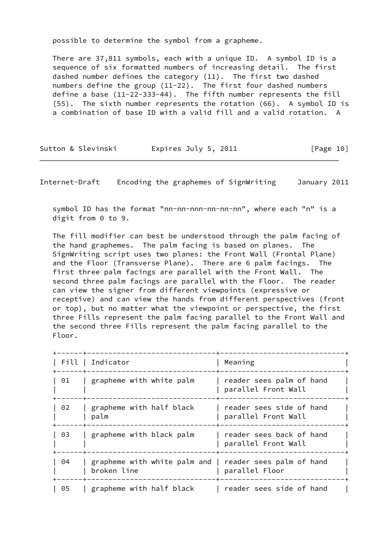possible to determine the symbol from a grapheme.

 There are 37,811 symbols, each with a unique ID. A symbol ID is a sequence of six formatted numbers of increasing detail. The first dashed number defines the category (11). The first two dashed numbers define the group (11-22). The first four dashed numbers define a base (11-22-333-44). The fifth number represents the fill (55). The sixth number represents the rotation (66). A symbol ID is a combination of base ID with a valid fill and a valid rotation. A

| Sutton & Slevinski | Expires July 5, 2011 | [Page 10] |
|--------------------|----------------------|-----------|
|--------------------|----------------------|-----------|

Internet-Draft Encoding the graphemes of SignWriting January 2011

symbol ID has the format "nn-nn-nnn-nn-nn-nn", where each "n" is a digit from 0 to 9.

 The fill modifier can best be understood through the palm facing of the hand graphemes. The palm facing is based on planes. The SignWriting script uses two planes: the Front Wall (Frontal Plane) and the Floor (Transverse Plane). There are 6 palm facings. The first three palm facings are parallel with the Front Wall. The second three palm facings are parallel with the Floor. The reader can view the signer from different viewpoints (expressive or receptive) and can view the hands from different perspectives (front or top), but no matter what the viewpoint or perspective, the first three Fills represent the palm facing parallel to the Front Wall and the second three Fills represent the palm facing parallel to the Floor.

| Fill | Indicator                                                              | Meaning                                         |
|------|------------------------------------------------------------------------|-------------------------------------------------|
| 01   | grapheme with white palm                                               | reader sees palm of hand<br>parallel Front Wall |
| 02   | grapheme with half black<br>palm                                       | reader sees side of hand<br>parallel Front Wall |
| 03   | grapheme with black palm                                               | reader sees back of hand<br>parallel Front Wall |
| 04   | grapheme with white palm and   reader sees palm of hand<br>broken line | parallel Floor                                  |
| 05   | grapheme with half black                                               | reader sees side of hand                        |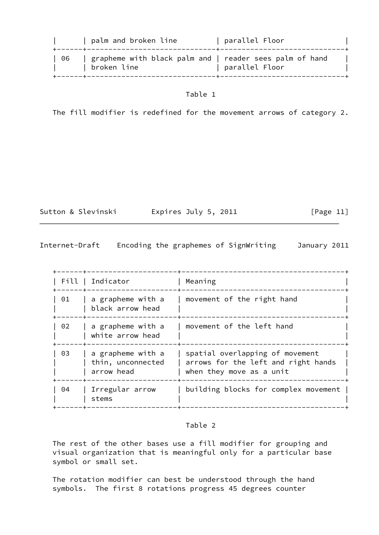|      | palm and broken line                                                   | parallel Floor » |  |
|------|------------------------------------------------------------------------|------------------|--|
| - 06 | grapheme with black palm and   reader sees palm of hand<br>broken line | parallel Floor   |  |

The fill modifier is redefined for the movement arrows of category 2.

Sutton & Slevinski Expires July 5, 2011 [Page 11]

Internet-Draft Encoding the graphemes of SignWriting January 2011

| Fill   Indicator |                                                      |                                                                                                    |  |  |  |
|------------------|------------------------------------------------------|----------------------------------------------------------------------------------------------------|--|--|--|
|                  |                                                      | Meaning                                                                                            |  |  |  |
| 01               | a grapheme with a<br>black arrow head                | movement of the right hand                                                                         |  |  |  |
| 02               | a grapheme with a<br>white arrow head                | movement of the left hand                                                                          |  |  |  |
| 03               | a grapheme with a<br>thin, unconnected<br>arrow head | spatial overlapping of movement<br>arrows for the left and right hands<br>when they move as a unit |  |  |  |
| 04               | Irregular arrow<br>stems                             | building blocks for complex movement                                                               |  |  |  |
|                  |                                                      |                                                                                                    |  |  |  |

## Table 2

 The rest of the other bases use a fill modifier for grouping and visual organization that is meaningful only for a particular base symbol or small set.

 The rotation modifier can best be understood through the hand symbols. The first 8 rotations progress 45 degrees counter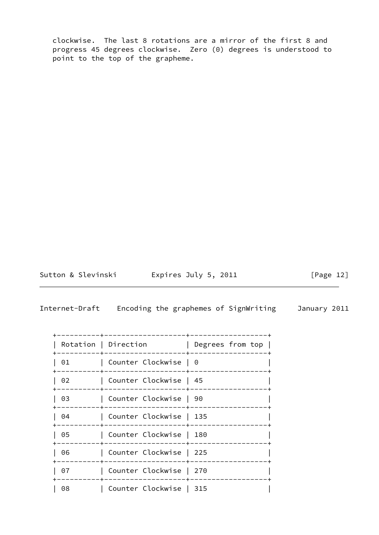clockwise. The last 8 rotations are a mirror of the first 8 and progress 45 degrees clockwise. Zero (0) degrees is understood to point to the top of the grapheme.

<span id="page-13-0"></span>

Sutton & Slevinski Expires July 5, 2011 [Page 12]

|    | Rotation   Direction    | Degrees from top |
|----|-------------------------|------------------|
| 01 | Counter Clockwise   0   |                  |
| 02 | Counter Clockwise   45  |                  |
| 03 | Counter Clockwise   90  |                  |
| 04 | Counter Clockwise   135 |                  |
| 05 | Counter Clockwise   180 |                  |
| 06 | Counter Clockwise   225 |                  |
| 07 | Counter Clockwise   270 |                  |
| 08 | Counter Clockwise   315 |                  |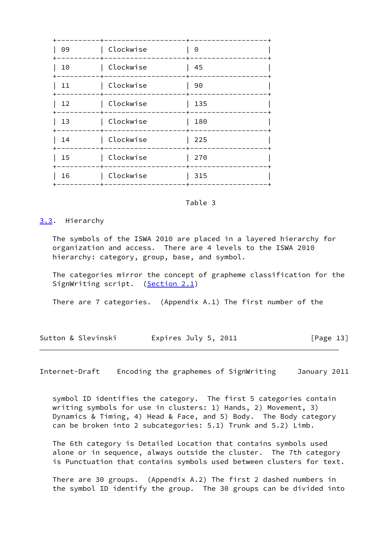| 09 | Clockwise | 0   |
|----|-----------|-----|
| 10 | Clockwise | 45  |
| 11 | Clockwise | 90  |
| 12 | Clockwise | 135 |
| 13 | Clockwise | 180 |
| 14 | Clockwise | 225 |
| 15 | Clockwise | 270 |
| 16 | Clockwise | 315 |
|    |           |     |

#### <span id="page-14-0"></span>[3.3](#page-14-0). Hierarchy

 The symbols of the ISWA 2010 are placed in a layered hierarchy for organization and access. There are 4 levels to the ISWA 2010 hierarchy: category, group, base, and symbol.

 The categories mirror the concept of grapheme classification for the SignWriting script. [\(Section 2.1](#page-7-1))

There are 7 categories. (Appendix A.1) The first number of the

Sutton & Slevinski Fxpires July 5, 2011 [Page 13]

Internet-Draft Encoding the graphemes of SignWriting January 2011

 symbol ID identifies the category. The first 5 categories contain writing symbols for use in clusters: 1) Hands, 2) Movement, 3) Dynamics & Timing, 4) Head & Face, and 5) Body. The Body category can be broken into 2 subcategories: 5.1) Trunk and 5.2) Limb.

 The 6th category is Detailed Location that contains symbols used alone or in sequence, always outside the cluster. The 7th category is Punctuation that contains symbols used between clusters for text.

 There are 30 groups. (Appendix A.2) The first 2 dashed numbers in the symbol ID identify the group. The 30 groups can be divided into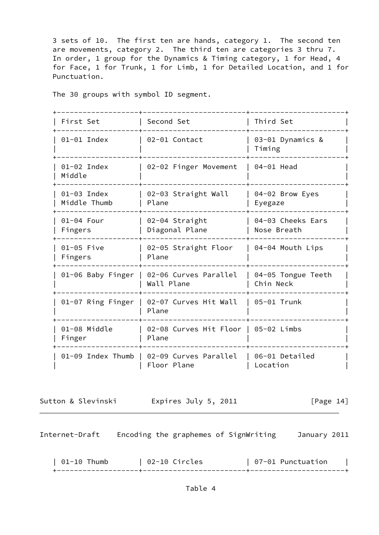3 sets of 10. The first ten are hands, category 1. The second ten are movements, category 2. The third ten are categories 3 thru 7. In order, 1 group for the Dynamics & Timing category, 1 for Head, 4 for Face, 1 for Trunk, 1 for Limb, 1 for Detailed Location, and 1 for Punctuation.

The 30 groups with symbol ID segment.

| First Set                   | Second Set                                    | Third Set                        |
|-----------------------------|-----------------------------------------------|----------------------------------|
| 01-01 Index                 | 02-01 Contact                                 | 03-01 Dynamics &<br>Timing       |
| 01-02 Index<br>Middle       | 02-02 Finger Movement                         | 04-01 Head                       |
| 01-03 Index<br>Middle Thumb | 02-03 Straight Wall<br>Plane                  | 04-02 Brow Eyes<br>Eyegaze       |
| 01-04 Four<br>Fingers       | 02-04 Straight<br>Diagonal Plane              | 04-03 Cheeks Ears<br>Nose Breath |
| 01-05 Five<br>Fingers       | 02-05 Straight Floor<br>Plane                 | 04-04 Mouth Lips                 |
| 01-06 Baby Finger           | 02-06 Curves Parallel<br>Wall Plane           | 04-05 Tongue Teeth<br>Chin Neck  |
| 01-07 Ring Finger           | 02-07 Curves Hit Wall<br>Plane                | 05-01 Trunk                      |
| 01-08 Middle<br>Finger      | 02-08 Curves Hit Floor   05-02 Limbs<br>Plane |                                  |
| 01-09 Index Thumb           | 02-09 Curves Parallel<br>Floor Plane          | 06-01 Detailed<br>Location       |

<span id="page-15-0"></span>

Sutton & Slevinski Fxpires July 5, 2011 [Page 14]

| 01-10 Thumb | 02-10 Circles                                                                                                   | 07-01 Punctuation |  |
|-------------|-----------------------------------------------------------------------------------------------------------------|-------------------|--|
|             | the contract of the contract of the contract of the contract of the contract of the contract of the contract of |                   |  |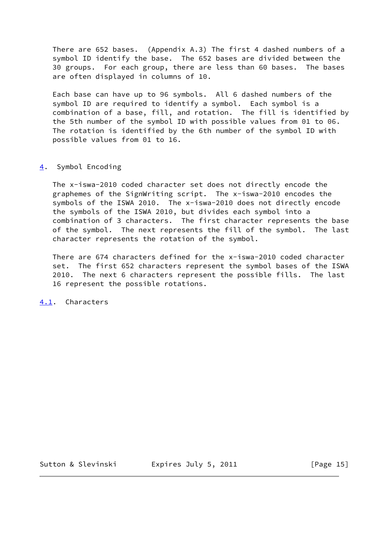There are 652 bases. (Appendix A.3) The first 4 dashed numbers of a symbol ID identify the base. The 652 bases are divided between the 30 groups. For each group, there are less than 60 bases. The bases are often displayed in columns of 10.

 Each base can have up to 96 symbols. All 6 dashed numbers of the symbol ID are required to identify a symbol. Each symbol is a combination of a base, fill, and rotation. The fill is identified by the 5th number of the symbol ID with possible values from 01 to 06. The rotation is identified by the 6th number of the symbol ID with possible values from 01 to 16.

#### <span id="page-16-0"></span>[4](#page-16-0). Symbol Encoding

 The x-iswa-2010 coded character set does not directly encode the graphemes of the SignWriting script. The x-iswa-2010 encodes the symbols of the ISWA 2010. The x-iswa-2010 does not directly encode the symbols of the ISWA 2010, but divides each symbol into a combination of 3 characters. The first character represents the base of the symbol. The next represents the fill of the symbol. The last character represents the rotation of the symbol.

 There are 674 characters defined for the x-iswa-2010 coded character set. The first 652 characters represent the symbol bases of the ISWA 2010. The next 6 characters represent the possible fills. The last 16 represent the possible rotations.

<span id="page-16-1"></span>[4.1](#page-16-1). Characters

Sutton & Slevinski Fxpires July 5, 2011 [Page 15]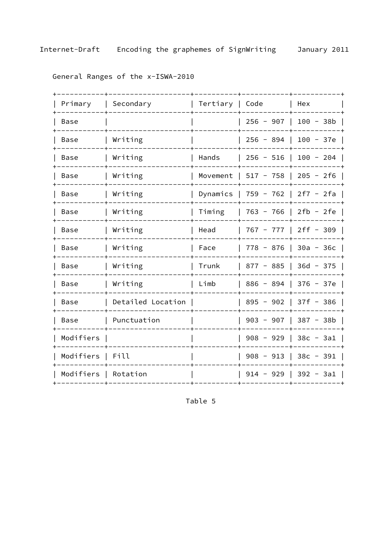| Primary                   | Secondary         | Tertiary | Code        | Hex         |
|---------------------------|-------------------|----------|-------------|-------------|
| Base                      |                   |          | $256 - 907$ | $100 - 38b$ |
| Base                      | Writing           |          | $256 - 894$ | $100 - 37e$ |
| Base                      | Writing           | Hands    | $256 - 516$ | $100 - 204$ |
| Base                      | Writing           | Movement | $517 - 758$ | $205 - 2f6$ |
| Base                      | Writing           | Dynamics | $759 - 762$ | $2f7 - 2fa$ |
| Base                      | Writing           | Timing   | $763 - 766$ | $2fb - 2fe$ |
| Base                      | Writing           | Head     | $767 - 777$ | $2ff - 309$ |
| Base                      | Writing           | Face     | $778 - 876$ | $30a - 36c$ |
| Base                      | Writing           | Trunk    | $877 - 885$ | $36d - 375$ |
| Base                      | Writing           | Limb     | $886 - 894$ | $376 - 37e$ |
| Base                      | Detailed Location |          | $895 - 902$ | $37f - 386$ |
| <b>Base</b>               | Punctuation       |          | $903 - 907$ | $387 - 38b$ |
| Modifiers                 |                   |          | $908 - 929$ | $38c - 3a1$ |
| Modifiers                 | Fill              |          | $908 - 913$ | $38c - 391$ |
| Modifiers<br>$\mathbf{I}$ | Rotation          |          | $914 - 929$ | 392 - 3a1   |
|                           |                   |          |             |             |

General Ranges of the x-ISWA-2010

Table 5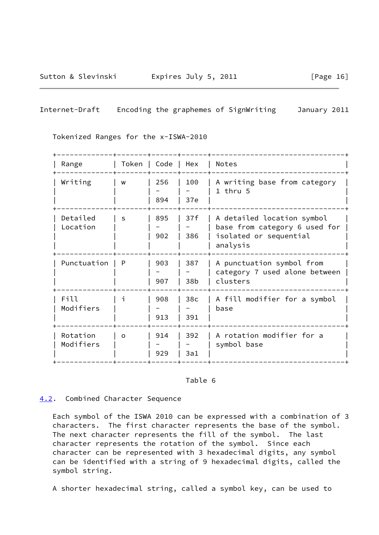Sutton & Slevinski Expires July 5, 2011 [Page 16]

## <span id="page-18-1"></span>Internet-Draft Encoding the graphemes of SignWriting January 2011

Tokenized Ranges for the x-ISWA-2010

| Range                 | Token   Code |            | Hex                    | <b>Notes</b>                                                                                      |
|-----------------------|--------------|------------|------------------------|---------------------------------------------------------------------------------------------------|
| Writing               | W            | 256<br>894 | 100<br>37e             | A writing base from category<br>$1$ thru $5$                                                      |
| Detailed<br>Location  | S            | 895<br>902 | 37f<br>386             | A detailed location symbol<br>base from category 6 used for<br>isolated or sequential<br>analysis |
| Punctuation           | P            | 903<br>907 | 387<br>38b             | A punctuation symbol from<br>category 7 used alone between<br>clusters                            |
| Fill<br>Modifiers     |              | 908<br>913 | 38 <sub>c</sub><br>391 | A fill modifier for a symbol<br>base                                                              |
| Rotation<br>Modifiers | $\Omega$     | 914<br>929 | 392<br>3a1             | A rotation modifier for a<br>symbol base                                                          |

#### Table 6

#### <span id="page-18-0"></span>[4.2](#page-18-0). Combined Character Sequence

 Each symbol of the ISWA 2010 can be expressed with a combination of 3 characters. The first character represents the base of the symbol. The next character represents the fill of the symbol. The last character represents the rotation of the symbol. Since each character can be represented with 3 hexadecimal digits, any symbol can be identified with a string of 9 hexadecimal digits, called the symbol string.

A shorter hexadecimal string, called a symbol key, can be used to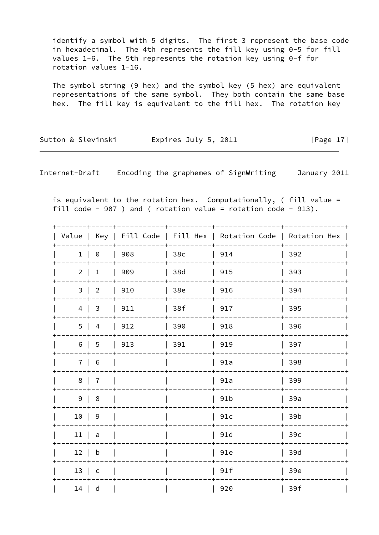identify a symbol with 5 digits. The first 3 represent the base code in hexadecimal. The 4th represents the fill key using 0-5 for fill values 1-6. The 5th represents the rotation key using 0-f for rotation values 1-16.

 The symbol string (9 hex) and the symbol key (5 hex) are equivalent representations of the same symbol. They both contain the same base hex. The fill key is equivalent to the fill hex. The rotation key

Sutton & Slevinski Fxpires July 5, 2011 [Page 17]

Internet-Draft Encoding the graphemes of SignWriting January 2011

 is equivalent to the rotation hex. Computationally, ( fill value = fill code - 907 ) and ( rotation value = rotation code - 913).

| Value          |                |     |     | Key   Fill Code   Fill Hex   Rotation Code   Rotation Hex |     |  |
|----------------|----------------|-----|-----|-----------------------------------------------------------|-----|--|
| $\mathbf{1}$   | $\Theta$       | 908 | 38c | 914                                                       | 392 |  |
| $\overline{2}$ | $\mathbf{1}$   | 909 | 38d | 915                                                       | 393 |  |
| $\mathbf{3}$   | $\overline{2}$ | 910 | 38e | 916                                                       | 394 |  |
| $\overline{4}$ | $\mathsf{3}$   | 911 | 38f | 917                                                       | 395 |  |
| 5              | $\overline{a}$ | 912 | 390 | 918                                                       | 396 |  |
| 6              | 5              | 913 | 391 | 919                                                       | 397 |  |
| $\overline{7}$ | 6              |     |     | 91a                                                       | 398 |  |
| 8              | $\overline{7}$ |     |     | 91a                                                       | 399 |  |
| 9              | $\,8\,$        |     |     | 91 <sub>b</sub>                                           | 39a |  |
| 10             | $\mathsf 9$    |     |     | 91c                                                       | 39b |  |
| 11             | $\mathsf a$    |     |     | 91d                                                       | 39c |  |
| 12             | $\mathsf b$    |     |     | 91e                                                       | 39d |  |
| 13             | $\mathsf{C}$   |     |     | 91f                                                       | 39e |  |
| 14             | d              |     |     | 920                                                       | 39f |  |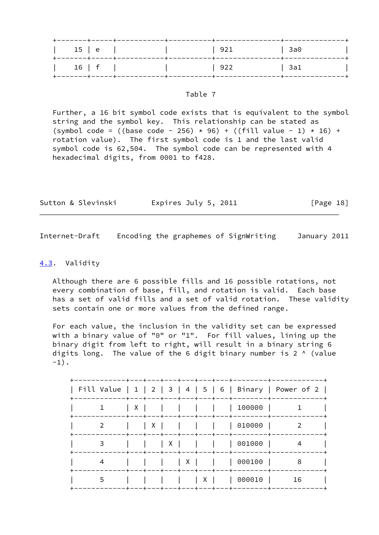| 15   e | ------+----- |  | 921 | $ $ 3a0 |
|--------|--------------|--|-----|---------|
| 16   f |              |  | 922 | 3a1     |

 Further, a 16 bit symbol code exists that is equivalent to the symbol string and the symbol key. This relationship can be stated as (symbol code = ((base code - 256) \* 96) + ((fill value - 1) \* 16) + rotation value). The first symbol code is 1 and the last valid symbol code is 62,504. The symbol code can be represented with 4 hexadecimal digits, from 0001 to f428.

| Sutton & Slevinski | Expires July 5, 2011 | [Page 18] |
|--------------------|----------------------|-----------|
|--------------------|----------------------|-----------|

<span id="page-20-1"></span>Internet-Draft Encoding the graphemes of SignWriting January 2011

#### <span id="page-20-0"></span>[4.3](#page-20-0). Validity

 Although there are 6 possible fills and 16 possible rotations, not every combination of base, fill, and rotation is valid. Each base has a set of valid fills and a set of valid rotation. These validity sets contain one or more values from the defined range.

 For each value, the inclusion in the validity set can be expressed with a binary value of "0" or "1". For fill values, lining up the binary digit from left to right, will result in a binary string 6 digits long. The value of the 6 digit binary number is 2  $\land$  (value  $-1)$ .

| ーナーーーナーーーナー                                                                            |    |
|----------------------------------------------------------------------------------------|----|
| Fill Value   1   2   3   4   5   6   Binary   Power of 2  <br>--+---+---+---+---<br>-+ |    |
| 100000<br>X                                                                            |    |
| 010000<br>X<br>2                                                                       |    |
| 001000<br>3<br>х                                                                       | 4  |
| 000100<br>X<br>4                                                                       | 8  |
| 000010<br>5<br>-+-<br>-+-                                                              | 16 |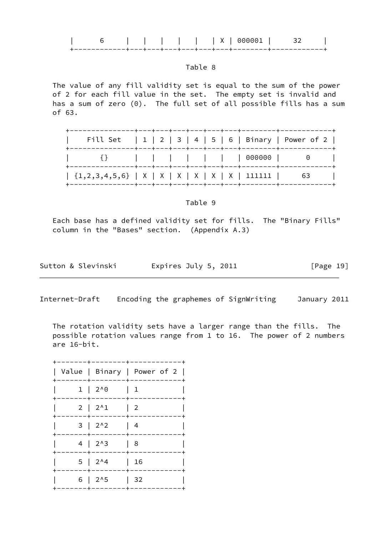|  | x<br>$\cdots$          |  |
|--|------------------------|--|
|  | +---+---+---+---+---+- |  |

 The value of any fill validity set is equal to the sum of the power of 2 for each fill value in the set. The empty set is invalid and has a sum of zero (0). The full set of all possible fills has a sum of 63.

| Fill Set $ 1 2 3 4 5 6 $ Binary   Power of 2 |  |  |  |  |
|----------------------------------------------|--|--|--|--|
| {}               000000   0                  |  |  |  |  |
|                                              |  |  |  |  |

Table 9

 Each base has a defined validity set for fills. The "Binary Fills" column in the "Bases" section. (Appendix A.3)

| Sutton & Slevinski | Expires July 5, 2011 | [Page 19] |
|--------------------|----------------------|-----------|
|--------------------|----------------------|-----------|

Internet-Draft Encoding the graphemes of SignWriting January 2011

 The rotation validity sets have a larger range than the fills. The possible rotation values range from 1 to 16. The power of 2 numbers are 16-bit.

|                   | Value   Binary   Power of 2 |
|-------------------|-----------------------------|
| $1 \mid 2^0 \, 0$ | 1                           |
| $2 \mid 2^{1}$    | $\overline{2}$              |
| $3 \mid 2^{1}2$   | -4                          |
| $4 \mid 2^{13}$   | 8                           |
| $5 \mid 2^{14}$   | 16                          |
| $6 \mid 2^{1}5$   | 32                          |
|                   |                             |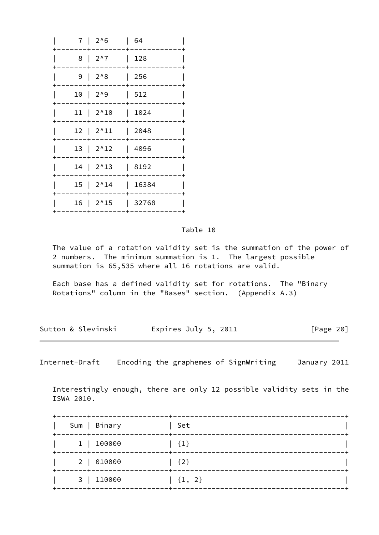| 7 I                | $2^{0.6}$              | 64    |
|--------------------|------------------------|-------|
| 8                  | $2^{\wedge}7$          | 128   |
| 9                  | $2^0.8$                | 256   |
| 10<br>$\mathbf{I}$ | $2^{0.9}$              | 512   |
|                    | $11   2^10$            | 1024  |
| $12 \mid$          | $2^{\wedge}11$         | 2048  |
| 13                 | $2^12$                 | 4096  |
|                    | $14 \mid 2^{\wedge}13$ | 8192  |
|                    | $15$   $2^{\wedge}14$  | 16384 |
|                    | 16   2^15              | 32768 |
|                    |                        |       |

 The value of a rotation validity set is the summation of the power of 2 numbers. The minimum summation is 1. The largest possible summation is 65,535 where all 16 rotations are valid.

 Each base has a defined validity set for rotations. The "Binary Rotations" column in the "Bases" section. (Appendix A.3)

| Sutton & Slevinski | Expires July 5, 2011 | [Page 20] |
|--------------------|----------------------|-----------|
|                    |                      |           |

<span id="page-22-0"></span>Internet-Draft Encoding the graphemes of SignWriting January 2011

 Interestingly enough, there are only 12 possible validity sets in the ISWA 2010.

| ------+------    | Sum   Binary | Set        |
|------------------|--------------|------------|
| . -- - - - + - . | 1   100000   | ${1}$      |
|                  | 2   010000   | ${2}$      |
|                  | 3   110000   | $\{1, 2\}$ |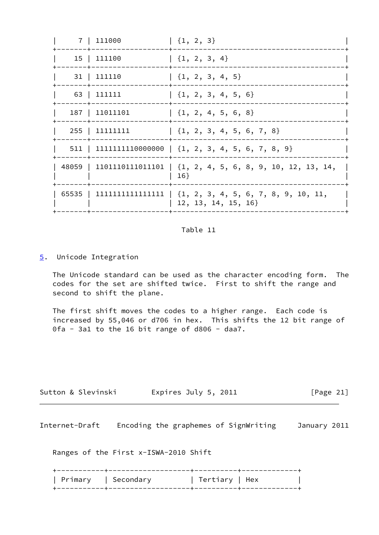|  | 7   111000     | $\left[\begin{array}{cc} \{1, 2, 3\} \end{array}\right]$                                   |
|--|----------------|--------------------------------------------------------------------------------------------|
|  | 15   111100    | $\left[\begin{array}{c} \{1, 2, 3, 4\} \end{array}\right]$                                 |
|  | 31   111110    | $\{1, 2, 3, 4, 5\}$                                                                        |
|  | 63   111111    | $\{1, 2, 3, 4, 5, 6\}$                                                                     |
|  | 187   11011101 | $\{1, 2, 4, 5, 6, 8\}$                                                                     |
|  | 255   11111111 | $\{1, 2, 3, 4, 5, 6, 7, 8\}$                                                               |
|  |                | $511$   11111111110000000   {1, 2, 3, 4, 5, 6, 7, 8, 9}                                    |
|  |                | $48059$   1101110111011101   {1, 2, 4, 5, 6, 8, 9, 10, 12, 13, 14,<br>16                   |
|  |                | $65535$   11111111111111111   $\{1, 2, 3, 4, 5, 6, 7, 8, 9, 10, 11,$<br>12, 13, 14, 15, 16 |
|  |                |                                                                                            |

#### <span id="page-23-0"></span>[5](#page-23-0). Unicode Integration

 The Unicode standard can be used as the character encoding form. The codes for the set are shifted twice. First to shift the range and second to shift the plane.

 The first shift moves the codes to a higher range. Each code is increased by 55,046 or d706 in hex. This shifts the 12 bit range of 0fa - 3a1 to the 16 bit range of d806 - daa7.

| Expires July 5, 2011<br>Sutton & Slevinski | [Page 21] |
|--------------------------------------------|-----------|
|--------------------------------------------|-----------|

<span id="page-23-1"></span>Internet-Draft Encoding the graphemes of SignWriting January 2011

Ranges of the First x-ISWA-2010 Shift

|  | Primary   Secondary | Tertiary   Hex |  |
|--|---------------------|----------------|--|
|  |                     |                |  |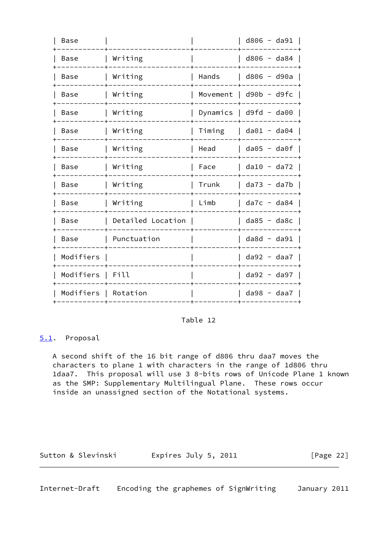| Base      |                   |          | $d806 - d391$     |
|-----------|-------------------|----------|-------------------|
| Base      | Writing           |          | $d806 - da84$     |
| Base      | Writing           | Hands    | d806 - d90a       |
| Base      | Writing           | Movement | $d90b - d9fc$     |
| Base      | Writing           | Dynamics | $d9fd - da00$     |
| Base      | Writing           | Timing   | $da@1 - da@4$     |
| Base      | Writing           | Head     | $da05 - da0f$     |
| Base      | Writing           | Face     | $da10 - da72$     |
| Base      | Writing           | Trunk    | $da73 - da7b$     |
| Base      | Writing           | Limb     | $da7c - da84$     |
| Base      | Detailed Location |          | $d$ a85 - $d$ a8c |
| Base      | Punctuation       |          | $d$ a8d - $d$ a91 |
| Modifiers |                   |          | $da92 - daa7$     |
| Modifiers | Fill              |          | $da92 - da97$     |
| Modifiers | Rotation          |          | $da98 - daa7$     |
|           |                   |          |                   |

#### <span id="page-24-0"></span>[5.1](#page-24-0). Proposal

 A second shift of the 16 bit range of d806 thru daa7 moves the characters to plane 1 with characters in the range of 1d806 thru 1daa7. This proposal will use 3 8-bits rows of Unicode Plane 1 known as the SMP: Supplementary Multilingual Plane. These rows occur inside an unassigned section of the Notational systems.

<span id="page-24-1"></span>

| Sutton & Slevinski | Expires July 5, 2011 | [Page 22] |
|--------------------|----------------------|-----------|
|--------------------|----------------------|-----------|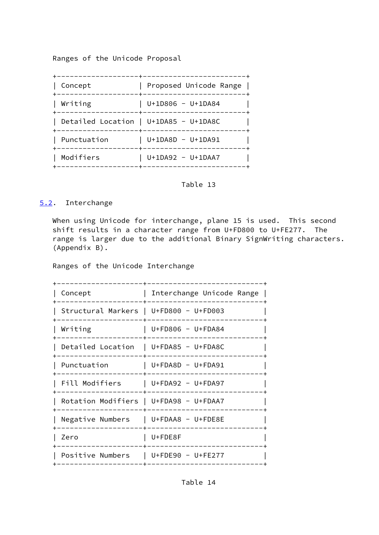Ranges of the Unicode Proposal

| Concept     | Proposed Unicode Range                                        |
|-------------|---------------------------------------------------------------|
| Writing     | $U+1D806 - U+1DAB4$                                           |
|             | Detailed Location   U+1DA85 - U+1DA8C                         |
| Punctuation | $U+1DABD - U+1DA91$<br>------------+------------------------- |
| Modifiers   | $U+1DA92 - U+1DAA7$<br>-+-----------------                    |
|             |                                                               |

### Table 13

#### <span id="page-25-0"></span>[5.2](#page-25-0). Interchange

 When using Unicode for interchange, plane 15 is used. This second shift results in a character range from U+FD800 to U+FE277. The range is larger due to the additional Binary SignWriting characters. (Appendix B).

Ranges of the Unicode Interchange

| Concept                                | Interchange Unicode Range |
|----------------------------------------|---------------------------|
| Structural Markers   U+FD800 - U+FD003 |                           |
| Writing                                | $U + FD806 - U + FDA84$   |
| Detailed Location   U+FDA85 - U+FDA8C  |                           |
| Punctuation                            | U+FDA8D - U+FDA91         |
| Fill Modifiers   U+FDA92 - U+FDA97     |                           |
| Rotation Modifiers   U+FDA98 - U+FDAA7 |                           |
| Negative Numbers $ U+FDAAB - U+FDE8E$  |                           |
| Zero                                   | U+FDE8F                   |
| Positive Numbers                       | U+FDE90 - U+FE277         |
|                                        |                           |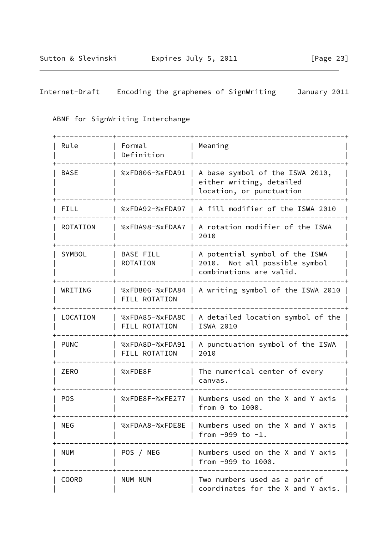| Internet-Draft |  |  | Encoding the graphemes of SignWriting | January 2011 |  |
|----------------|--|--|---------------------------------------|--------------|--|
|                |  |  |                                       |              |  |

## ABNF for SignWriting Interchange

| Rule            | Formal<br>Definition                | Meaning                                                                                    |  |  |
|-----------------|-------------------------------------|--------------------------------------------------------------------------------------------|--|--|
| <b>BASE</b>     | %xFD806-%xFDA91                     | A base symbol of the ISWA 2010,<br>either writing, detailed<br>location, or punctuation    |  |  |
| FILL            | %xFDA92-%xFDA97                     | A fill modifier of the ISWA 2010                                                           |  |  |
| <b>ROTATION</b> | %xFDA98-%xFDAA7                     | A rotation modifier of the ISWA<br>2010                                                    |  |  |
| SYMBOL          | <b>BASE FILL</b><br><b>ROTATION</b> | A potential symbol of the ISWA<br>2010. Not all possible symbol<br>combinations are valid. |  |  |
| WRITING         | %xFD806-%xFDA84<br>FILL ROTATION    | A writing symbol of the ISWA 2010                                                          |  |  |
| LOCATION        | %xFDA85-%xFDA8C<br>FILL ROTATION    | A detailed location symbol of the<br>ISWA 2010                                             |  |  |
| <b>PUNC</b>     | %xFDA8D-%xFDA91<br>FILL ROTATION    | A punctuation symbol of the ISWA<br>2010                                                   |  |  |
| <b>ZERO</b>     | %xFDE8F                             | The numerical center of every<br>canvas.                                                   |  |  |
| <b>POS</b>      | %xFDE8F-%xFE277                     | Numbers used on the X and Y axis<br>from $0$ to $1000$ .                                   |  |  |
| <b>NEG</b>      |                                     | %xFDAA8-%xFDE8E   Numbers used on the X and Y axis<br>from $-999$ to $-1$ .                |  |  |
| <b>NUM</b>      | POS / NEG                           | Numbers used on the X and Y axis<br>from -999 to 1000.                                     |  |  |
| <b>COORD</b>    | NUM NUM                             | Two numbers used as a pair of<br>coordinates for the X and Y axis.                         |  |  |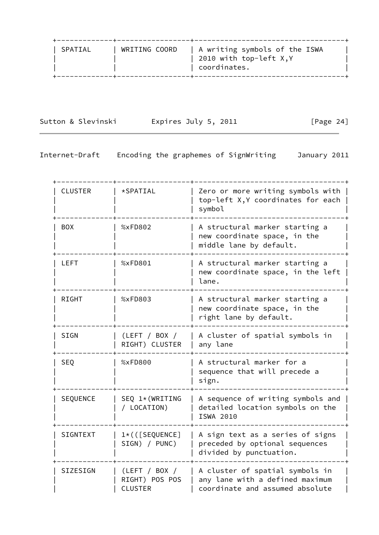| SPATIAL | WRITING COORD | A writing symbols of the ISWA<br>2010 with top-left $X,Y$<br>coordinates. |
|---------|---------------|---------------------------------------------------------------------------|
|---------|---------------|---------------------------------------------------------------------------|

Sutton & Slevinski and Expires July 5, 2011 [Page 24]

| <b>CLUSTER</b>  | *SPATIAL                                          | Zero or more writing symbols with  <br>top-left X, Y coordinates for each<br>symbol                   |  |  |
|-----------------|---------------------------------------------------|-------------------------------------------------------------------------------------------------------|--|--|
| <b>BOX</b>      | %xFD802                                           | A structural marker starting a<br>new coordinate space, in the<br>middle lane by default.             |  |  |
| <b>LEFT</b>     | %xFD801                                           | A structural marker starting a<br>new coordinate space, in the left<br>lane.                          |  |  |
| <b>RIGHT</b>    | %xFD803                                           | A structural marker starting a<br>new coordinate space, in the<br>right lane by default.              |  |  |
| <b>SIGN</b>     | (LEFT / BOX /<br>RIGHT) CLUSTER                   | A cluster of spatial symbols in<br>any lane                                                           |  |  |
| <b>SEQ</b>      | %xFD800                                           | A structural marker for a<br>sequence that will precede a<br>sign.                                    |  |  |
| SEQUENCE        | SEQ 1*(WRITING<br>/ LOCATION)                     | A sequence of writing symbols and<br>detailed location symbols on the<br><b>ISWA 2010</b>             |  |  |
| <b>SIGNTEXT</b> | $1*($ ([SEQUENCE]<br>SIGN) / PUNC)                | A sign text as a series of signs<br>preceded by optional sequences<br>divided by punctuation.         |  |  |
| SIZESIGN        | (LEFT / BOX /<br>RIGHT) POS POS<br><b>CLUSTER</b> | A cluster of spatial symbols in<br>any lane with a defined maximum<br>coordinate and assumed absolute |  |  |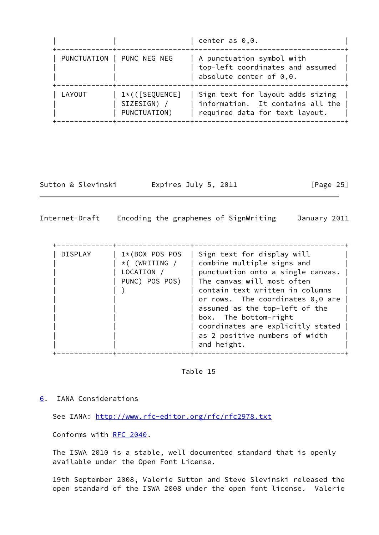|             |                                                        | center as $0,0.$                                                                                       |
|-------------|--------------------------------------------------------|--------------------------------------------------------------------------------------------------------|
| PUNCTUATION | PUNC NEG NEG                                           | A punctuation symbol with<br>top-left coordinates and assumed<br>absolute center of $0,0.$             |
| LAYOUT      | $1 \star ($ ([SEQUENCE]<br>SIZESIGN) /<br>PUNCTUATION) | Sign text for layout adds sizing<br>information. It contains all the<br>required data for text layout. |

Sutton & Slevinski Expires July 5, 2011 [Page 25]

<span id="page-28-1"></span>Internet-Draft Encoding the graphemes of SignWriting January 2011

| <b>DISPLAY</b><br>$1*(BOX POS POS)$<br>$\star$ ( (WRITING /<br>LOCATION /<br>PUNC) POS POS) | Sign text for display will<br>combine multiple signs and<br>punctuation onto a single canvas.<br>The canvas will most often<br>contain text written in columns<br>or rows. The coordinates $0,0$ are<br>assumed as the top-left of the<br>box. The bottom-right<br>coordinates are explicitly stated<br>as 2 positive numbers of width<br>and height. |
|---------------------------------------------------------------------------------------------|-------------------------------------------------------------------------------------------------------------------------------------------------------------------------------------------------------------------------------------------------------------------------------------------------------------------------------------------------------|

Table 15

<span id="page-28-0"></span>[6](#page-28-0). IANA Considerations

See IANA:<http://www.rfc-editor.org/rfc/rfc2978.txt>

Conforms with [RFC 2040](https://datatracker.ietf.org/doc/pdf/rfc2040).

 The ISWA 2010 is a stable, well documented standard that is openly available under the Open Font License.

 19th September 2008, Valerie Sutton and Steve Slevinski released the open standard of the ISWA 2008 under the open font license. Valerie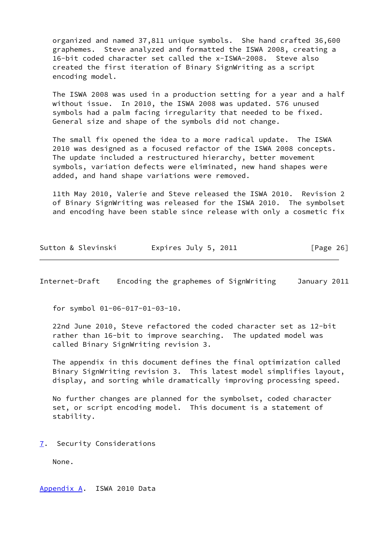organized and named 37,811 unique symbols. She hand crafted 36,600 graphemes. Steve analyzed and formatted the ISWA 2008, creating a 16-bit coded character set called the x-ISWA-2008. Steve also created the first iteration of Binary SignWriting as a script encoding model.

 The ISWA 2008 was used in a production setting for a year and a half without issue. In 2010, the ISWA 2008 was updated. 576 unused symbols had a palm facing irregularity that needed to be fixed. General size and shape of the symbols did not change.

 The small fix opened the idea to a more radical update. The ISWA 2010 was designed as a focused refactor of the ISWA 2008 concepts. The update included a restructured hierarchy, better movement symbols, variation defects were eliminated, new hand shapes were added, and hand shape variations were removed.

 11th May 2010, Valerie and Steve released the ISWA 2010. Revision 2 of Binary SignWriting was released for the ISWA 2010. The symbolset and encoding have been stable since release with only a cosmetic fix

| Sutton & Slevinski | Expires July 5, 2011 | [Page 26] |
|--------------------|----------------------|-----------|
|--------------------|----------------------|-----------|

<span id="page-29-1"></span>Internet-Draft Encoding the graphemes of SignWriting January 2011

for symbol 01-06-017-01-03-10.

 22nd June 2010, Steve refactored the coded character set as 12-bit rather than 16-bit to improve searching. The updated model was called Binary SignWriting revision 3.

 The appendix in this document defines the final optimization called Binary SignWriting revision 3. This latest model simplifies layout, display, and sorting while dramatically improving processing speed.

 No further changes are planned for the symbolset, coded character set, or script encoding model. This document is a statement of stability.

<span id="page-29-0"></span>[7](#page-29-0). Security Considerations

None.

<span id="page-29-2"></span>[Appendix A.](#page-29-2) ISWA 2010 Data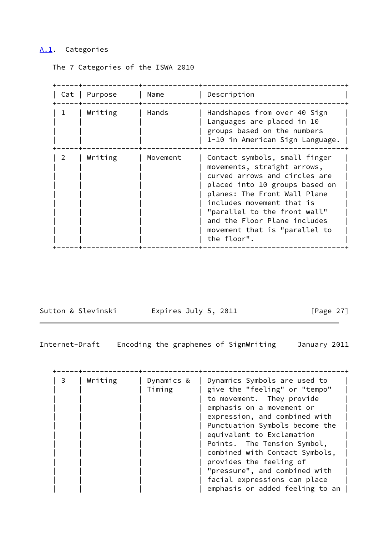## <span id="page-30-0"></span>[A.1](#page-30-0). Categories

The 7 Categories of the ISWA 2010

|   | Cat   Purpose | Name     | Description                                                                                                                                                                                                                                                                                                  |
|---|---------------|----------|--------------------------------------------------------------------------------------------------------------------------------------------------------------------------------------------------------------------------------------------------------------------------------------------------------------|
| 1 | Writing       | Hands    | Handshapes from over 40 Sign<br>Languages are placed in 10<br>groups based on the numbers<br>1-10 in American Sign Language.                                                                                                                                                                                 |
| 2 | Writing       | Movement | Contact symbols, small finger<br>movements, straight arrows,<br>curved arrows and circles are<br>placed into 10 groups based on<br>planes: The Front Wall Plane<br>includes movement that is<br>"parallel to the front wall"<br>and the Floor Plane includes<br>movement that is "parallel to<br>the floor". |

Sutton & Slevinski Fxpires July 5, 2011 [Page 27]

| $\mathbf{3}$ | Writing | Dynamics Symbols are used to<br>Dynamics &<br>give the "feeling" or "tempo"<br>Timing<br>to movement. They provide<br>emphasis on a movement or<br>expression, and combined with |                                 |
|--------------|---------|----------------------------------------------------------------------------------------------------------------------------------------------------------------------------------|---------------------------------|
|              |         |                                                                                                                                                                                  | Punctuation Symbols become the  |
|              |         |                                                                                                                                                                                  | equivalent to Exclamation       |
|              |         |                                                                                                                                                                                  | Points. The Tension Symbol,     |
|              |         |                                                                                                                                                                                  | combined with Contact Symbols,  |
|              |         |                                                                                                                                                                                  | provides the feeling of         |
|              |         |                                                                                                                                                                                  | "pressure", and combined with   |
|              |         |                                                                                                                                                                                  | facial expressions can place    |
|              |         |                                                                                                                                                                                  | emphasis or added feeling to an |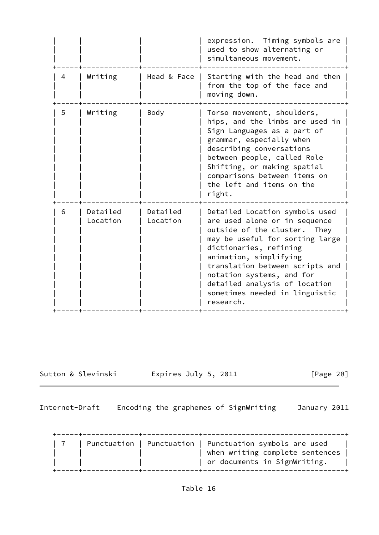|   |                      |                      | expression.<br>Timing symbols are<br>used to show alternating or<br>simultaneous movement.                                                                                                                                                                                                                                             |
|---|----------------------|----------------------|----------------------------------------------------------------------------------------------------------------------------------------------------------------------------------------------------------------------------------------------------------------------------------------------------------------------------------------|
| 4 | Writing              | Head & Face          | Starting with the head and then<br>from the top of the face and<br>moving down.                                                                                                                                                                                                                                                        |
| 5 | Writing              | Body                 | Torso movement, shoulders,<br>hips, and the limbs are used in<br>Sign Languages as a part of<br>grammar, especially when<br>describing conversations<br>between people, called Role<br>Shifting, or making spatial<br>comparisons between items on<br>the left and items on the<br>right.                                              |
| 6 | Detailed<br>Location | Detailed<br>Location | Detailed Location symbols used<br>are used alone or in sequence<br>outside of the cluster. They<br>may be useful for sorting large<br>dictionaries, refining<br>animation, simplifying<br>translation between scripts and<br>notation systems, and for<br>detailed analysis of location<br>sometimes needed in linguistic<br>research. |

<span id="page-31-0"></span>

Sutton & Slevinski and Expires July 5, 2011 [Page 28]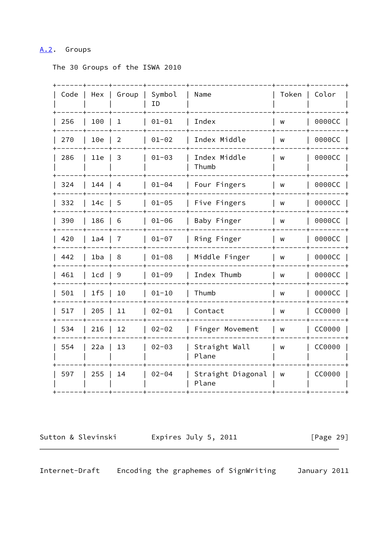### <span id="page-32-0"></span>[A.2](#page-32-0). Groups

The 30 Groups of the ISWA 2010

| Code | Hex             | Group          | Symbol<br>ΙD | Name                       | Token | Color  |
|------|-----------------|----------------|--------------|----------------------------|-------|--------|
| 256  | 100             | 1              | $01 - 01$    | Index                      | W     | 0000CC |
| 270  | 10e             | $\overline{2}$ | $01 - 02$    | Index Middle               | W     | 0000CC |
| 286  | 11e             | 3              | $01 - 03$    | Index Middle<br>Thumb      | W     | 0000CC |
| 324  | 144             | $\overline{4}$ | $01 - 04$    | Four Fingers               | W     | 0000CC |
| 332  | 14 <sub>c</sub> | 5              | $01 - 05$    | Five Fingers               | W     | 0000CC |
| 390  | 186             | 6              | $01 - 06$    | Baby Finger                | W     | 0000CC |
| 420  | 1a4             | 7              | $01 - 07$    | Ring Finger                | W     | 0000CC |
| 442  | 1ba             | 8              | $01 - 08$    | Middle Finger              | W     | 0000CC |
| 461  | 1 <sub>cd</sub> | $\mathsf 9$    | $01 - 09$    | Index Thumb                | W     | 0000CC |
| 501  | 1f5             | 10             | $01 - 10$    | Thumb                      | W     | 0000CC |
| 517  | 205             | 11             | $02 - 01$    | Contact                    | W     | CC0000 |
| 534  | 216             | 12             | $02 - 02$    | Finger Movement            | W     | CC0000 |
| 554  | 22a             | 13             | $02 - 03$    | Straight Wall<br>Plane     | W     | CC0000 |
| 597  | 255             | 14             | $02 - 04$    | Straight Diagonal<br>Plane | W     | CC0000 |
|      |                 |                |              |                            |       |        |

<span id="page-32-1"></span>

Sutton & Slevinski and Expires July 5, 2011 [Page 29]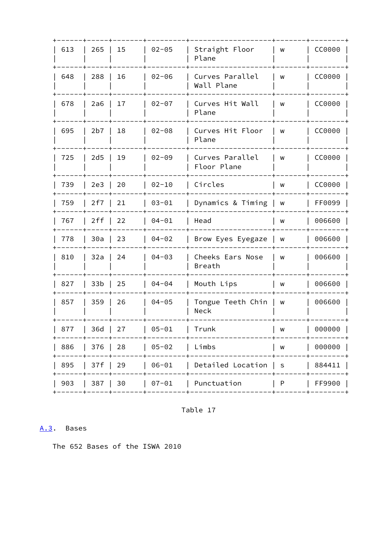| 613 | 265             | 15           | $02 - 05$ | Straight Floor<br>Plane           | W           | CC0000 |
|-----|-----------------|--------------|-----------|-----------------------------------|-------------|--------|
| 648 | 288             | 16           | $02 - 06$ | Curves Parallel<br>Wall Plane     | W           | CC0000 |
| 678 | 2a6             | 17           | $02 - 07$ | Curves Hit Wall<br>Plane          | W           | CC0000 |
| 695 | 2b7             | 18           | $02 - 08$ | Curves Hit Floor<br>Plane         | W           | CC0000 |
| 725 | 2d5             | 19           | $02 - 09$ | Curves Parallel<br>Floor Plane    | W           | CC0000 |
| 739 | 2e3             | 20           | $02 - 10$ | Circles                           | W           | CC0000 |
| 759 | 2f7             | 21           | $03 - 01$ | Dynamics & Timing                 | W           | FF0099 |
| 767 | 2ff             | 22           | $04 - 01$ | Head                              | w           | 006600 |
| 778 | 30a             | 23           | $04 - 02$ | Brow Eyes Eyegaze                 | W           | 006600 |
| 810 | 32a             | 24           | $04 - 03$ | Cheeks Ears Nose<br><b>Breath</b> | W           | 006600 |
| 827 | 33 <sub>b</sub> | 25           | $04 - 04$ | Mouth Lips                        | W           | 006600 |
| 857 | 359             | 26           | $04 - 05$ | Tongue Teeth Chin<br>Neck         | W           | 006600 |
| 877 | 36d             | 27           | $05 - 01$ | Trunk                             | W           | 000000 |
| 886 | 376             | 28           | $05 - 02$ | Limbs                             | W           | 000000 |
| 895 | 37f             | 29           | $06 - 01$ | Detailed Location                 | $\mathsf S$ | 884411 |
| 903 | 387             | 30<br>------ | $07 - 01$ | Punctuation                       | P           | FF9900 |
|     |                 |              |           |                                   |             |        |

Table 17

## <span id="page-33-0"></span>A.3. Bases

The 652 Bases of the ISWA 2010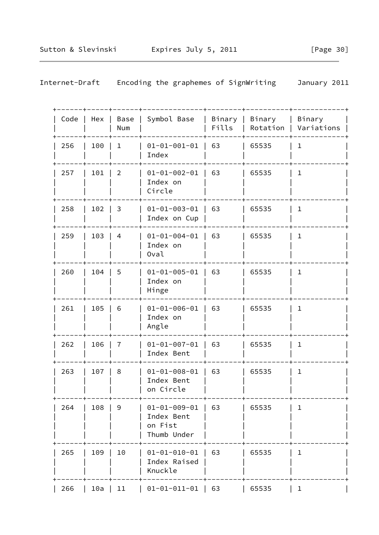| Code | Hex | Base<br>Num    | Symbol Base                                                  | Binary  <br>Fills | Binary | Binary<br>Rotation   Variations |
|------|-----|----------------|--------------------------------------------------------------|-------------------|--------|---------------------------------|
| 256  | 100 | 1              | $01 - 01 - 001 - 01$<br>Index                                | 63                | 65535  | $\mathbf{1}$                    |
| 257  | 101 | $\overline{2}$ | $01 - 01 - 002 - 01$<br>Index on<br>Circle                   | 63                | 65535  | $\mathbf 1$                     |
| 258  | 102 | 3              | $01 - 01 - 003 - 01$<br>Index on Cup                         | 63                | 65535  | $\mathbf{1}$                    |
| 259  | 103 | 4              | $01 - 01 - 004 - 01$<br>Index on<br>Oval                     | 63                | 65535  | $\mathbf{1}$                    |
| 260  | 104 | 5              | $01 - 01 - 005 - 01$<br>Index on<br>Hinge                    | 63                | 65535  | $\mathbf 1$                     |
| 261  | 105 | 6              | $01 - 01 - 006 - 01$<br>Index on<br>Angle                    | 63                | 65535  | $\mathbf{1}$                    |
| 262  | 106 | 7              | $01 - 01 - 007 - 01$<br>Index Bent                           | 63                | 65535  | $\mathbf{1}$                    |
| 263  | 107 | 8              | $01 - 01 - 008 - 01$<br>Index Bent<br>on Circle              | 63                | 65535  | $\mathbf 1$                     |
| 264  | 108 | 9              | $01 - 01 - 009 - 01$<br>Index Bent<br>on Fist<br>Thumb Under | 63                | 65535  | ı                               |
| 265  | 109 | 10             | $01 - 01 - 010 - 01$<br>Index Raised<br>Knuckle              | 63                | 65535  | $\mathbf 1$                     |
| 266  | 10a | 11             | $01 - 01 - 011 - 01$                                         | 63                | 65535  | $\mathbf{1}$                    |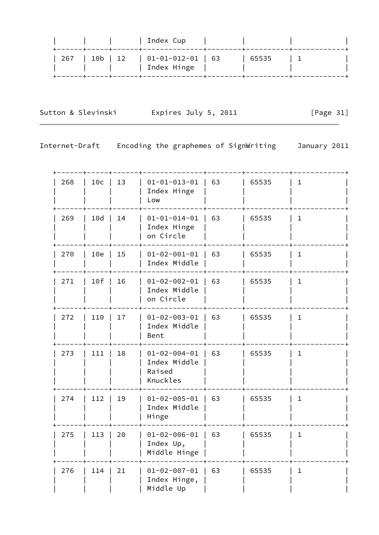| $\vert$ 01-01-012-01 $\vert$ 63<br>267   10b   12<br>65535<br>Index Hinge |  |  | Index Cup<br>_____+_____+_____+_______________ |  |  |
|---------------------------------------------------------------------------|--|--|------------------------------------------------|--|--|
|                                                                           |  |  |                                                |  |  |

Sutton & Slevinski Fxpires July 5, 2011 [Page 31]

| 268 | 10c | 13 | $01 - 01 - 013 - 01$<br>Index Hinge<br>Low                 | 63 | 65535 | $\mathbf 1$  |
|-----|-----|----|------------------------------------------------------------|----|-------|--------------|
| 269 | 10d | 14 | $01 - 01 - 014 - 01$<br>Index Hinge<br>on Circle           | 63 | 65535 | $\mathbf{1}$ |
| 270 | 10e | 15 | $01 - 02 - 001 - 01$<br>Index Middle                       | 63 | 65535 | $\mathbf{1}$ |
| 271 | 10f | 16 | $01 - 02 - 002 - 01$<br>Index Middle<br>on Circle          | 63 | 65535 | $\mathbf{1}$ |
| 272 | 110 | 17 | $01 - 02 - 003 - 01$<br>Index Middle<br>Bent               | 63 | 65535 | $\mathbf 1$  |
| 273 | 111 | 18 | $01 - 02 - 004 - 01$<br>Index Middle<br>Raised<br>Knuckles | 63 | 65535 | $\mathbf{1}$ |
| 274 | 112 | 19 | $01 - 02 - 005 - 01$<br>Index Middle<br>Hinge              | 63 | 65535 | $\mathbf{1}$ |
| 275 | 113 | 20 | $01 - 02 - 006 - 01$<br>Index Up,<br>Middle Hinge          | 63 | 65535 | $1\,$        |
| 276 | 114 | 21 | $01 - 02 - 007 - 01$<br>Index Hinge,<br>Middle Up          | 63 | 65535 | $\mathbf{1}$ |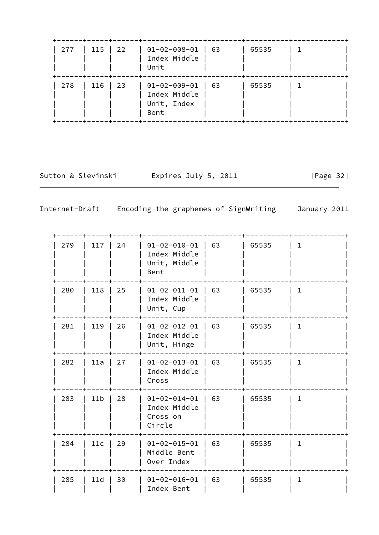| 277 | 115   22 | -----+-----+------+----------------<br>$\vert$ 01-02-008-01 $\vert$ 63<br>Index Middle<br>Unit | 65535 |  |
|-----|----------|------------------------------------------------------------------------------------------------|-------|--|
| 278 | 116   23 | $\vert$ 01-02-009-01   63<br>Index Middle<br>Unit, Index<br>Bent                               | 65535 |  |

Sutton & Slevinski Expires July 5, 2011 [Page 32]

| 279 | 117             | 24 | $01 - 02 - 010 - 01$<br>Index Middle<br>Unit, Middle<br>Bent | 63 | 65535 | $\mathbf{1}$ |
|-----|-----------------|----|--------------------------------------------------------------|----|-------|--------------|
| 280 | 118             | 25 | $01 - 02 - 011 - 01$<br>Index Middle<br>Unit, Cup            | 63 | 65535 | $\mathbf{1}$ |
| 281 | 119             | 26 | $01 - 02 - 012 - 01$<br>Index Middle<br>Unit, Hinge          | 63 | 65535 | $\mathbf 1$  |
| 282 | 11a             | 27 | $01 - 02 - 013 - 01$<br>Index Middle<br>Cross                | 63 | 65535 | $\mathbf{1}$ |
| 283 | 11 <sub>b</sub> | 28 | $01 - 02 - 014 - 01$<br>Index Middle<br>Cross on<br>Circle   | 63 | 65535 | $\mathbf{1}$ |
| 284 | 11c             | 29 | $01 - 02 - 015 - 01$<br>Middle Bent<br>Over Index            | 63 | 65535 | $\mathbf{1}$ |
| 285 | 11d             | 30 | $01 - 02 - 016 - 01$<br>Index Bent                           | 63 | 65535 | $\mathbf{1}$ |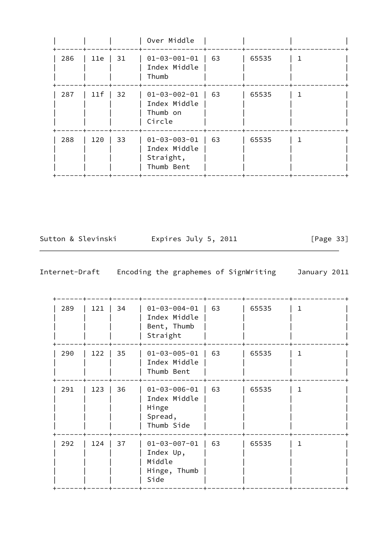|     |     |    | Over Middle                                                     |    |       |  |
|-----|-----|----|-----------------------------------------------------------------|----|-------|--|
| 286 | 11e | 31 | $01 - 03 - 001 - 01$<br>Index Middle<br>Thumb                   | 63 | 65535 |  |
| 287 | 11f | 32 | $01 - 03 - 002 - 01$<br>Index Middle<br>Thumb on<br>Circle      | 63 | 65535 |  |
| 288 | 120 | 33 | $01 - 03 - 003 - 01$<br>Index Middle<br>Straight,<br>Thumb Bent | 63 | 65535 |  |

Sutton & Slevinski Expires July 5, 2011 [Page 33]

| 289 | 121 | 34 | $01 - 03 - 004 - 01$<br>Index Middle<br>Bent, Thumb<br>Straight        | 63 | 65535 | 1. |
|-----|-----|----|------------------------------------------------------------------------|----|-------|----|
| 290 | 122 | 35 | $01 - 03 - 005 - 01$<br>Index Middle<br>Thumb Bent                     | 63 | 65535 | 1  |
| 291 | 123 | 36 | $01 - 03 - 006 - 01$<br>Index Middle<br>Hinge<br>Spread,<br>Thumb Side | 63 | 65535 | 1  |
| 292 | 124 | 37 | $01 - 03 - 007 - 01$<br>Index Up,<br>Middle<br>Hinge, Thumb<br>Side    | 63 | 65535 | 1. |
|     |     |    |                                                                        |    |       |    |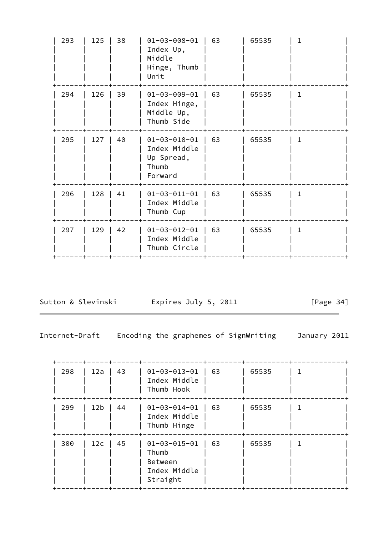| $01 - 03 - 009 - 01$<br>63<br>65535<br>294<br>126<br>39<br>1<br>Index Hinge,<br>Middle Up,<br>Thumb Side<br>63<br>40<br>$01 - 03 - 010 - 01$<br>65535<br>295<br>127<br>1.<br>Index Middle<br>Up Spread,<br>Thumb<br>Forward<br>41<br>$01 - 03 - 011 - 01$<br>63<br>65535<br>296<br>128<br>$\mathbf{1}$<br>Index Middle<br>Thumb Cup<br>42<br>$01 - 03 - 012 - 01$<br>63<br>65535<br>297<br>129<br>$\mathbf{1}$<br>Index Middle<br>Thumb Circle | 293 | 125 | 38 | $01 - 03 - 008 - 01$<br>Index Up,<br>Middle<br>Hinge, Thumb<br>Unit | 63 | 65535 | 1 |
|------------------------------------------------------------------------------------------------------------------------------------------------------------------------------------------------------------------------------------------------------------------------------------------------------------------------------------------------------------------------------------------------------------------------------------------------|-----|-----|----|---------------------------------------------------------------------|----|-------|---|
|                                                                                                                                                                                                                                                                                                                                                                                                                                                |     |     |    |                                                                     |    |       |   |
|                                                                                                                                                                                                                                                                                                                                                                                                                                                |     |     |    |                                                                     |    |       |   |
|                                                                                                                                                                                                                                                                                                                                                                                                                                                |     |     |    |                                                                     |    |       |   |
|                                                                                                                                                                                                                                                                                                                                                                                                                                                |     |     |    |                                                                     |    |       |   |

Sutton & Slevinski Expires July 5, 2011 [Page 34]

Internet-Draft Encoding the graphemes of SignWriting January 2011

 +------+-----+------+--------------+--------+----------+------------+ | 298 | 12a | 43 | 01-03-013-01 | 63 | 65535 | 1 | | | | | Index Middle | | | | | Thumb Hook | +------+-----+------+--------------+--------+----------+------------+ | 299 | 12b | 44 | 01-03-014-01 | 63 | 65535 | 1 | | | | | Index Middle | | | |  $|$  Thumb Hinge  $|$  | +------+-----+------+--------------+--------+----------+------------+ | 300 | 12c | 45 | 01-03-015-01 | 63 | 65535 | 1 | | Thumb | Between | | | | Index Middle | | Straight | +------+-----+------+--------------+--------+----------+------------+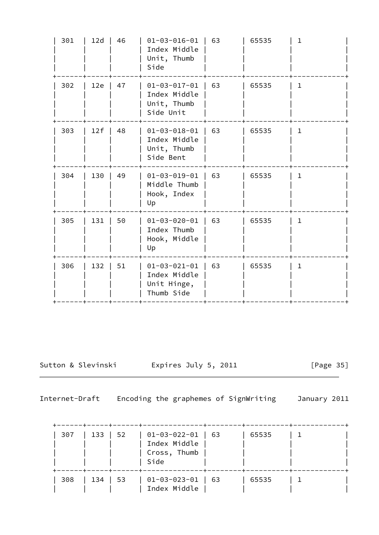| 301 | 12d | 46 | $01 - 03 - 016 - 01$<br>Index Middle<br>Unit, Thumb<br>Side       | 63 | 65535 | $\mathbf 1$  |
|-----|-----|----|-------------------------------------------------------------------|----|-------|--------------|
| 302 | 12e | 47 | $01 - 03 - 017 - 01$<br>Index Middle<br>Unit, Thumb<br>Side Unit  | 63 | 65535 | $\mathbf 1$  |
| 303 | 12f | 48 | $01 - 03 - 018 - 01$<br>Index Middle<br>Unit, Thumb<br>Side Bent  | 63 | 65535 | $\mathbf{1}$ |
| 304 | 130 | 49 | $01 - 03 - 019 - 01$<br>Middle Thumb<br>Hook, Index<br>Up         | 63 | 65535 | $\mathbf{1}$ |
| 305 | 131 | 50 | $01 - 03 - 020 - 01$<br>Index Thumb<br>Hook, Middle<br>Up         | 63 | 65535 | $\mathbf{1}$ |
| 306 | 132 | 51 | $01 - 03 - 021 - 01$<br>Index Middle<br>Unit Hinge,<br>Thumb Side | 63 | 65535 | $\mathbf{1}$ |
|     |     |    |                                                                   |    |       |              |

Sutton & Slevinski Expires July 5, 2011 [Page 35]

| $307$   133   52 | -----+-----+-----+ | $01-03-022-01$   63<br>Index Middle<br>Cross, Thumb<br>Side       | 65535 |  |
|------------------|--------------------|-------------------------------------------------------------------|-------|--|
| $308$   134   53 |                    | -----+-----+------+-------<br>$01-03-023-01$   63<br>Index Middle | 65535 |  |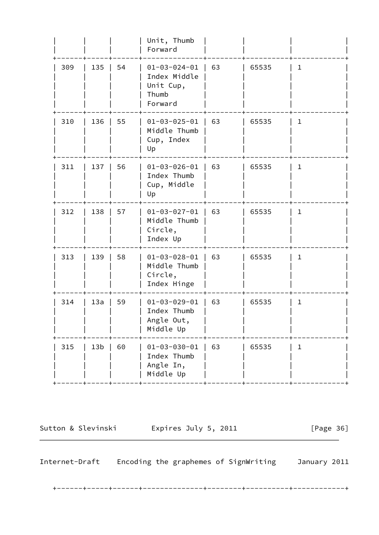|     |                 |    | Unit, Thumb<br>Forward                                                |    |       |              |
|-----|-----------------|----|-----------------------------------------------------------------------|----|-------|--------------|
| 309 | 135             | 54 | $01 - 03 - 024 - 01$<br>Index Middle<br>Unit Cup,<br>Thumb<br>Forward | 63 | 65535 | $\mathbf{1}$ |
| 310 | 136             | 55 | $01 - 03 - 025 - 01$<br>Middle Thumb<br>Cup, Index<br>Up              | 63 | 65535 | $\mathbf{1}$ |
| 311 | 137             | 56 | $01 - 03 - 026 - 01$<br>Index Thumb<br>Cup, Middle<br>Up              | 63 | 65535 | $\mathbf{1}$ |
| 312 | 138             | 57 | $01 - 03 - 027 - 01$<br>Middle Thumb<br>Circle,<br>Index Up           | 63 | 65535 | $\mathbf{1}$ |
| 313 | 139             | 58 | $01 - 03 - 028 - 01$<br>Middle Thumb<br>Circle,<br>Index Hinge        | 63 | 65535 | $\mathbf{1}$ |
| 314 | 13a             | 59 | $01 - 03 - 029 - 01$<br>Index Thumb<br>Angle Out,<br>Middle Up        | 63 | 65535 | $\mathbf{1}$ |
| 315 | 13 <sub>b</sub> | 60 | $01 - 03 - 030 - 01$<br>Index Thumb<br>Angle In,<br>Middle Up         | 63 | 65535 | $\mathbf 1$  |
|     |                 |    |                                                                       |    |       |              |

Sutton & Slevinski Fxpires July 5, 2011 [Page 36]

Internet-Draft Encoding the graphemes of SignWriting January 2011

+------+-----+------+--------------+--------+----------+------------+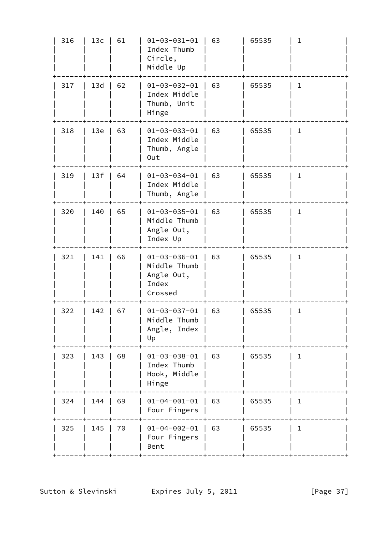| 316 | 13c | 61 | $01 - 03 - 031 - 01$<br>Index Thumb<br>Circle,<br>Middle Up            | 63 | 65535 | $\mathbf 1$  |
|-----|-----|----|------------------------------------------------------------------------|----|-------|--------------|
| 317 | 13d | 62 | $01 - 03 - 032 - 01$<br>Index Middle<br>Thumb, Unit<br>Hinge           | 63 | 65535 | $\mathbf{1}$ |
| 318 | 13e | 63 | $01 - 03 - 033 - 01$<br>Index Middle<br>Thumb, Angle<br>Out            | 63 | 65535 | $\mathbf{1}$ |
| 319 | 13f | 64 | $01 - 03 - 034 - 01$<br>Index Middle<br>Thumb, Angle                   | 63 | 65535 | $\mathbf 1$  |
| 320 | 140 | 65 | $01 - 03 - 035 - 01$<br>Middle Thumb<br>Angle Out,<br>Index Up         | 63 | 65535 | $\mathbf{1}$ |
| 321 | 141 | 66 | $01 - 03 - 036 - 01$<br>Middle Thumb<br>Angle Out,<br>Index<br>Crossed | 63 | 65535 | $\mathbf{1}$ |
| 322 | 142 | 67 | $01 - 03 - 037 - 01$<br>Middle Thumb<br>Angle, Index<br>Up             | 63 | 65535 | $\mathbf{1}$ |
| 323 | 143 | 68 | $01 - 03 - 038 - 01$<br>Index Thumb<br>Hook, Middle<br>Hinge           | 63 | 65535 | $\mathbf{1}$ |
| 324 | 144 | 69 | $01 - 04 - 001 - 01$<br>Four Fingers                                   | 63 | 65535 | $\mathbf{1}$ |
| 325 | 145 | 70 | $01 - 04 - 002 - 01$<br>Four Fingers<br>Bent                           | 63 | 65535 | $\mathbf{1}$ |
|     |     |    |                                                                        |    |       |              |

Sutton & Slevinski Expires July 5, 2011 [Page 37]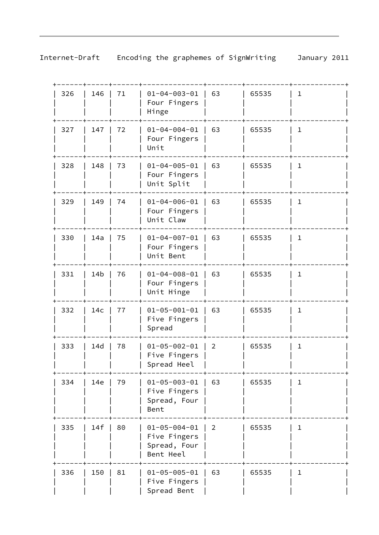| 326 | 146             | 71 | $01 - 04 - 003 - 01$<br>Four Fingers<br>Hinge                     | 63             | 65535 | 1            |
|-----|-----------------|----|-------------------------------------------------------------------|----------------|-------|--------------|
| 327 | 147             | 72 | $01 - 04 - 004 - 01$<br>Four Fingers<br>Unit                      | 63             | 65535 | $\mathbf{1}$ |
| 328 | 148             | 73 | $01 - 04 - 005 - 01$<br>Four Fingers<br>Unit Split                | 63             | 65535 | 1            |
| 329 | 149             | 74 | $01 - 04 - 006 - 01$<br>Four Fingers<br>Unit Claw                 | 63             | 65535 | ı            |
| 330 | 14a             | 75 | $01 - 04 - 007 - 01$<br>Four Fingers<br>Unit Bent                 | 63             | 65535 | 1            |
| 331 | 14 <sub>b</sub> | 76 | $01 - 04 - 008 - 01$<br>Four Fingers<br>Unit Hinge                | 63             | 65535 | 1            |
| 332 | 14 <sub>c</sub> | 77 | $01 - 05 - 001 - 01$<br>Five Fingers<br>Spread                    | 63             | 65535 | $\mathbf{1}$ |
| 333 | 14d             | 78 | $01 - 05 - 002 - 01$<br>Five Fingers<br>Spread Heel               | $\overline{2}$ | 65535 | ı            |
| 334 | 14e             | 79 | $01 - 05 - 003 - 01$<br>Five Fingers<br>Spread, Four<br>Bent      | 63             | 65535 | 1            |
| 335 | 14f             | 80 | $01 - 05 - 004 - 01$<br>Five Fingers<br>Spread, Four<br>Bent Heel | $\vert$ 2      | 65535 | 1            |
| 336 | 150             | 81 | $01 - 05 - 005 - 01$<br>Five Fingers<br>Spread Bent               | 63             | 65535 | 1            |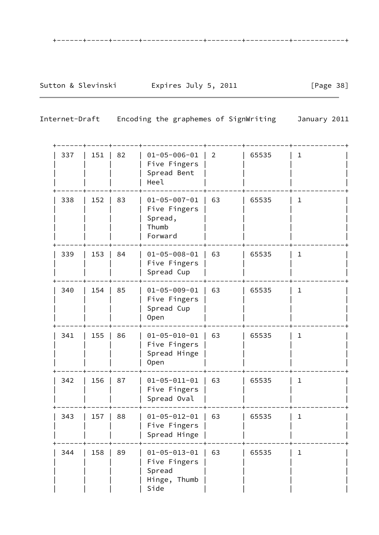| 337 | 151 | 82 | $01 - 05 - 006 - 01$<br>Five Fingers<br>Spread Bent<br>Heel            | $\overline{2}$ | 65535 | $\mathbf 1$  |
|-----|-----|----|------------------------------------------------------------------------|----------------|-------|--------------|
| 338 | 152 | 83 | $01 - 05 - 007 - 01$<br>Five Fingers<br>Spread,<br>Thumb<br>Forward    | 63             | 65535 | $\mathbf{1}$ |
| 339 | 153 | 84 | $01 - 05 - 008 - 01$<br>Five Fingers<br>Spread Cup                     | 63             | 65535 | 1            |
| 340 | 154 | 85 | $01 - 05 - 009 - 01$<br>Five Fingers<br>Spread Cup<br><b>Open</b>      | 63             | 65535 | $\mathbf 1$  |
| 341 | 155 | 86 | $01 - 05 - 010 - 01$<br>Five Fingers<br>Spread Hinge<br><b>Open</b>    | 63             | 65535 | $\mathbf 1$  |
| 342 | 156 | 87 | $01 - 05 - 011 - 01$<br>Five Fingers<br>Spread Oval                    | 63             | 65535 | $\mathbf 1$  |
| 343 | 157 | 88 | $01 - 05 - 012 - 01$<br>Five Fingers<br>Spread Hinge                   | 63             | 65535 | $\mathbf 1$  |
| 344 | 158 | 89 | $01 - 05 - 013 - 01$<br>Five Fingers<br>Spread<br>Hinge, Thumb<br>Side | 63             | 65535 | 1            |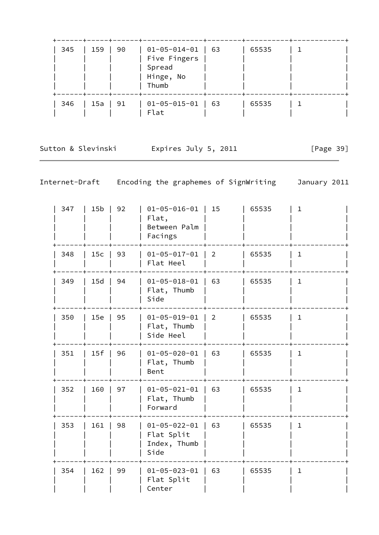| 345 | 159 | 90 | 01-05-014-01<br>Five Fingers<br>Spread<br>Hinge, No<br>Thumb | 63 | 65535 |  |
|-----|-----|----|--------------------------------------------------------------|----|-------|--|
| 346 | 15a | 91 | $01 - 05 - 015 - 01$<br>Flat                                 | 63 | 65535 |  |

Sutton & Slevinski and Expires July 5, 2011 [Page 39]

| 347 | 15 <sub>b</sub> | 92 | $01 - 05 - 016 - 01$<br>Flat,<br>Between Palm<br>Facings   | 15             | 65535 | $\mathbf{1}$ |  |
|-----|-----------------|----|------------------------------------------------------------|----------------|-------|--------------|--|
| 348 | 15c             | 93 | $01 - 05 - 017 - 01$<br>Flat Heel                          | $\overline{2}$ | 65535 | $\mathbf{1}$ |  |
| 349 | 15d             | 94 | $01 - 05 - 018 - 01$<br>Flat, Thumb<br>Side                | 63             | 65535 | $\mathbf 1$  |  |
| 350 | 15e             | 95 | $01 - 05 - 019 - 01$<br>Flat, Thumb<br>Side Heel           | $\overline{2}$ | 65535 | $\mathbf{1}$ |  |
| 351 | 15f             | 96 | $01 - 05 - 020 - 01$<br>Flat, Thumb<br>Bent                | 63             | 65535 | $\mathbf{1}$ |  |
| 352 | 160             | 97 | $01 - 05 - 021 - 01$<br>Flat, Thumb<br>Forward             | 63             | 65535 | $\mathbf{1}$ |  |
| 353 | 161             | 98 | $01 - 05 - 022 - 01$<br>Flat Split<br>Index, Thumb<br>Side | 63             | 65535 | $\mathbf{1}$ |  |
| 354 | 162             | 99 | $01 - 05 - 023 - 01$<br>Flat Split<br>Center               | 63             | 65535 | $\mathbf{1}$ |  |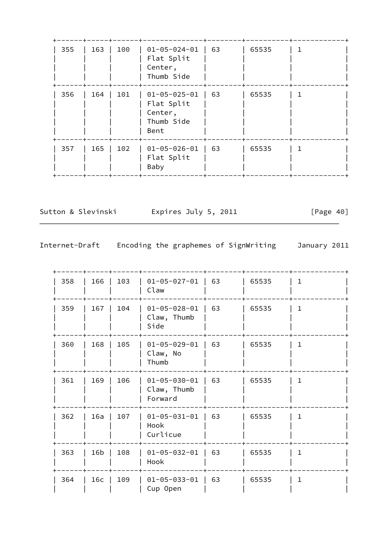| 355 | 163 | 100 | $01 - 05 - 024 - 01$<br>Flat Split<br>Center,<br>Thumb Side         | 63 | 65535 |  |
|-----|-----|-----|---------------------------------------------------------------------|----|-------|--|
| 356 | 164 | 101 | $01 - 05 - 025 - 01$<br>Flat Split<br>Center,<br>Thumb Side<br>Bent | 63 | 65535 |  |
| 357 | 165 | 102 | $01 - 05 - 026 - 01$<br>Flat Split<br>Baby                          | 63 | 65535 |  |

Sutton & Slevinski  $\qquad \qquad$  Expires July 5, 2011 [Page 40]

| 358 | 166             | 103 | $01 - 05 - 027 - 01$<br>Claw                   | 63 | 65535 | $\mathbf{1}$ |  |
|-----|-----------------|-----|------------------------------------------------|----|-------|--------------|--|
| 359 | 167             | 104 | $01 - 05 - 028 - 01$<br>Claw, Thumb<br>Side    | 63 | 65535 | 1            |  |
| 360 | 168             | 105 | $01 - 05 - 029 - 01$<br>Claw, No<br>Thumb      | 63 | 65535 | 1            |  |
| 361 | 169             | 106 | $01 - 05 - 030 - 01$<br>Claw, Thumb<br>Forward | 63 | 65535 | $\mathbf{1}$ |  |
| 362 | 16a             | 107 | $01 - 05 - 031 - 01$<br>Hook<br>Curlicue       | 63 | 65535 | 1            |  |
| 363 | 16b             | 108 | $01 - 05 - 032 - 01$<br>Hook                   | 63 | 65535 | $\mathbf{1}$ |  |
| 364 | 16 <sub>c</sub> | 109 | $01 - 05 - 033 - 01$<br>Cup Open               | 63 | 65535 | 1.           |  |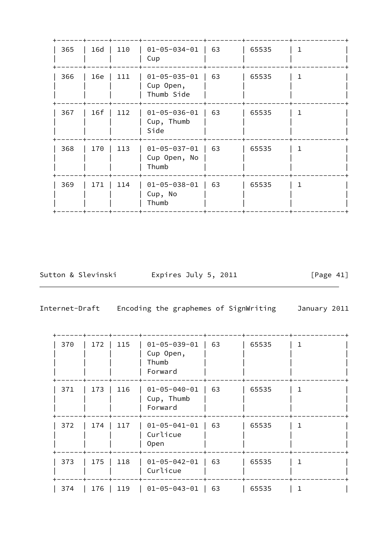| 365 | 16d | 110 | $01 - 05 - 034 - 01$<br>Cup                     | 63 | 65535 |              |
|-----|-----|-----|-------------------------------------------------|----|-------|--------------|
| 366 | 16e | 111 | $01 - 05 - 035 - 01$<br>Cup Open,<br>Thumb Side | 63 | 65535 | 1            |
| 367 | 16f | 112 | $01 - 05 - 036 - 01$<br>Cup, Thumb<br>Side      | 63 | 65535 | $\mathbf{1}$ |
| 368 | 170 | 113 | $01 - 05 - 037 - 01$<br>Cup Open, No<br>Thumb   | 63 | 65535 | $\mathbf 1$  |
| 369 | 171 | 114 | $01 - 05 - 038 - 01$<br>Cup, No<br>Thumb        | 63 | 65535 | 1            |
|     |     |     |                                                 |    |       |              |

Sutton & Slevinski and Expires July 5, 2011 [Page 41]

| 370 | 172 | 115 | $01 - 05 - 039 - 01$<br>Cup Open,<br>Thumb<br>Forward | 63 | 65535 |  |
|-----|-----|-----|-------------------------------------------------------|----|-------|--|
| 371 | 173 | 116 | $01 - 05 - 040 - 01$<br>Cup, Thumb<br>Forward         | 63 | 65535 |  |
| 372 | 174 | 117 | $01 - 05 - 041 - 01$<br>Curlicue<br>0pen              | 63 | 65535 |  |
| 373 | 175 | 118 | $01 - 05 - 042 - 01$<br>Curlicue                      | 63 | 65535 |  |
| 374 | 176 | 119 | $01 - 05 - 043 - 01$                                  | 63 | 65535 |  |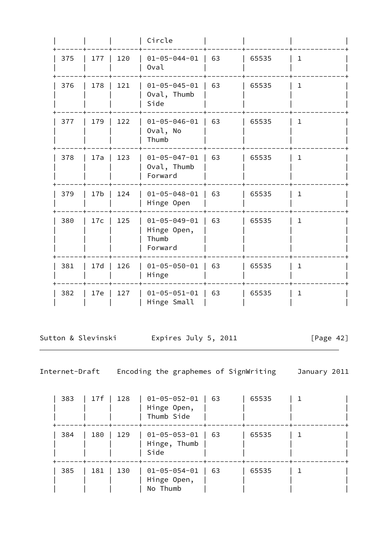|     |                 |     | Circle                                                  |    |       |              |  |
|-----|-----------------|-----|---------------------------------------------------------|----|-------|--------------|--|
| 375 | 177             | 120 | $01 - 05 - 044 - 01$<br>Oval                            | 63 | 65535 | $\mathbf{1}$ |  |
| 376 | 178             | 121 | $01 - 05 - 045 - 01$<br>Oval, Thumb<br>Side             | 63 | 65535 | $\mathbf{1}$ |  |
| 377 | 179             | 122 | $01 - 05 - 046 - 01$<br>Oval, No<br>Thumb               | 63 | 65535 | 1            |  |
| 378 | 17a             | 123 | $01 - 05 - 047 - 01$<br>Oval, Thumb<br>Forward          | 63 | 65535 | 1            |  |
| 379 | 17 <sub>b</sub> | 124 | $01 - 05 - 048 - 01$<br>Hinge Open                      | 63 | 65535 | $\mathbf{1}$ |  |
| 380 | 17c             | 125 | $01 - 05 - 049 - 01$<br>Hinge Open,<br>Thumb<br>Forward | 63 | 65535 | $\mathbf{1}$ |  |
| 381 | 17d             | 126 | $01 - 05 - 050 - 01$<br>Hinge                           | 63 | 65535 | $\mathbf{1}$ |  |
| 382 | 17e             | 127 | $01 - 05 - 051 - 01$<br>Hinge Small                     | 63 | 65535 | $\mathbf{1}$ |  |

Sutton & Slevinski and Expires July 5, 2011 [Page 42]

| 383 | 17f | 128 | $01 - 05 - 052 - 01$<br>Hinge Open,<br>Thumb Side | 63 | 65535 |  |
|-----|-----|-----|---------------------------------------------------|----|-------|--|
| 384 | 180 | 129 | $01 - 05 - 053 - 01$<br>Hinge, Thumb<br>Side      | 63 | 65535 |  |
| 385 | 181 | 130 | $01 - 05 - 054 - 01$<br>Hinge Open,<br>No Thumb   | 63 | 65535 |  |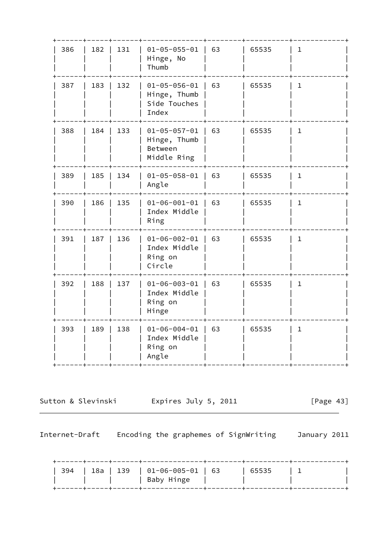| 386 | 182   | 131 | $01 - 05 - 055 - 01$<br>Hinge, No<br>Thumb                     | 63 | 65535 | 1            |
|-----|-------|-----|----------------------------------------------------------------|----|-------|--------------|
| 387 | 183   | 132 | $01 - 05 - 056 - 01$<br>Hinge, Thumb<br>Side Touches<br>Index  | 63 | 65535 | $\mathbf{1}$ |
| 388 | 184   | 133 | $01 - 05 - 057 - 01$<br>Hinge, Thumb<br>Between<br>Middle Ring | 63 | 65535 | 1            |
| 389 | $185$ | 134 | $01 - 05 - 058 - 01$   63<br>Angle                             |    | 65535 | 1            |
| 390 | 186   | 135 | $01 - 06 - 001 - 01$<br>Index Middle<br>Ring                   | 63 | 65535 | 1            |
| 391 | 187   | 136 | $01 - 06 - 002 - 01$<br>Index Middle<br>Ring on<br>Circle      | 63 | 65535 | 1            |
| 392 | 188   | 137 | $01 - 06 - 003 - 01$<br>Index Middle<br>Ring on<br>Hinge       | 63 | 65535 | $\mathbf{1}$ |
| 393 | 189   | 138 | $01 - 06 - 004 - 01$<br>Index Middle<br>Ring on<br>Angle       | 63 | 65535 | $\mathbf 1$  |
|     |       |     |                                                                |    |       |              |

Sutton & Slevinski and Expires July 5, 2011 [Page 43]

|  |  | 394   18a   139   01-06-005-01   63<br>  Baby Hinge | 65535 |  |
|--|--|-----------------------------------------------------|-------|--|
|  |  |                                                     |       |  |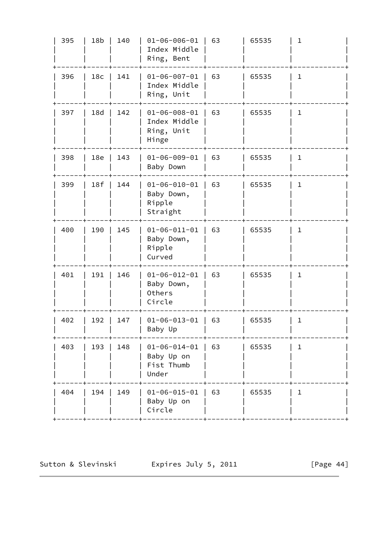| 395 | 18 <sub>b</sub> | 140       | $01 - 06 - 006 - 01$<br>Index Middle<br>Ring, Bent          | 63 | 65535 | $\mathbf 1$  |
|-----|-----------------|-----------|-------------------------------------------------------------|----|-------|--------------|
| 396 | 18 <sub>c</sub> | 141       | $01 - 06 - 007 - 01$<br>Index Middle<br>Ring, Unit          | 63 | 65535 | $\mathbf 1$  |
| 397 | 18d             | 142       | $01 - 06 - 008 - 01$<br>Index Middle<br>Ring, Unit<br>Hinge | 63 | 65535 | $\mathbf 1$  |
| 398 | 18e             | 143       | $01 - 06 - 009 - 01$<br>Baby Down                           | 63 | 65535 | $\mathbf{1}$ |
| 399 | 18f             | 144       | $01 - 06 - 010 - 01$<br>Baby Down,<br>Ripple<br>Straight    | 63 | 65535 | $\mathbf{1}$ |
| 400 | 190             | 145       | $01 - 06 - 011 - 01$<br>Baby Down,<br>Ripple<br>Curved      | 63 | 65535 | $\mathbf{1}$ |
| 401 | 191             | 146       | $01 - 06 - 012 - 01$<br>Baby Down,<br>Others<br>Circle      | 63 | 65535 | $\mathbf 1$  |
| 402 |                 | 192   147 | $01 - 06 - 013 - 01$ 63<br>Baby Up                          |    | 65535 | 1.           |
| 403 | 193             | 148       | $01 - 06 - 014 - 01$<br>Baby Up on<br>Fist Thumb<br>Under   | 63 | 65535 | $\mathbf{1}$ |
| 404 | 194             | 149       | $01 - 06 - 015 - 01$<br>Baby Up on<br>Circle                | 63 | 65535 | 1            |
|     |                 |           |                                                             |    |       |              |

Sutton & Slevinski  $\qquad \qquad$  Expires July 5, 2011 [Page 44]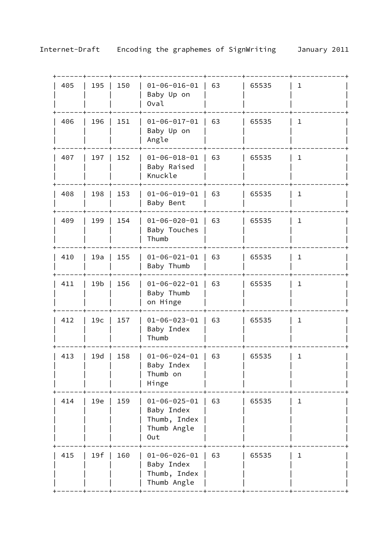| 405 | 195             | 150 | $01 - 06 - 016 - 01$<br>Baby Up on<br>Oval                               | 63 | 65535 | ı            |
|-----|-----------------|-----|--------------------------------------------------------------------------|----|-------|--------------|
| 406 | 196             | 151 | $01 - 06 - 017 - 01$<br>Baby Up on<br>Angle                              | 63 | 65535 | $\mathbf 1$  |
| 407 | 197             | 152 | $01 - 06 - 018 - 01$<br>Baby Raised<br>Knuckle                           | 63 | 65535 | $\mathbf 1$  |
| 408 | 198             | 153 | $01 - 06 - 019 - 01$<br>Baby Bent                                        | 63 | 65535 | $\mathbf 1$  |
| 409 | 199             | 154 | $01 - 06 - 020 - 01$<br>Baby Touches<br>Thumb                            | 63 | 65535 | $\mathbf 1$  |
| 410 | 19a             | 155 | $01 - 06 - 021 - 01$<br>Baby Thumb                                       | 63 | 65535 | $\mathbf 1$  |
| 411 | 19 <sub>b</sub> | 156 | $01 - 06 - 022 - 01$<br>Baby Thumb<br>on Hinge                           | 63 | 65535 | 1            |
| 412 | 19 <sub>c</sub> | 157 | $01 - 06 - 023 - 01$<br>Baby Index<br>Thumb                              | 63 | 65535 | $\mathbf{1}$ |
| 413 | 19d             | 158 | $01 - 06 - 024 - 01$<br>Baby Index<br>Thumb on<br>Hinge                  | 63 | 65535 | $\mathbf{1}$ |
| 414 | 19e             | 159 | $01 - 06 - 025 - 01$<br>Baby Index<br>Thumb, Index<br>Thumb Angle<br>0ut | 63 | 65535 | $\mathbf 1$  |
| 415 | 19f             | 160 | $01 - 06 - 026 - 01$<br>Baby Index<br>Thumb, Index<br>Thumb Angle        | 63 | 65535 | 1            |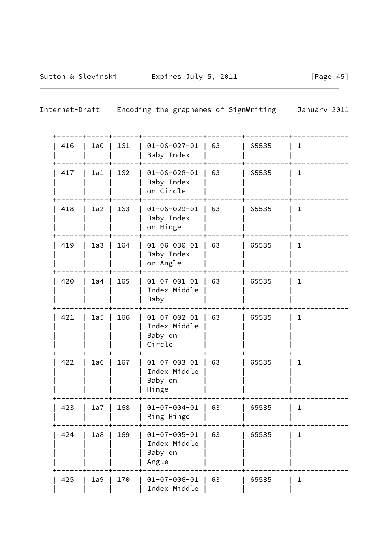| 416 | 1a0 | 161 | $01 - 06 - 027 - 01$<br>Baby Index                        | 63 | 65535 | $\mathbf 1$  |
|-----|-----|-----|-----------------------------------------------------------|----|-------|--------------|
| 417 | 1a1 | 162 | $01 - 06 - 028 - 01$<br>Baby Index<br>on Circle           | 63 | 65535 | $\mathbf 1$  |
| 418 | 1a2 | 163 | $01 - 06 - 029 - 01$<br>Baby Index<br>on Hinge            | 63 | 65535 | $\mathbf 1$  |
| 419 | 1a3 | 164 | $01 - 06 - 030 - 01$<br>Baby Index<br>on Angle            | 63 | 65535 | $\mathbf 1$  |
| 420 | 1a4 | 165 | $01 - 07 - 001 - 01$<br>Index Middle<br>Baby              | 63 | 65535 | $\mathbf{1}$ |
| 421 | 1a5 | 166 | $01 - 07 - 002 - 01$<br>Index Middle<br>Baby on<br>Circle | 63 | 65535 | $\mathbf{1}$ |
| 422 | 1a6 | 167 | $01 - 07 - 003 - 01$<br>Index Middle<br>Baby on<br>Hinge  | 63 | 65535 | $\mathbf{1}$ |
| 423 | 1a7 | 168 | $01 - 07 - 004 - 01$<br>Ring Hinge                        | 63 | 65535 | $\mathbf 1$  |
| 424 | 1a8 | 169 | $01 - 07 - 005 - 01$<br>Index Middle<br>Baby on<br>Angle  | 63 | 65535 | ı            |
| 425 | 1a9 | 170 | $01 - 07 - 006 - 01$<br>Index Middle                      | 63 | 65535 | $\mathbf 1$  |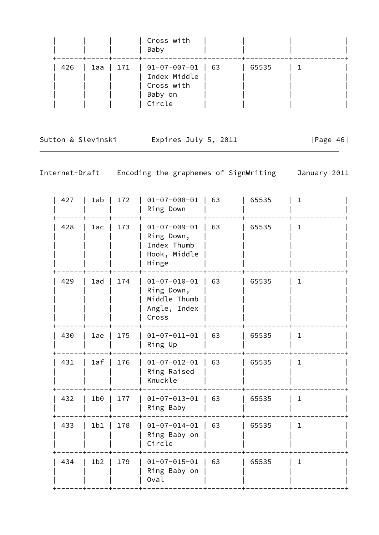|     |           | Cross with<br>Baby                              |       |  |
|-----|-----------|-------------------------------------------------|-------|--|
| 426 | 1aa   171 | 01-07-007-01   63<br>Index Middle<br>Cross with | 65535 |  |
|     |           | Baby on<br>Circle                               |       |  |

Sutton & Slevinski Expires July 5, 2011 [Page 46]

| 427 | 1ab             | 172 | $01 - 07 - 008 - 01$<br>Ring Down                                           | 63 | 65535 | $\mathbf 1$  |
|-----|-----------------|-----|-----------------------------------------------------------------------------|----|-------|--------------|
| 428 | 1ac             | 173 | $01 - 07 - 009 - 01$<br>Ring Down,<br>Index Thumb<br>Hook, Middle<br>Hinge  | 63 | 65535 | $\mathbf{1}$ |
| 429 | 1ad             | 174 | $01 - 07 - 010 - 01$<br>Ring Down,<br>Middle Thumb<br>Angle, Index<br>Cross | 63 | 65535 | $\mathbf{1}$ |
| 430 | 1ae             | 175 | $01 - 07 - 011 - 01$<br>Ring Up                                             | 63 | 65535 | $\mathbf 1$  |
| 431 | 1af             | 176 | $01 - 07 - 012 - 01$<br>Ring Raised<br>Knuckle                              | 63 | 65535 | $\mathbf{1}$ |
| 432 | 1b0             | 177 | $01 - 07 - 013 - 01$<br>Ring Baby                                           | 63 | 65535 | $\mathbf{1}$ |
| 433 | 1b1             | 178 | $01 - 07 - 014 - 01$<br>Ring Baby on<br>Circle                              | 63 | 65535 | $\mathbf{1}$ |
| 434 | 1 <sub>b2</sub> | 179 | $01 - 07 - 015 - 01$<br>Ring Baby on<br>Oval                                | 63 | 65535 | $\mathbf{1}$ |
|     |                 |     |                                                                             |    |       |              |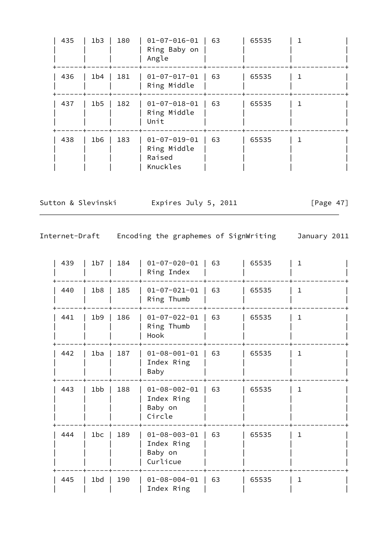| 435 | 1 <sub>b3</sub> | 180 | $01 - 07 - 016 - 01$<br>Ring Baby on<br>Angle             | 63 | 65535 |  |
|-----|-----------------|-----|-----------------------------------------------------------|----|-------|--|
| 436 | 1b4             | 181 | $01 - 07 - 017 - 01$<br>Ring Middle                       | 63 | 65535 |  |
| 437 | 1 <sub>b5</sub> | 182 | $01 - 07 - 018 - 01$<br>Ring Middle<br>Unit               | 63 | 65535 |  |
| 438 | 1 <sub>b6</sub> | 183 | $01 - 07 - 019 - 01$<br>Ring Middle<br>Raised<br>Knuckles | 63 | 65535 |  |

Sutton & Slevinski  $\qquad \qquad$  Expires July 5, 2011 [Page 47]

| 439 | 1 <sub>b7</sub> | 184 | $01 - 07 - 020 - 01$<br>Ring Index                        | 63 | 65535 | 1.           |
|-----|-----------------|-----|-----------------------------------------------------------|----|-------|--------------|
| 440 | 1b8             | 185 | $01 - 07 - 021 - 01$<br>Ring Thumb                        | 63 | 65535 | $\mathbf 1$  |
| 441 | 1 <sub>b9</sub> | 186 | $01 - 07 - 022 - 01$<br>Ring Thumb<br>Hook                | 63 | 65535 | $\mathbf{1}$ |
| 442 | 1ba             | 187 | $01 - 08 - 001 - 01$<br>Index Ring<br>Baby                | 63 | 65535 | 1            |
| 443 | 1bb             | 188 | $01 - 08 - 002 - 01$<br>Index Ring<br>Baby on<br>Circle   | 63 | 65535 | 1            |
| 444 | 1bc             | 189 | $01 - 08 - 003 - 01$<br>Index Ring<br>Baby on<br>Curlicue | 63 | 65535 | $\mathbf{1}$ |
| 445 | 1bd             | 190 | $01 - 08 - 004 - 01$<br>Index Ring                        | 63 | 65535 | $\mathbf{1}$ |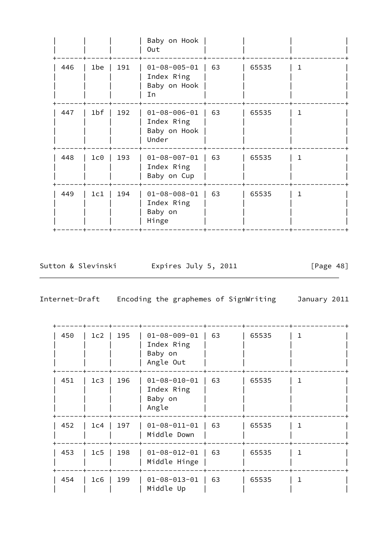|     |                  |     | Baby on Hook<br>Out                                         |    |       |   |
|-----|------------------|-----|-------------------------------------------------------------|----|-------|---|
| 446 | 1be              | 191 | $01 - 08 - 005 - 01$<br>Index Ring<br>Baby on Hook<br>In    | 63 | 65535 | 1 |
| 447 | 1 <sub>b</sub> f | 192 | $01 - 08 - 006 - 01$<br>Index Ring<br>Baby on Hook<br>Under | 63 | 65535 | 1 |
| 448 | 1c0              | 193 | $01 - 08 - 007 - 01$<br>Index Ring<br>Baby on Cup           | 63 | 65535 | 1 |
| 449 | 1c1              | 194 | $01 - 08 - 008 - 01$<br>Index Ring<br>Baby on<br>Hinge      | 63 | 65535 | 1 |

Sutton & Slevinski Expires July 5, 2011 [Page 48]

| 450 | 1c2 | 195 | $01 - 08 - 009 - 01$<br>Index Ring<br>Baby on<br>Angle Out | 63 | 65535 |  |
|-----|-----|-----|------------------------------------------------------------|----|-------|--|
| 451 | 1c3 | 196 | $01 - 08 - 010 - 01$<br>Index Ring<br>Baby on<br>Angle     | 63 | 65535 |  |
| 452 | 1c4 | 197 | $01 - 08 - 011 - 01$<br>Middle Down                        | 63 | 65535 |  |
| 453 | 1c5 | 198 | $01 - 08 - 012 - 01$<br>Middle Hinge                       | 63 | 65535 |  |
| 454 | 1c6 | 199 | $01 - 08 - 013 - 01$<br>Middle Up                          | 63 | 65535 |  |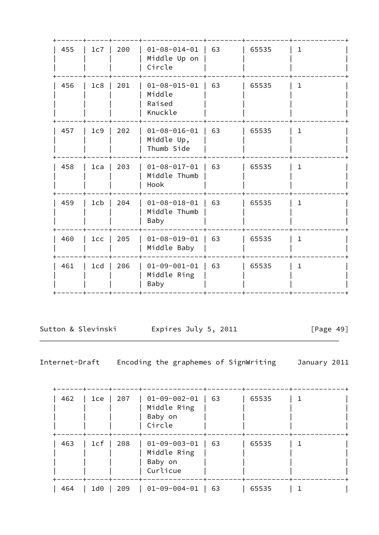| 63<br>455<br>200<br>65535<br>1c7<br>$01 - 08 - 014 - 01$<br>1.<br>Middle Up on<br>Circle<br>201<br>$01 - 08 - 015 - 01$<br>63<br>456<br>1c8<br>65535<br>$\mathbf{1}$<br>Middle<br>Raised<br>Knuckle<br>202<br>$01 - 08 - 016 - 01$<br>63<br>$\mathbf{1}$<br>457<br>1c9<br>65535<br>Middle Up, |  |
|-----------------------------------------------------------------------------------------------------------------------------------------------------------------------------------------------------------------------------------------------------------------------------------------------|--|
|                                                                                                                                                                                                                                                                                               |  |
|                                                                                                                                                                                                                                                                                               |  |
| Thumb Side                                                                                                                                                                                                                                                                                    |  |
| 63<br>458<br>203<br>$01 - 08 - 017 - 01$<br>65535<br>1ca<br>$\mathbf{1}$<br>Middle Thumb<br>Hook                                                                                                                                                                                              |  |
| 63<br>204<br>$01 - 08 - 018 - 01$<br>459<br>1 <sub>cb</sub><br>65535<br>$\mathbf{1}$<br>Middle Thumb<br>Baby                                                                                                                                                                                  |  |
| $01 - 08 - 019 - 01$<br>63<br>205<br>65535<br>$\mathbf{1}$<br>460<br>1cc<br>Middle Baby                                                                                                                                                                                                       |  |
| 63<br>461<br>206<br>$01 - 09 - 001 - 01$<br>65535<br>$\mathbf{1}$<br>1 <sub>cd</sub><br>Middle Ring<br>Baby                                                                                                                                                                                   |  |

Sutton & Slevinski Fxpires July 5, 2011 [Page 49]

| 462 | 1ce | 207 | $01 - 09 - 002 - 01$<br>Middle Ring<br>Baby on<br>Circle   | 63 | 65535 |  |
|-----|-----|-----|------------------------------------------------------------|----|-------|--|
| 463 | 1cf | 208 | $01 - 09 - 003 - 01$<br>Middle Ring<br>Baby on<br>Curlicue | 63 | 65535 |  |
| 464 | 1d0 | 209 | $01 - 09 - 004 - 01$                                       | 63 | 65535 |  |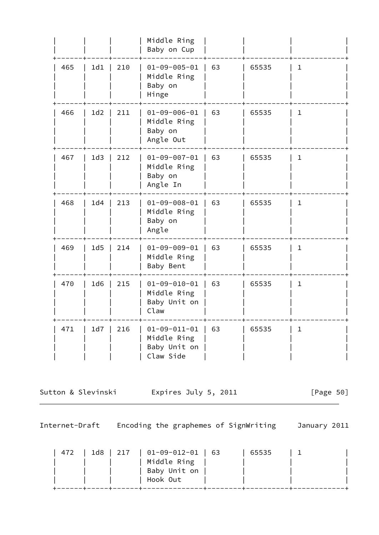|     |     |     | Middle Ring<br>Baby on Cup                                       |    |       |              |
|-----|-----|-----|------------------------------------------------------------------|----|-------|--------------|
| 465 | 1d1 | 210 | $01 - 09 - 005 - 01$<br>Middle Ring<br>Baby on<br>Hinge          | 63 | 65535 | $\mathbf{1}$ |
| 466 | 1d2 | 211 | $01 - 09 - 006 - 01$<br>Middle Ring<br>Baby on<br>Angle Out      | 63 | 65535 | 1            |
| 467 | 1d3 | 212 | $01 - 09 - 007 - 01$<br>Middle Ring<br>Baby on<br>Angle In       | 63 | 65535 | $\mathbf{1}$ |
| 468 | 1d4 | 213 | $01 - 09 - 008 - 01$<br>Middle Ring<br>Baby on<br>Angle          | 63 | 65535 | $\mathbf{1}$ |
| 469 | 1d5 | 214 | $01 - 09 - 009 - 01$<br>Middle Ring<br>Baby Bent                 | 63 | 65535 | $\mathbf 1$  |
| 470 | 1d6 | 215 | $01 - 09 - 010 - 01$<br>Middle Ring<br>Baby Unit on<br>Claw      | 63 | 65535 | $\mathbf{1}$ |
| 471 | 1d7 | 216 | $01 - 09 - 011 - 01$<br>Middle Ring<br>Baby Unit on<br>Claw Side | 63 | 65535 | $\mathbf 1$  |

Sutton & Slevinski Expires July 5, 2011 [Page 50]

Internet-Draft Encoding the graphemes of SignWriting January 2011

 | 472 | 1d8 | 217 | 01-09-012-01 | 63 | 65535 | 1 | | Middle Ring | | | | Baby Unit on | | Hook Out +------+-----+------+--------------+--------+----------+------------+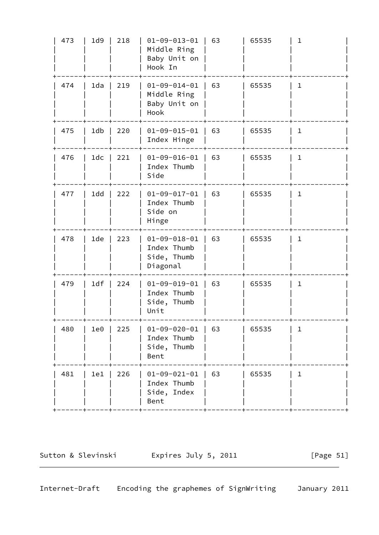| 473 | 1d9   | 218 | $01 - 09 - 013 - 01$<br>Middle Ring<br>Baby Unit on<br>Hook In | 63 | 65535 | 1            |
|-----|-------|-----|----------------------------------------------------------------|----|-------|--------------|
| 474 | 1da   | 219 | $01 - 09 - 014 - 01$<br>Middle Ring<br>Baby Unit on<br>Hook    | 63 | 65535 | $\mathbf 1$  |
| 475 | 1db   | 220 | $01 - 09 - 015 - 01$<br>Index Hinge                            | 63 | 65535 | $\mathbf{1}$ |
| 476 | 1dc   | 221 | $01 - 09 - 016 - 01$<br>Index Thumb<br>Side                    | 63 | 65535 | $\mathbf 1$  |
| 477 | 1dd   | 222 | $01 - 09 - 017 - 01$<br>Index Thumb<br>Side on<br>Hinge        | 63 | 65535 | 1            |
| 478 | 1de   | 223 | $01 - 09 - 018 - 01$<br>Index Thumb<br>Side, Thumb<br>Diagonal | 63 | 65535 | $\mathbf 1$  |
| 479 | 1df   | 224 | $01 - 09 - 019 - 01$<br>Index Thumb<br>Side, Thumb<br>Unit     | 63 | 65535 | 1            |
| 480 | $1e0$ | 225 | $01 - 09 - 020 - 01$<br>Index Thumb<br>Side, Thumb<br>Bent     | 63 | 65535 | 1            |
| 481 | 1e1   | 226 | $01 - 09 - 021 - 01$<br>Index Thumb<br>Side, Index<br>Bent     | 63 | 65535 | 1            |
|     |       |     |                                                                |    |       |              |

Sutton & Slevinski Expires July 5, 2011 [Page 51]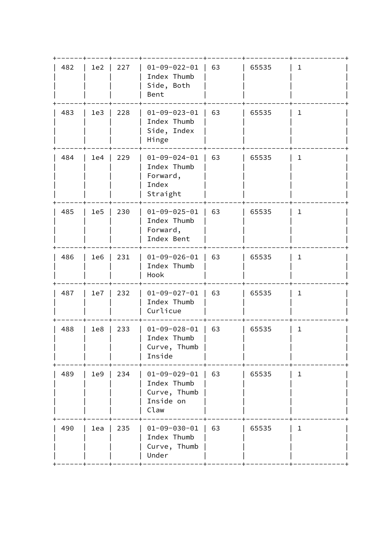| 63<br>482<br>227<br>$01 - 09 - 022 - 01$<br>1e2<br>65535<br>1<br>Index Thumb<br>Side, Both<br>Bent<br>$01 - 09 - 023 - 01$<br>63<br>483<br>228<br>65535<br>$\mathbf{1}$<br>1e3<br>Index Thumb<br>Side, Index<br>Hinge<br>229<br>$01 - 09 - 024 - 01$<br>63<br>484<br>65535<br>$\mathbf{1}$<br>1e4<br>Index Thumb<br>Forward,<br>Index<br>Straight<br>$01 - 09 - 025 - 01$<br>63<br>485<br>230<br>65535<br>$\mathbf{1}$<br>1e5<br>Index Thumb<br>Forward,<br>Index Bent<br>231<br>$01 - 09 - 026 - 01$<br>63<br>486<br>65535<br>$\mathbf{1}$<br>1e6<br>Index Thumb<br>Hook<br>63<br>487<br>232<br>$01 - 09 - 027 - 01$<br>65535<br>$\mathbf{1}$<br>1e7<br>Index Thumb<br>Curlicue<br>488<br>1e8<br>233<br>$01 - 09 - 028 - 01$<br>63<br>65535<br>$1\,$<br>Index Thumb<br>Curve, Thumb<br>Inside<br>63<br>489<br>234<br>$01 - 09 - 029 - 01$<br>65535<br>1e9<br>$\mathbf{1}$<br>Index Thumb<br>Curve, Thumb<br>Inside on<br>Claw<br>63<br>235<br>$01 - 09 - 030 - 01$<br>65535<br>$\mathbf{1}$<br>490<br>1ea<br>Index Thumb<br>Curve, Thumb<br>Under |  |  |  |  |
|----------------------------------------------------------------------------------------------------------------------------------------------------------------------------------------------------------------------------------------------------------------------------------------------------------------------------------------------------------------------------------------------------------------------------------------------------------------------------------------------------------------------------------------------------------------------------------------------------------------------------------------------------------------------------------------------------------------------------------------------------------------------------------------------------------------------------------------------------------------------------------------------------------------------------------------------------------------------------------------------------------------------------------------------------|--|--|--|--|
|                                                                                                                                                                                                                                                                                                                                                                                                                                                                                                                                                                                                                                                                                                                                                                                                                                                                                                                                                                                                                                                    |  |  |  |  |
|                                                                                                                                                                                                                                                                                                                                                                                                                                                                                                                                                                                                                                                                                                                                                                                                                                                                                                                                                                                                                                                    |  |  |  |  |
|                                                                                                                                                                                                                                                                                                                                                                                                                                                                                                                                                                                                                                                                                                                                                                                                                                                                                                                                                                                                                                                    |  |  |  |  |
|                                                                                                                                                                                                                                                                                                                                                                                                                                                                                                                                                                                                                                                                                                                                                                                                                                                                                                                                                                                                                                                    |  |  |  |  |
|                                                                                                                                                                                                                                                                                                                                                                                                                                                                                                                                                                                                                                                                                                                                                                                                                                                                                                                                                                                                                                                    |  |  |  |  |
|                                                                                                                                                                                                                                                                                                                                                                                                                                                                                                                                                                                                                                                                                                                                                                                                                                                                                                                                                                                                                                                    |  |  |  |  |
|                                                                                                                                                                                                                                                                                                                                                                                                                                                                                                                                                                                                                                                                                                                                                                                                                                                                                                                                                                                                                                                    |  |  |  |  |
|                                                                                                                                                                                                                                                                                                                                                                                                                                                                                                                                                                                                                                                                                                                                                                                                                                                                                                                                                                                                                                                    |  |  |  |  |
|                                                                                                                                                                                                                                                                                                                                                                                                                                                                                                                                                                                                                                                                                                                                                                                                                                                                                                                                                                                                                                                    |  |  |  |  |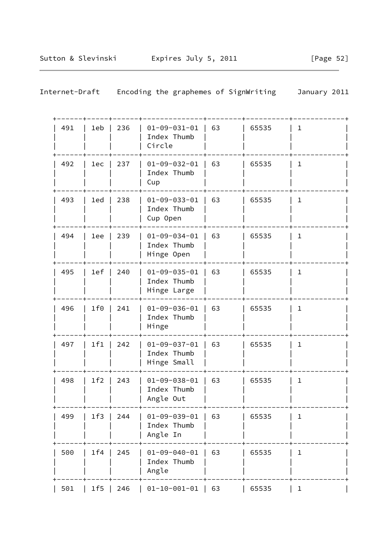| Internet-Draft |     | Encoding the graphemes of SignWriting<br>January 2011 |    |       |              |  |  |
|----------------|-----|-------------------------------------------------------|----|-------|--------------|--|--|
| 491<br>1eb     | 236 | $01 - 09 - 031 - 01$<br>Index Thumb<br>Circle         | 63 | 65535 | $\mathbf 1$  |  |  |
| 492<br>1ec     | 237 | $01 - 09 - 032 - 01$<br>Index Thumb<br>Cup            | 63 | 65535 | 1            |  |  |
| 493<br>1ed     | 238 | $01 - 09 - 033 - 01$<br>Index Thumb<br>Cup Open       | 63 | 65535 | 1            |  |  |
| 494<br>1ee     | 239 | $01 - 09 - 034 - 01$<br>Index Thumb<br>Hinge Open     | 63 | 65535 | 1            |  |  |
| 495<br>1ef     | 240 | $01 - 09 - 035 - 01$<br>Index Thumb<br>Hinge Large    | 63 | 65535 | $\mathbf{1}$ |  |  |
| 1f0<br>496     | 241 | $01 - 09 - 036 - 01$<br>Index Thumb<br>Hinge          | 63 | 65535 | 1            |  |  |
| 1f1<br>497     | 242 | $01 - 09 - 037 - 01$<br>Index Thumb<br>Hinge Small    | 63 | 65535 | 1            |  |  |
| 1f2<br>498     | 243 | $01 - 09 - 038 - 01$<br>Index Thumb<br>Angle Out      | 63 | 65535 | 1            |  |  |
| 499<br>1f3     | 244 | $01 - 09 - 039 - 01$<br>Index Thumb<br>Angle In       | 63 | 65535 | 1            |  |  |
| 1f4<br>500     | 245 | $01 - 09 - 040 - 01$<br>Index Thumb<br>Angle          | 63 | 65535 | 1            |  |  |
| 1f5<br>501     | 246 | $01 - 10 - 001 - 01$                                  | 63 | 65535 | $\mathbf{1}$ |  |  |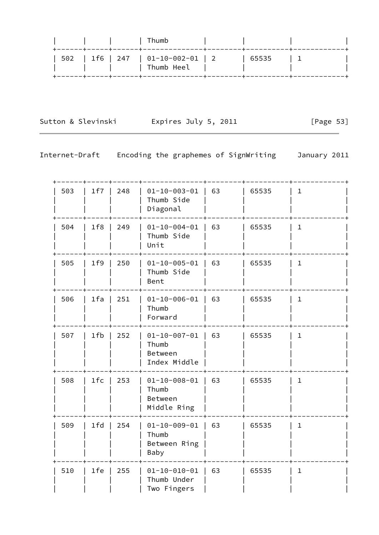| 502   1f6   247   01-10-002-01   2<br>65535<br>  Thumb Heel |  | Thumb |  |  |
|-------------------------------------------------------------|--|-------|--|--|
|                                                             |  |       |  |  |

Sutton & Slevinski Expires July 5, 2011 [Page 53]

 $\overline{\phantom{0}}$ 

| 503 | 1f7   | 248 | $01 - 10 - 003 - 01$<br>Thumb Side<br>Diagonal           | 63 | 65535 | $\mathbf{1}$ |  |
|-----|-------|-----|----------------------------------------------------------|----|-------|--------------|--|
| 504 | 1f8   | 249 | $01 - 10 - 004 - 01$<br>Thumb Side<br>Unit               | 63 | 65535 | 1            |  |
| 505 | 1f9   | 250 | $01 - 10 - 005 - 01$<br>Thumb Side<br>Bent               | 63 | 65535 | $\mathbf{1}$ |  |
| 506 | $1fa$ | 251 | $01 - 10 - 006 - 01$  <br>Thumb<br>Forward               | 63 | 65535 | $\mathbf{1}$ |  |
| 507 | 1fb   | 252 | $01 - 10 - 007 - 01$<br>Thumb<br>Between<br>Index Middle | 63 | 65535 | 1            |  |
| 508 | $1fc$ | 253 | $01 - 10 - 008 - 01$<br>Thumb<br>Between<br>Middle Ring  | 63 | 65535 | $\mathbf{1}$ |  |
| 509 | $1fd$ | 254 | $01 - 10 - 009 - 01$<br>Thumb<br>Between Ring<br>Baby    | 63 | 65535 | $\mathbf{1}$ |  |
| 510 | 1fe   | 255 | $01 - 10 - 010 - 01$<br>Thumb Under<br>Two Fingers       | 63 | 65535 | $\mathbf{1}$ |  |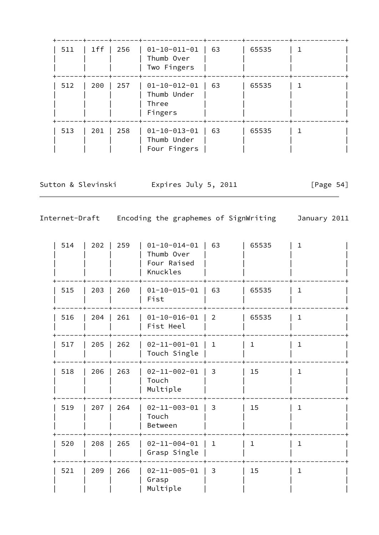| 511 | 1ff | 256 | $01-10-011-01$<br>Thumb Over<br>Two Fingers             | 63 | 65535 |  |
|-----|-----|-----|---------------------------------------------------------|----|-------|--|
| 512 | 200 | 257 | $01 - 10 - 012 - 01$<br>Thumb Under<br>Three<br>Fingers | 63 | 65535 |  |
| 513 | 201 | 258 | $01 - 10 - 013 - 01$<br>Thumb Under<br>Four Fingers     | 63 | 65535 |  |

Sutton & Slevinski and Expires July 5, 2011 [Page 54]

| 514 | 202 | 259 | $01 - 10 - 014 - 01$<br>Thumb Over<br>Four Raised<br>Knuckles | 63             | 65535        | $\mathbf{1}$ |  |
|-----|-----|-----|---------------------------------------------------------------|----------------|--------------|--------------|--|
| 515 | 203 | 260 | $01 - 10 - 015 - 01$<br>Fist                                  | 63             | 65535        | $\mathbf{1}$ |  |
| 516 | 204 | 261 | $01 - 10 - 016 - 01$<br>Fist Heel                             | $\overline{2}$ | 65535        | $\mathbf 1$  |  |
| 517 | 205 | 262 | $02 - 11 - 001 - 01$<br>Touch Single                          | $1\,$          | $\mathbf{1}$ | $\mathbf{1}$ |  |
| 518 | 206 | 263 | $02 - 11 - 002 - 01$<br>Touch<br>Multiple                     | 3              | 15           | $\mathbf{1}$ |  |
| 519 | 207 | 264 | $02 - 11 - 003 - 01$<br>Touch<br>Between                      | 3              | 15           | $\mathbf{1}$ |  |
| 520 | 208 | 265 | $02 - 11 - 004 - 01$<br>Grasp Single                          | $\mathbf{1}$   | $\mathbf{1}$ | $\mathbf{1}$ |  |
| 521 | 209 | 266 | $02 - 11 - 005 - 01$<br>Grasp<br>Multiple                     | 3              | 15           | $\mathbf{1}$ |  |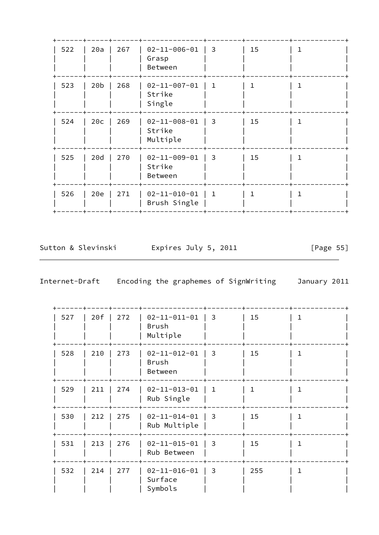| 522 | 20a             | 267 | $02 - 11 - 006 - 01$<br>Grasp<br>Between   | 3            | 15 |  |
|-----|-----------------|-----|--------------------------------------------|--------------|----|--|
| 523 | 20 <sub>b</sub> | 268 | $02 - 11 - 007 - 01$<br>Strike<br>Single   | $\mathbf 1$  | 1  |  |
| 524 | 20c             | 269 | $02 - 11 - 008 - 01$<br>Strike<br>Multiple | 3            | 15 |  |
| 525 | 20d             | 270 | $02 - 11 - 009 - 01$<br>Strike<br>Between  | 3            | 15 |  |
| 526 | 20e             | 271 | $02 - 11 - 010 - 01$<br>Brush Single       | $\mathbf{1}$ |    |  |

Sutton & Slevinski Expires July 5, 2011

[Page 55]

| 527 | 20f | 272 | $02 - 11 - 011 - 01$<br><b>Brush</b><br>Multiple | 3  | 15           | ı |
|-----|-----|-----|--------------------------------------------------|----|--------------|---|
| 528 | 210 | 273 | $02 - 11 - 012 - 01$<br><b>Brush</b><br>Between  | 3  | 15           | 1 |
| 529 | 211 | 274 | $02 - 11 - 013 - 01$<br>Rub Single               | 1. | $\mathbf{1}$ |   |
| 530 | 212 | 275 | $02 - 11 - 014 - 01$<br>Rub Multiple             | 3  | 15           | 1 |
| 531 | 213 | 276 | $02 - 11 - 015 - 01$<br>Rub Between              | 3  | 15           |   |
| 532 | 214 | 277 | $02 - 11 - 016 - 01$<br>Surface<br>Symbols       | 3  | 255          | 1 |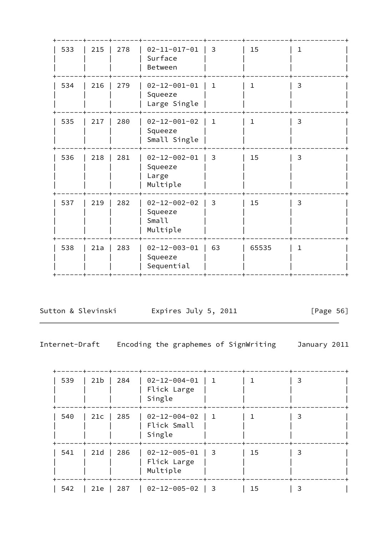| 533 | 215 | 278 | $02 - 11 - 017 - 01$<br>Surface<br>Between           | $\overline{3}$ | 15           | 1. |
|-----|-----|-----|------------------------------------------------------|----------------|--------------|----|
| 534 | 216 | 279 | $02 - 12 - 001 - 01$<br>Squeeze<br>Large Single      | $\mathbf{1}$   | $\mathbf{1}$ | 3  |
| 535 | 217 | 280 | $02 - 12 - 001 - 02$<br>Squeeze<br>Small Single      | $\mathbf{1}$   | $\mathbf{1}$ | 3  |
| 536 | 218 | 281 | $02 - 12 - 002 - 01$<br>Squeeze<br>Large<br>Multiple | 3              | 15           | 3  |
| 537 | 219 | 282 | $02 - 12 - 002 - 02$<br>Squeeze<br>Small<br>Multiple | 3              | 15           | 3  |
| 538 | 21a | 283 | $02 - 12 - 003 - 01$<br>Squeeze<br>Sequential        | 63             | 65535        | 1  |

Sutton & Slevinski Expires July 5, 2011 [Page 56]

| 539 | 21b | 284 | $02 - 12 - 004 - 01$<br>Flick Large<br>Single   | - 1       |    | 3 |  |
|-----|-----|-----|-------------------------------------------------|-----------|----|---|--|
| 540 | 21c | 285 | $02 - 12 - 004 - 02$<br>Flick Small<br>Single   | -1        |    | 3 |  |
| 541 | 21d | 286 | $02 - 12 - 005 - 01$<br>Flick Large<br>Multiple | $\vert$ 3 | 15 | 3 |  |
| 542 | 21e | 287 | 02-12-005-02                                    | $\vert$ 3 | 15 |   |  |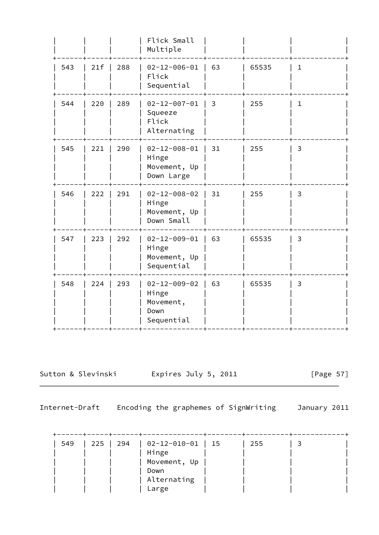|     |     |     | Flick Small<br>Multiple                                          |    |       |              |
|-----|-----|-----|------------------------------------------------------------------|----|-------|--------------|
| 543 | 21f | 288 | $02 - 12 - 006 - 01$<br>Flick<br>Sequential                      | 63 | 65535 | $\mathbf{1}$ |
| 544 | 220 | 289 | $02 - 12 - 007 - 01$<br>Squeeze<br>Flick<br>Alternating          | 3  | 255   | $\mathbf{1}$ |
| 545 | 221 | 290 | $02 - 12 - 008 - 01$<br>Hinge<br>Movement, Up<br>Down Large      | 31 | 255   | 3            |
| 546 | 222 | 291 | $02 - 12 - 008 - 02$<br>Hinge<br>Movement, Up<br>Down Small      | 31 | 255   | 3            |
| 547 | 223 | 292 | $02 - 12 - 009 - 01$<br>Hinge<br>Movement, Up<br>Sequential      | 63 | 65535 | 3            |
| 548 | 224 | 293 | $02 - 12 - 009 - 02$<br>Hinge<br>Movement,<br>Down<br>Sequential | 63 | 65535 | 3            |
|     |     |     |                                                                  |    |       |              |

Sutton & Slevinski Expires July 5, 2011 [Page 57]

| 549 | 225 | $\begin{array}{c} \begin{array}{c} \end{array} \end{array}$ | $\vert$ 02-12-010-01   15 | 255 |  |
|-----|-----|-------------------------------------------------------------|---------------------------|-----|--|
|     |     |                                                             | Hinge                     |     |  |
|     |     |                                                             | Movement, Up              |     |  |
|     |     |                                                             | Down                      |     |  |
|     |     |                                                             | Alternating               |     |  |
|     |     |                                                             | Large                     |     |  |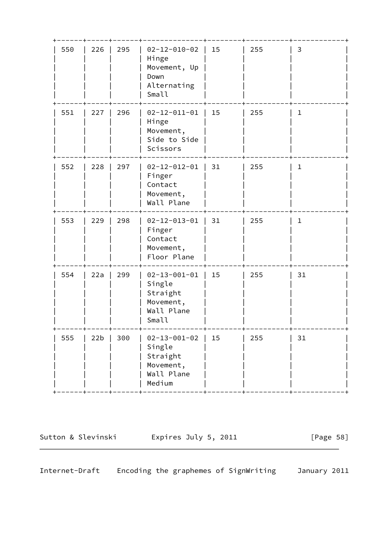| 550 | 226 | 295 | $02 - 12 - 010 - 02$<br>Hinge<br>Movement, Up<br>Down<br>Alternating<br>Small   | 15 | 255 | 3           |
|-----|-----|-----|---------------------------------------------------------------------------------|----|-----|-------------|
| 551 | 227 | 296 | $02 - 12 - 011 - 01$<br>Hinge<br>Movement,<br>Side to Side<br>Scissors          | 15 | 255 | 1           |
| 552 | 228 | 297 | $02 - 12 - 012 - 01$  <br>Finger<br>Contact<br>Movement,<br>Wall Plane          | 31 | 255 | $\mathbf 1$ |
| 553 | 229 | 298 | $02 - 12 - 013 - 01$<br>Finger<br>Contact<br>Movement,<br>Floor Plane           | 31 | 255 | $\mathbf 1$ |
| 554 | 22a | 299 | $02 - 13 - 001 - 01$<br>Single<br>Straight<br>Movement,<br>Wall Plane<br>Small  | 15 | 255 | 31          |
| 555 | 22b | 300 | $02 - 13 - 001 - 02$<br>Single<br>Straight<br>Movement,<br>Wall Plane<br>Medium | 15 | 255 | 31          |

Sutton & Slevinski Fxpires July 5, 2011 [Page 58]

Internet-Draft Encoding the graphemes of SignWriting January 2011

 $\overline{\phantom{0}}$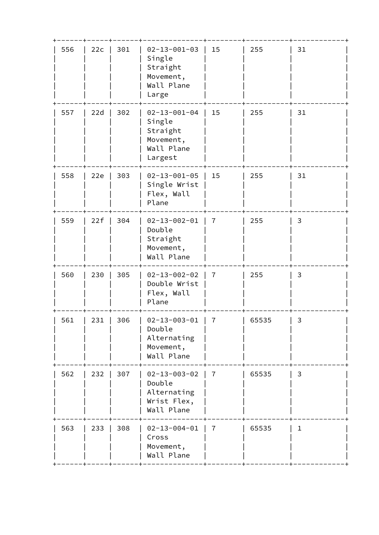| 556<br>557 | 22c<br>22d | 301 | $02 - 13 - 001 - 03$<br>Single<br>Straight<br>Movement,<br>Wall Plane<br>Large   | 15             | 255   | 31 |
|------------|------------|-----|----------------------------------------------------------------------------------|----------------|-------|----|
|            |            |     |                                                                                  |                |       |    |
|            |            | 302 | $02 - 13 - 001 - 04$<br>Single<br>Straight<br>Movement,<br>Wall Plane<br>Largest | 15             | 255   | 31 |
| 558        | 22e        | 303 | $02 - 13 - 001 - 05$<br>Single Wrist<br>Flex, Wall<br>Plane                      | 15             | 255   | 31 |
| 559        | 22f        | 304 | $02 - 13 - 002 - 01$<br>Double<br>Straight<br>Movement,<br>Wall Plane            | $\overline{7}$ | 255   | 3  |
| 560        | 230        | 305 | $02 - 13 - 002 - 02$<br>Double Wrist<br>Flex, Wall<br>Plane                      | $\overline{7}$ | 255   | 3  |
| 561        | 231        | 306 | $02 - 13 - 003 - 01$<br>Double<br>Alternating<br>Movement,<br>Wall Plane         | 7              | 65535 | 3  |
| 562        | 232        | 307 | $02 - 13 - 003 - 02$<br>Double<br>Alternating<br>Wrist Flex,<br>Wall Plane       | $\overline{7}$ | 65535 | 3  |
| 563        | 233        | 308 | $02 - 13 - 004 - 01$<br>Cross<br>Movement,<br>Wall Plane                         | 7              | 65535 | 1  |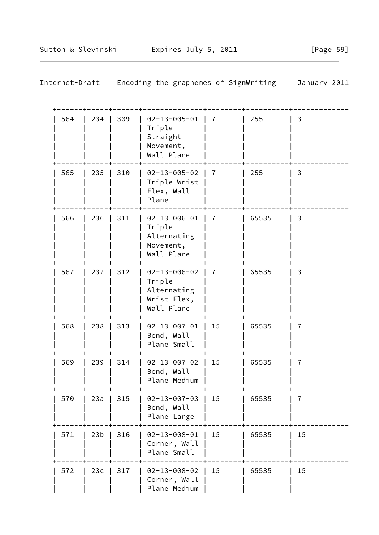| 564 | 234             | 309 | $02 - 13 - 005 - 01$<br>Triple<br>Straight<br>Movement,<br>Wall Plane      | 7              | 255   | 3              |  |
|-----|-----------------|-----|----------------------------------------------------------------------------|----------------|-------|----------------|--|
| 565 | 235             | 310 | $02 - 13 - 005 - 02$<br>Triple Wrist<br>Flex, Wall<br>Plane                | $\overline{7}$ | 255   | 3              |  |
| 566 | 236             | 311 | $02 - 13 - 006 - 01$<br>Triple<br>Alternating<br>Movement,<br>Wall Plane   | $\overline{7}$ | 65535 | 3              |  |
| 567 | 237             | 312 | $02 - 13 - 006 - 02$<br>Triple<br>Alternating<br>Wrist Flex,<br>Wall Plane | $\overline{7}$ | 65535 | 3              |  |
| 568 | 238             | 313 | $02 - 13 - 007 - 01$<br>Bend, Wall<br>Plane Small                          | 15             | 65535 | $\overline{7}$ |  |
| 569 | 239             | 314 | $02 - 13 - 007 - 02$<br>Bend, Wall<br>Plane Medium                         | 15             | 65535 | $\overline{7}$ |  |
| 570 | 23a             | 315 | $02 - 13 - 007 - 03$<br>Bend, Wall<br>Plane Large                          | 15             | 65535 | 7              |  |
| 571 | 23 <sub>b</sub> | 316 | $02 - 13 - 008 - 01$<br>Corner, Wall<br>Plane Small                        | 15             | 65535 | 15             |  |
| 572 | 23c             | 317 | $02 - 13 - 008 - 02$<br>Corner, Wall<br>Plane Medium                       | 15             | 65535 | 15             |  |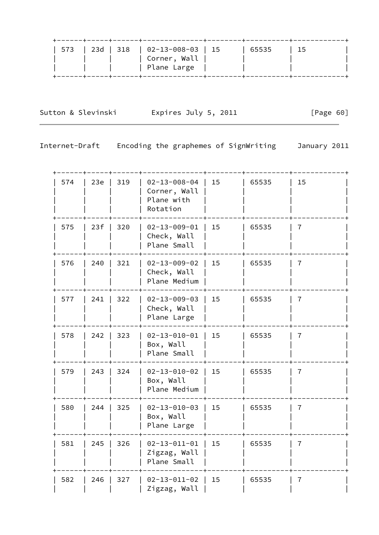|  | . _ _ _ _ + _ _ _ _ _ + _ _ _ _ _ _ + _ _ _ _ _ _ _ _ _ _ _ _ _ _ _ |       |      |
|--|---------------------------------------------------------------------|-------|------|
|  | 573   23d   318   02-13-008-03   15                                 | 65535 | l 15 |
|  | ' Corner, Wall <sub>I</sub>                                         |       |      |
|  | Plane Large                                                         |       |      |
|  |                                                                     |       |      |

Sutton & Slevinski Fxpires July 5, 2011 [Page 60]

| 574 | 23e | 319 | $02 - 13 - 008 - 04$<br>Corner, Wall<br>Plane with<br>Rotation | 15 | 65535 | 15             |  |
|-----|-----|-----|----------------------------------------------------------------|----|-------|----------------|--|
| 575 | 23f | 320 | $02 - 13 - 009 - 01$<br>Check, Wall<br>Plane Small             | 15 | 65535 | 7              |  |
| 576 | 240 | 321 | $02 - 13 - 009 - 02$<br>Check, Wall<br>Plane Medium            | 15 | 65535 | 7              |  |
| 577 | 241 | 322 | $02 - 13 - 009 - 03$<br>Check, Wall<br>Plane Large             | 15 | 65535 | $\overline{7}$ |  |
| 578 | 242 | 323 | $02 - 13 - 010 - 01$<br>Box, Wall<br>Plane Small               | 15 | 65535 | 7              |  |
| 579 | 243 | 324 | $02 - 13 - 010 - 02$<br>Box, Wall<br>Plane Medium              | 15 | 65535 | 7              |  |
| 580 | 244 | 325 | $02 - 13 - 010 - 03$<br>Box, Wall<br>Plane Large               | 15 | 65535 | 7              |  |
| 581 | 245 | 326 | $02 - 13 - 011 - 01$<br>Zigzag, Wall<br>Plane Small            | 15 | 65535 | 7              |  |
| 582 | 246 | 327 | $02 - 13 - 011 - 02$<br>Zigzag, Wall                           | 15 | 65535 | 7              |  |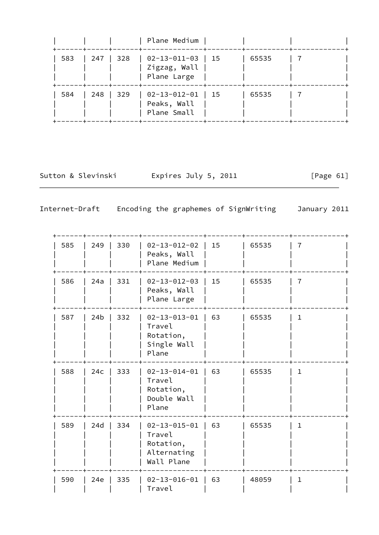|     |           |      | Plane Medium                                                     |       |  |
|-----|-----------|------|------------------------------------------------------------------|-------|--|
| 583 | 247   328 |      | $\vert$ 02-13-011-03 $\vert$ 15<br>Zigzag, Wall  <br>Plane Large | 65535 |  |
| 584 | 248       | -329 | $  02 - 13 - 012 - 01   15$<br>Peaks, Wall<br>Plane Small        | 65535 |  |

Sutton & Slevinski Expires July 5, 2011 [Page 61]

| 585 | 249             | 330 | $02 - 13 - 012 - 02$<br>Peaks, Wall<br>Plane Medium                      | 15 | 65535 | 7            |
|-----|-----------------|-----|--------------------------------------------------------------------------|----|-------|--------------|
| 586 | 24a             | 331 | $02 - 13 - 012 - 03$<br>Peaks, Wall<br>Plane Large                       | 15 | 65535 | 7            |
| 587 | 24 <sub>b</sub> | 332 | $02 - 13 - 013 - 01$<br>Travel<br>Rotation,<br>Single Wall<br>Plane      | 63 | 65535 | $\mathbf 1$  |
| 588 | 24c             | 333 | $02 - 13 - 014 - 01$<br>Travel<br>Rotation,<br>Double Wall<br>Plane      | 63 | 65535 | $\mathbf{1}$ |
| 589 | 24d             | 334 | $02 - 13 - 015 - 01$<br>Travel<br>Rotation,<br>Alternating<br>Wall Plane | 63 | 65535 | $\mathbf{1}$ |
| 590 | 24e             | 335 | $02 - 13 - 016 - 01$<br>Travel                                           | 63 | 48059 | $\mathbf{1}$ |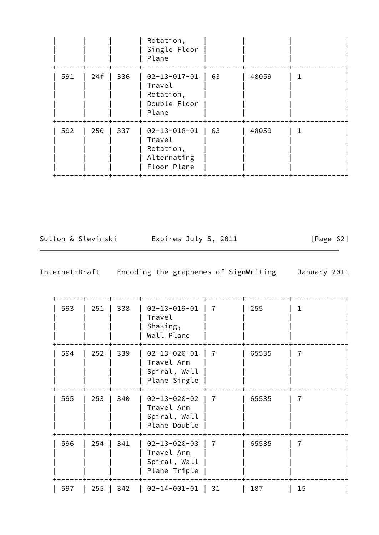|     |     |     | Rotation,<br>Single Floor<br>Plane                                        |    |       |  |
|-----|-----|-----|---------------------------------------------------------------------------|----|-------|--|
| 591 | 24f | 336 | $02 - 13 - 017 - 01$<br>Travel<br>Rotation,<br>Double Floor<br>Plane      | 63 | 48059 |  |
| 592 | 250 | 337 | $02 - 13 - 018 - 01$<br>Travel<br>Rotation,<br>Alternating<br>Floor Plane | 63 | 48059 |  |

Sutton & Slevinski Fxpires July 5, 2011 [Page 62]

| 593 | 251 | 338 | $02 - 13 - 019 - 01$<br>Travel<br>Shaking,<br>Wall Plane           | 7  | 255   | ı  |
|-----|-----|-----|--------------------------------------------------------------------|----|-------|----|
| 594 | 252 | 339 | $02 - 13 - 020 - 01$<br>Travel Arm<br>Spiral, Wall<br>Plane Single | 7  | 65535 | 7  |
| 595 | 253 | 340 | $02 - 13 - 020 - 02$<br>Travel Arm<br>Spiral, Wall<br>Plane Double | 7  | 65535 | 7  |
| 596 | 254 | 341 | $02 - 13 - 020 - 03$<br>Travel Arm<br>Spiral, Wall<br>Plane Triple | 7  | 65535 | 7  |
| 597 | 255 | 342 | $02 - 14 - 001 - 01$                                               | 31 | 187   | 15 |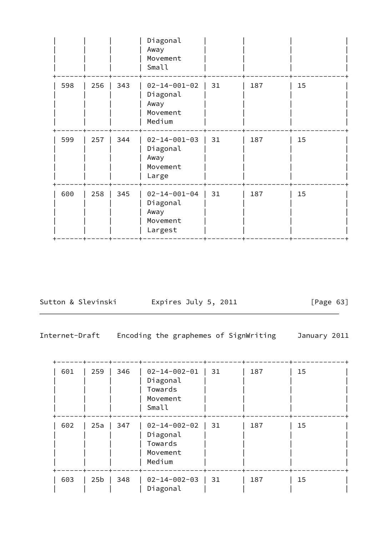|     |     |     | Diagonal<br>Away<br>Movement<br>Small                           |    |     |    |
|-----|-----|-----|-----------------------------------------------------------------|----|-----|----|
| 598 | 256 | 343 | $02 - 14 - 001 - 02$<br>Diagonal<br>Away<br>Movement<br>Medium  | 31 | 187 | 15 |
| 599 | 257 | 344 | $02 - 14 - 001 - 03$<br>Diagonal<br>Away<br>Movement<br>Large   | 31 | 187 | 15 |
| 600 | 258 | 345 | $02 - 14 - 001 - 04$<br>Diagonal<br>Away<br>Movement<br>Largest | 31 | 187 | 15 |

Sutton & Slevinski Fxpires July 5, 2011 [Page 63]

| 601 | 259             | 346 | $02 - 14 - 002 - 01$<br>Diagonal<br>Towards<br>Movement<br>Small  | 31 | 187 | 15 |
|-----|-----------------|-----|-------------------------------------------------------------------|----|-----|----|
| 602 | 25a             | 347 | $02 - 14 - 002 - 02$<br>Diagonal<br>Towards<br>Movement<br>Medium | 31 | 187 | 15 |
| 603 | 25 <sub>b</sub> | 348 | $02 - 14 - 002 - 03$<br>Diagonal                                  | 31 | 187 | 15 |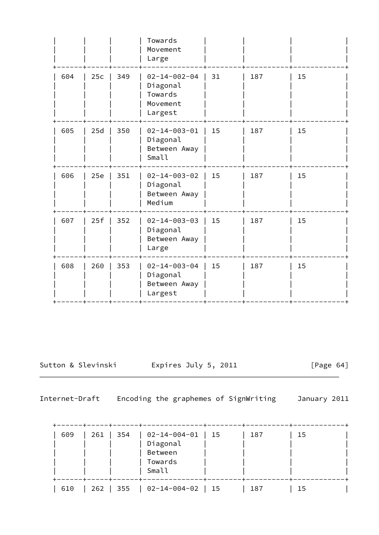|     |     |     | Towards<br>Movement<br>Large                                       |    |     |    |
|-----|-----|-----|--------------------------------------------------------------------|----|-----|----|
| 604 | 25c | 349 | $02 - 14 - 002 - 04$<br>Diagonal<br>Towards<br>Movement<br>Largest | 31 | 187 | 15 |
| 605 | 25d | 350 | $02 - 14 - 003 - 01$<br>Diagonal<br>Between Away<br>Small          | 15 | 187 | 15 |
| 606 | 25e | 351 | $02 - 14 - 003 - 02$<br>Diagonal<br>Between Away<br>Medium         | 15 | 187 | 15 |
| 607 | 25f | 352 | $02 - 14 - 003 - 03$<br>Diagonal<br>Between Away<br>Large          | 15 | 187 | 15 |
| 608 | 260 | 353 | $02 - 14 - 003 - 04$<br>Diagonal<br>Between Away<br>Largest        | 15 | 187 | 15 |
|     |     |     |                                                                    |    |     |    |

Sutton & Slevinski and Expires July 5, 2011 [Page 64]

| 609 | 261 | 354 | 02-14-004-01<br>Diagonal | $\vert$ 15 | 187 | 15 |  |
|-----|-----|-----|--------------------------|------------|-----|----|--|
|     |     |     | Between                  |            |     |    |  |
|     |     |     | Towards<br>Small         |            |     |    |  |
| 610 | 262 | 355 | $02 - 14 - 004 - 02$     | 15         | 187 | 15 |  |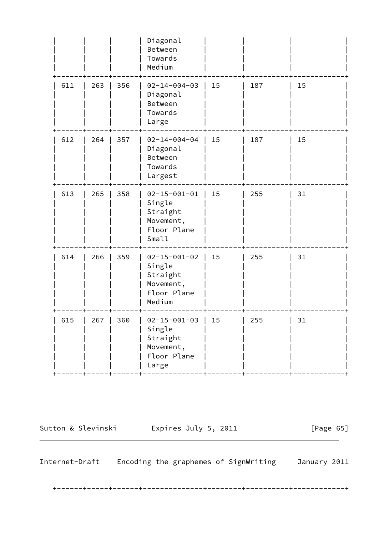|     |     |     | Diagonal<br>Between<br>Towards<br>Medium                                         |     |     |    |
|-----|-----|-----|----------------------------------------------------------------------------------|-----|-----|----|
| 611 | 263 | 356 | $02 - 14 - 004 - 03$<br>Diagonal<br>Between<br>Towards<br>Large                  | 15  | 187 | 15 |
| 612 | 264 | 357 | $02 - 14 - 004 - 04$<br>Diagonal<br>Between<br>Towards<br>Largest                | 15  | 187 | 15 |
| 613 | 265 | 358 | $02 - 15 - 001 - 01$<br>Single<br>Straight<br>Movement,<br>Floor Plane<br>Small  | 15  | 255 | 31 |
| 614 | 266 | 359 | $02 - 15 - 001 - 02$<br>Single<br>Straight<br>Movement,<br>Floor Plane<br>Medium | 15  | 255 | 31 |
| 615 | 267 | 360 | $02 - 15 - 001 - 03$<br>Single<br>Straight<br>Movement,<br>Floor Plane<br>Large  | 1.5 | 255 | 31 |

Sutton & Slevinski Expires July 5, 2011 [Page 65]

Internet-Draft Encoding the graphemes of SignWriting January 2011

+------+-----+------+--------------+--------+----------+------------+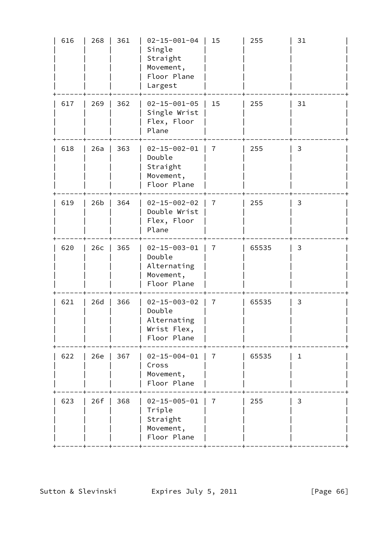| 616 | 268 | 361 | $02 - 15 - 001 - 04$<br>Single<br>Straight<br>Movement,<br>Floor Plane<br>Largest | 15             | 255   | 31           |
|-----|-----|-----|-----------------------------------------------------------------------------------|----------------|-------|--------------|
| 617 | 269 | 362 | $02 - 15 - 001 - 05$<br>Single Wrist<br>Flex, Floor<br>Plane                      | 15             | 255   | 31           |
| 618 | 26a | 363 | $02 - 15 - 002 - 01$<br>Double<br>Straight<br>Movement,<br>Floor Plane            | 7              | 255   | 3            |
| 619 | 26b | 364 | $02 - 15 - 002 - 02$<br>Double Wrist<br>Flex, Floor<br>Plane                      | $\overline{7}$ | 255   | 3            |
| 620 | 26c | 365 | $02 - 15 - 003 - 01$<br>Double<br>Alternating<br>Movement,<br>Floor Plane         | 7              | 65535 | 3            |
| 621 | 26d | 366 | $02 - 15 - 003 - 02$<br>Double<br>Alternating<br>Wrist Flex,<br>Floor Plane       | $\overline{7}$ | 65535 | 3            |
| 622 | 26e | 367 | $02 - 15 - 004 - 01$<br>Cross<br>Movement,<br>Floor Plane                         | $\overline{7}$ | 65535 | $\mathbf{1}$ |
| 623 | 26f | 368 | $02 - 15 - 005 - 01$<br>Triple<br>Straight<br>Movement,<br>Floor Plane            | $\overline{7}$ | 255   | 3            |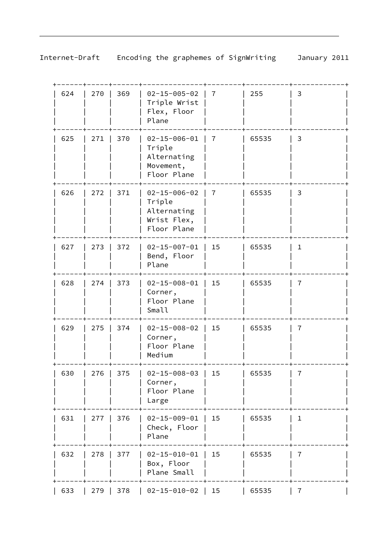| 624 | 270 | 369 | $02 - 15 - 005 - 02$<br>Triple Wrist<br>Flex, Floor<br>Plane                | 7              | 255   | 3              |
|-----|-----|-----|-----------------------------------------------------------------------------|----------------|-------|----------------|
| 625 | 271 | 370 | $02 - 15 - 006 - 01$<br>Triple<br>Alternating<br>Movement,<br>Floor Plane   | 7              | 65535 | 3              |
| 626 | 272 | 371 | $02 - 15 - 006 - 02$<br>Triple<br>Alternating<br>Wrist Flex,<br>Floor Plane | $\overline{7}$ | 65535 | 3              |
| 627 | 273 | 372 | $02 - 15 - 007 - 01$<br>Bend, Floor<br>Plane                                | 15             | 65535 | $\mathbf{1}$   |
| 628 | 274 | 373 | $02 - 15 - 008 - 01$<br>Corner,<br>Floor Plane<br>Small                     | 15             | 65535 | $\overline{7}$ |
| 629 | 275 | 374 | $02 - 15 - 008 - 02$<br>Corner,<br>Floor Plane<br>Medium                    | 15             | 65535 | $\overline{7}$ |
| 630 | 276 | 375 | $02 - 15 - 008 - 03$<br>Corner,<br>Floor Plane<br>Large                     | 15             | 65535 | 7              |
| 631 | 277 | 376 | $02 - 15 - 009 - 01$<br>Check, Floor<br>Plane                               | 15             | 65535 | $\mathbf{1}$   |
| 632 | 278 | 377 | $02 - 15 - 010 - 01$<br>Box, Floor<br>Plane Small                           | 15             | 65535 | 7              |
| 633 | 279 | 378 | $02 - 15 - 010 - 02$                                                        | 15             | 65535 | 7              |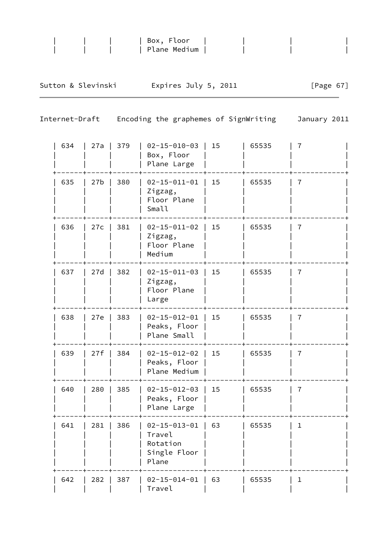|     |                 |                | Plane Medium                                                        |    |                      |                                       |
|-----|-----------------|----------------|---------------------------------------------------------------------|----|----------------------|---------------------------------------|
|     |                 |                |                                                                     |    |                      | [Page $67$ ]                          |
|     |                 | January 2011   |                                                                     |    |                      |                                       |
| 634 | 27a             | 379            | $02 - 15 - 010 - 03$<br>Box, Floor<br>Plane Large                   | 15 | 65535                | $\overline{7}$                        |
| 635 | 27 <sub>b</sub> | 380            | $02 - 15 - 011 - 01$<br>Zigzag,<br>Floor Plane<br>Small             | 15 | 65535                | $\overline{7}$                        |
| 636 | 27c             | 381            | $02 - 15 - 011 - 02$<br>Zigzag,<br>Floor Plane<br>Medium            | 15 | 65535                | 7                                     |
| 637 | 27d             | 382            | $02 - 15 - 011 - 03$<br>Zigzag,<br>Floor Plane<br>Large             | 15 | 65535                | 7                                     |
| 638 | 27e             | 383            | $02 - 15 - 012 - 01$<br>Peaks, Floor<br>Plane Small                 | 15 | 65535                | 7                                     |
| 639 | 27f             | 384            | $02 - 15 - 012 - 02$<br>Peaks, Floor<br>Plane Medium                | 15 | 65535                | 7                                     |
| 640 | 280             | 385            | $02 - 15 - 012 - 03$<br>Peaks, Floor<br>Plane Large                 | 15 | 65535                | 7                                     |
| 641 | 281             | 386            | $02 - 15 - 013 - 01$<br>Travel<br>Rotation<br>Single Floor<br>Plane | 63 | 65535                | $\mathbf 1$                           |
|     |                 | Internet-Draft | Sutton & Slevinski                                                  |    | Expires July 5, 2011 | Encoding the graphemes of SignWriting |

 | 642 | 282 | 387 | 02-15-014-01 | 63 | 65535 | 1 | | | | | Travel | | | |

| | | | Box, Floor | | | |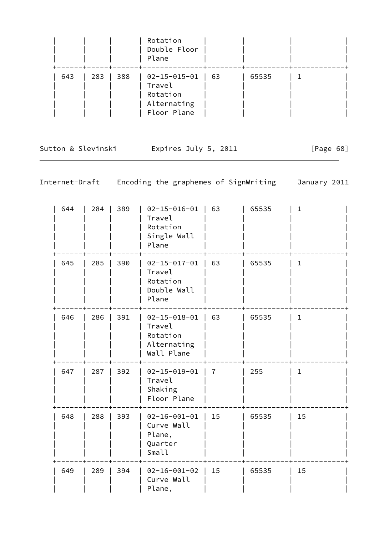|     |     |                                                             | Rotation<br>Double Floor<br>Plane                                     |       |  |
|-----|-----|-------------------------------------------------------------|-----------------------------------------------------------------------|-------|--|
| 643 | 283 | $\begin{array}{c} \begin{array}{c} \end{array} \end{array}$ | 02-15-015-01   63<br>Travel<br>Rotation<br>Alternating<br>Floor Plane | 65535 |  |

Sutton & Slevinski and Expires July 5, 2011 [Page 68]

| 644 | 284 | 389 | $02 - 15 - 016 - 01$<br>Travel<br>Rotation<br>Single Wall<br>Plane      | 63             | 65535 | $\mathbf{1}$ |
|-----|-----|-----|-------------------------------------------------------------------------|----------------|-------|--------------|
| 645 | 285 | 390 | $02 - 15 - 017 - 01$<br>Travel<br>Rotation<br>Double Wall<br>Plane      | 63             | 65535 | $\mathbf{1}$ |
| 646 | 286 | 391 | $02 - 15 - 018 - 01$<br>Travel<br>Rotation<br>Alternating<br>Wall Plane | 63             | 65535 | $\mathbf{1}$ |
| 647 | 287 | 392 | $02 - 15 - 019 - 01$<br>Travel<br>Shaking<br>Floor Plane                | $\overline{7}$ | 255   | $\mathbf{1}$ |
| 648 | 288 | 393 | $02 - 16 - 001 - 01$<br>Curve Wall<br>Plane,<br>Quarter<br>Small        | 15             | 65535 | 15           |
| 649 | 289 | 394 | $02 - 16 - 001 - 02$<br>Curve Wall<br>Plane,                            | 15             | 65535 | 15           |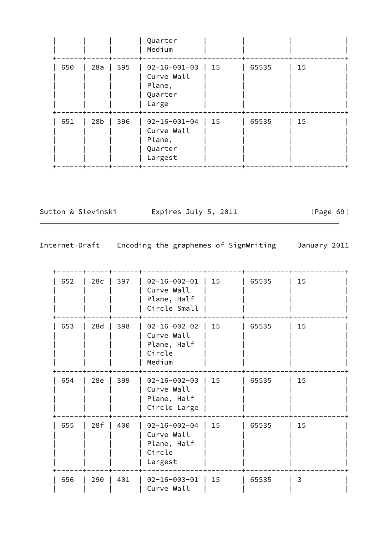|     |                 |     | Quarter<br>Medium                                                  |    |       |    |
|-----|-----------------|-----|--------------------------------------------------------------------|----|-------|----|
| 650 | 28a             | 395 | $02 - 16 - 001 - 03$<br>Curve Wall<br>Plane,<br>Quarter<br>Large   | 15 | 65535 | 15 |
| 651 | 28 <sub>b</sub> | 396 | $02 - 16 - 001 - 04$<br>Curve Wall<br>Plane,<br>Quarter<br>Largest | 15 | 65535 | 15 |

Sutton & Slevinski Expires July 5, 2011 [Page 69]

| 652 | 28c | 397 | $02 - 16 - 002 - 01$<br>Curve Wall<br>Plane, Half<br>Circle Small      | 15 | 65535 | 15 |  |
|-----|-----|-----|------------------------------------------------------------------------|----|-------|----|--|
| 653 | 28d | 398 | $02 - 16 - 002 - 02$<br>Curve Wall<br>Plane, Half<br>Circle<br>Medium  | 15 | 65535 | 15 |  |
| 654 | 28e | 399 | $02 - 16 - 002 - 03$<br>Curve Wall<br>Plane, Half<br>Circle Large      | 15 | 65535 | 15 |  |
| 655 | 28f | 400 | $02 - 16 - 002 - 04$<br>Curve Wall<br>Plane, Half<br>Circle<br>Largest | 15 | 65535 | 15 |  |
| 656 | 290 | 401 | $02 - 16 - 003 - 01$<br>Curve Wall                                     | 15 | 65535 | 3  |  |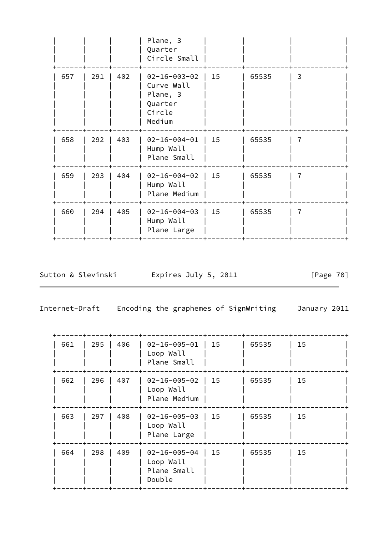|     |     |     | Plane, 3<br>Quarter<br>Circle Small                                           |    |       |   |
|-----|-----|-----|-------------------------------------------------------------------------------|----|-------|---|
| 657 | 291 | 402 | $02 - 16 - 003 - 02$<br>Curve Wall<br>Plane, 3<br>Quarter<br>Circle<br>Medium | 15 | 65535 | 3 |
| 658 | 292 | 403 | $02 - 16 - 004 - 01$<br>Hump Wall<br>Plane Small                              | 15 | 65535 |   |
| 659 | 293 | 404 | $02 - 16 - 004 - 02$<br>Hump Wall<br>Plane Medium                             | 15 | 65535 | 7 |
| 660 | 294 | 405 | $02 - 16 - 004 - 03$<br>Hump Wall<br>Plane Large                              | 15 | 65535 | 7 |
|     |     |     |                                                                               |    |       |   |

Sutton & Slevinski Expires July 5, 2011 [Page 70]

| 661 | 295 | 406 | $02 - 16 - 005 - 01$<br>Loop Wall<br>Plane Small           | 15 | 65535 | 15 |
|-----|-----|-----|------------------------------------------------------------|----|-------|----|
| 662 | 296 | 407 | $02 - 16 - 005 - 02$<br>Loop Wall<br>Plane Medium          | 15 | 65535 | 15 |
| 663 | 297 | 408 | $02 - 16 - 005 - 03$<br>Loop Wall<br>Plane Large           | 15 | 65535 | 15 |
| 664 | 298 | 409 | $02 - 16 - 005 - 04$<br>Loop Wall<br>Plane Small<br>Double | 15 | 65535 | 15 |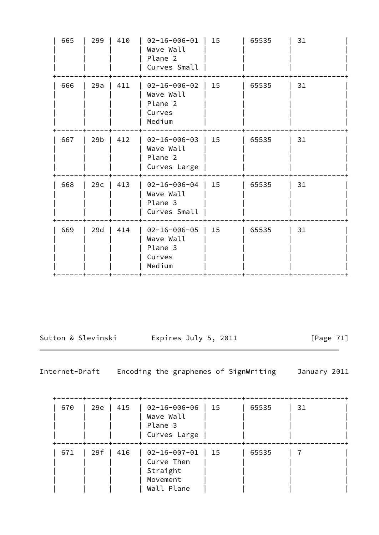| 665 | 299             | 410 | $02 - 16 - 006 - 01$<br>Wave Wall<br>Plane 2<br>Curves Small     | 15 | 65535 | 31 |
|-----|-----------------|-----|------------------------------------------------------------------|----|-------|----|
| 666 | 29a             | 411 | $02 - 16 - 006 - 02$<br>Wave Wall<br>Plane 2<br>Curves<br>Medium | 15 | 65535 | 31 |
| 667 | 29 <sub>b</sub> | 412 | $02 - 16 - 006 - 03$<br>Wave Wall<br>Plane 2<br>Curves Large     | 15 | 65535 | 31 |
| 668 | 29c             | 413 | $02 - 16 - 006 - 04$<br>Wave Wall<br>Plane 3<br>Curves Small     | 15 | 65535 | 31 |
| 669 | 29d             | 414 | $02 - 16 - 006 - 05$<br>Wave Wall<br>Plane 3<br>Curves<br>Medium | 15 | 65535 | 31 |

Sutton & Slevinski Expires July 5, 2011 [Page 71]

| 670 | 29e | 415 | $02 - 16 - 006 - 06$<br>Wave Wall<br>Plane 3<br>Curves Large             | 15 | 65535 | 31 |
|-----|-----|-----|--------------------------------------------------------------------------|----|-------|----|
| 671 | 29f | 416 | $02 - 16 - 007 - 01$<br>Curve Then<br>Straight<br>Movement<br>Wall Plane | 15 | 65535 |    |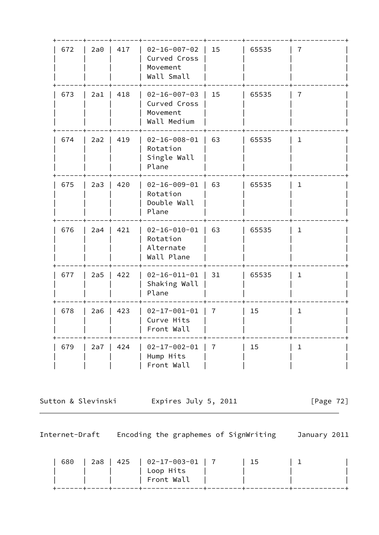| 672 | 2a0   | 417         | $02 - 16 - 007 - 02$<br>Curved Cross<br>Movement<br>Wall Small  | 15 | 65535 | 7              |
|-----|-------|-------------|-----------------------------------------------------------------|----|-------|----------------|
| 673 |       | $2a1$   418 | $02 - 16 - 007 - 03$<br>Curved Cross<br>Movement<br>Wall Medium | 15 | 65535 | $\overline{7}$ |
| 674 | $2a2$ | 419         | $02 - 16 - 008 - 01$<br>Rotation<br>Single Wall<br>Plane        | 63 | 65535 | $\mathbf{1}$   |
| 675 | $2a3$ | 420         | $02 - 16 - 009 - 01$<br>Rotation<br>Double Wall<br>Plane        | 63 | 65535 | $\mathbf 1$    |
| 676 | 2a4   | 421         | $02 - 16 - 010 - 01$<br>Rotation<br>Alternate<br>Wall Plane     | 63 | 65535 | $\mathbf 1$    |
| 677 | $2a5$ | 422         | $02 - 16 - 011 - 01$<br>Shaking Wall<br>Plane                   | 31 | 65535 | $\mathbf{1}$   |
| 678 | $2a6$ | 423         | $02 - 17 - 001 - 01$<br>Curve Hits<br>Front Wall                | 7  | 15    | $\mathbf{1}$   |
| 679 | $2a7$ | 424         | $02 - 17 - 002 - 01$<br>Hump Hits<br>Front Wall                 | 7  | 15    | $\mathbf{1}$   |

Sutton & Slevinski Expires July 5, 2011 [Page 72]

|  | 680   2a8   425   02-17-003-01   7 | -15 |  |
|--|------------------------------------|-----|--|
|  | Loop Hits                          |     |  |
|  | ∣ Front Wall                       |     |  |
|  |                                    |     |  |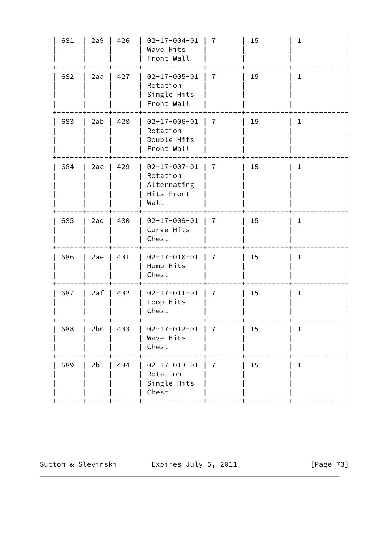| 681 | 2a9 | 426 | $02 - 17 - 004 - 01$<br>Wave Hits<br>Front Wall                       | $\overline{7}$ | 15 | $\mathbf 1$  |
|-----|-----|-----|-----------------------------------------------------------------------|----------------|----|--------------|
| 682 | 2aa | 427 | $02 - 17 - 005 - 01$<br>Rotation<br>Single Hits<br>Front Wall         | $\overline{7}$ | 15 | $\mathbf{1}$ |
| 683 | 2ab | 428 | $02 - 17 - 006 - 01$<br>Rotation<br>Double Hits<br>Front Wall         | 7              | 15 | $\mathbf{1}$ |
| 684 | 2ac | 429 | $02 - 17 - 007 - 01$<br>Rotation<br>Alternating<br>Hits Front<br>Wall | 7              | 15 | $\mathbf 1$  |
| 685 | 2ad | 430 | $02 - 17 - 009 - 01$<br>Curve Hits<br>Chest                           | 7              | 15 | $\mathbf{1}$ |
| 686 | 2ae | 431 | $02 - 17 - 010 - 01$<br>Hump Hits<br>Chest                            | $\overline{7}$ | 15 | $\mathbf{1}$ |
| 687 | 2af | 432 | $02 - 17 - 011 - 01$<br>Loop Hits<br>Chest                            | $\overline{7}$ | 15 | $\mathbf 1$  |
| 688 | 2b0 | 433 | $02 - 17 - 012 - 01$<br>Wave Hits<br>Chest                            | $\overline{7}$ | 15 | $\mathbf 1$  |
| 689 | 2b1 | 434 | $02 - 17 - 013 - 01$<br>Rotation<br>Single Hits<br>Chest              | 7              | 15 | 1            |
|     |     |     |                                                                       |                |    |              |

Sutton & Slevinski Expires July 5, 2011 [Page 73]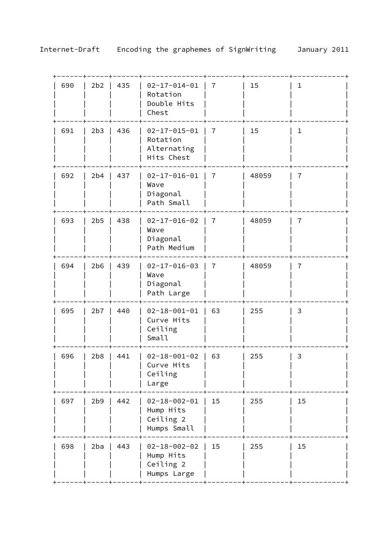| 690 | 2b2 | 435 | $02 - 17 - 014 - 01$<br>Rotation<br>Double Hits<br>Chest      | 7              | 15    | 1              |
|-----|-----|-----|---------------------------------------------------------------|----------------|-------|----------------|
| 691 | 2b3 | 436 | $02 - 17 - 015 - 01$<br>Rotation<br>Alternating<br>Hits Chest | $\overline{7}$ | 15    | $\mathbf 1$    |
| 692 | 2b4 | 437 | $02 - 17 - 016 - 01$<br>Wave<br>Diagonal<br>Path Small        | $\overline{7}$ | 48059 | $\overline{7}$ |
| 693 | 2b5 | 438 | $02 - 17 - 016 - 02$<br>Wave<br>Diagonal<br>Path Medium       | $\overline{7}$ | 48059 | $\overline{7}$ |
| 694 | 2b6 | 439 | $02 - 17 - 016 - 03$<br>Wave<br>Diagonal<br>Path Large        | $\overline{7}$ | 48059 | $\overline{7}$ |
| 695 | 2b7 | 440 | $02 - 18 - 001 - 01$<br>Curve Hits<br>Ceiling<br>Small        | 63             | 255   | 3              |
| 696 | 2b8 | 441 | $02 - 18 - 001 - 02$<br>Curve Hits<br>Ceiling<br>Large        | 63             | 255   | 3              |
| 697 | 2b9 | 442 | $02 - 18 - 002 - 01$<br>Hump Hits<br>Ceiling 2<br>Humps Small | 15             | 255   | 15             |
| 698 | 2ba | 443 | $02 - 18 - 002 - 02$<br>Hump Hits<br>Ceiling 2<br>Humps Large | 15             | 255   | 15             |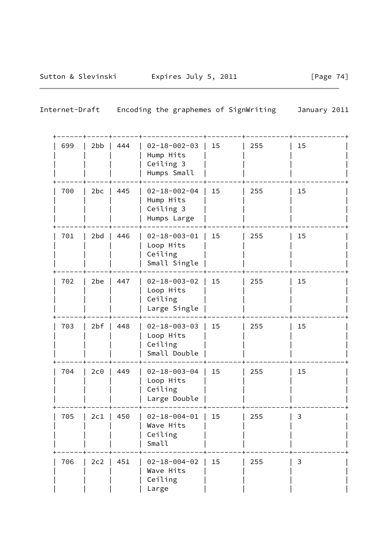| Internet-Draft |  | Encoding the graphemes of SignWriting | January 2011 |
|----------------|--|---------------------------------------|--------------|
|                |  |                                       |              |

| 699 | 2bb | 444 | $02 - 18 - 002 - 03$<br>Hump Hits<br>Ceiling 3<br>Humps Small | 15 | 255 | 15 |
|-----|-----|-----|---------------------------------------------------------------|----|-----|----|
| 700 | 2bc | 445 | $02 - 18 - 002 - 04$<br>Hump Hits<br>Ceiling 3<br>Humps Large | 15 | 255 | 15 |
| 701 | 2bd | 446 | $02 - 18 - 003 - 01$<br>Loop Hits<br>Ceiling<br>Small Single  | 15 | 255 | 15 |
| 702 | 2be | 447 | $02 - 18 - 003 - 02$<br>Loop Hits<br>Ceiling<br>Large Single  | 15 | 255 | 15 |
| 703 | 2bf | 448 | $02 - 18 - 003 - 03$<br>Loop Hits<br>Ceiling<br>Small Double  | 15 | 255 | 15 |
| 704 | 2c0 | 449 | $02 - 18 - 003 - 04$<br>Loop Hits<br>Ceiling<br>Large Double  | 15 | 255 | 15 |
| 705 | 2c1 | 450 | $02 - 18 - 004 - 01$<br>Wave Hits<br>Ceiling<br>Small         | 15 | 255 | 3  |
| 706 | 2c2 | 451 | $02 - 18 - 004 - 02$<br>Wave Hits<br>Ceiling<br>Large         | 15 | 255 | 3  |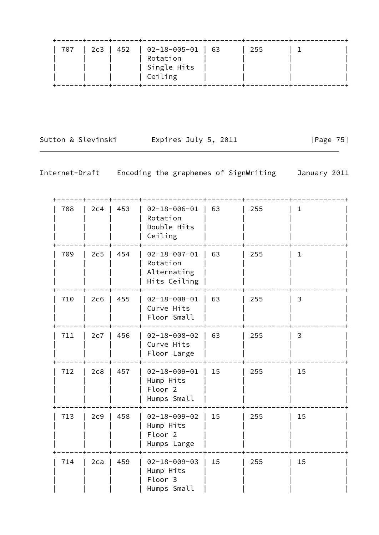| . _ _ _ _ + _ _ _ _ _ + _ _ _ _ _ _ _ + _ _ _ _ _ _<br>707 | 2c3   452   02-18-005-01   63<br>Rotation<br>  Single Hits | 255 |  |
|------------------------------------------------------------|------------------------------------------------------------|-----|--|
|                                                            | Ceiling                                                    |     |  |

Sutton & Slevinski Expires July 5, 2011 [Page 75]

| Internet-Draft |  |  | Encoding the graphemes of SignWriting | January 2011 |
|----------------|--|--|---------------------------------------|--------------|
|----------------|--|--|---------------------------------------|--------------|

| 708 | 2c4 | 453 | $02 - 18 - 006 - 01$<br>Rotation<br>Double Hits<br>Ceiling             | 63 | 255 | $\mathbf{1}$ |  |
|-----|-----|-----|------------------------------------------------------------------------|----|-----|--------------|--|
| 709 | 2c5 | 454 | $02 - 18 - 007 - 01$<br>Rotation<br>Alternating<br>Hits Ceiling        | 63 | 255 | $\mathbf{1}$ |  |
| 710 | 2c6 | 455 | $02 - 18 - 008 - 01$<br>Curve Hits<br>Floor Small                      | 63 | 255 | 3            |  |
| 711 | 2c7 | 456 | $02 - 18 - 008 - 02$<br>Curve Hits<br>Floor Large                      | 63 | 255 | 3            |  |
| 712 | 2c8 | 457 | $02 - 18 - 009 - 01$<br>Hump Hits<br>Floor <sub>2</sub><br>Humps Small | 15 | 255 | 15           |  |
| 713 | 2c9 | 458 | $02 - 18 - 009 - 02$<br>Hump Hits<br>Floor <sub>2</sub><br>Humps Large | 15 | 255 | 15           |  |
| 714 | 2ca | 459 | $02 - 18 - 009 - 03$<br>Hump Hits<br>Floor 3<br>Humps Small            | 15 | 255 | 15           |  |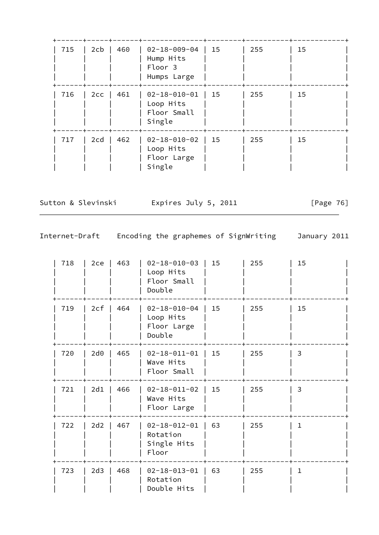| 715 | 2cb | 460 | 02-18-009-04<br>Hump Hits<br>Floor 3<br>Humps Large        | 15 | 255 | 15 |
|-----|-----|-----|------------------------------------------------------------|----|-----|----|
| 716 | 2cc | 461 | $02 - 18 - 010 - 01$<br>Loop Hits<br>Floor Small<br>Single | 15 | 255 | 15 |
| 717 | 2cd | 462 | $02 - 18 - 010 - 02$<br>Loop Hits<br>Floor Large<br>Single | 15 | 255 | 15 |

Sutton & Slevinski Expires July 5, 2011 [Page 76]

| 718 | 2ce             | 463 | $02 - 18 - 010 - 03$<br>Loop Hits<br>Floor Small<br>Double | 15 | 255 | 15           |  |
|-----|-----------------|-----|------------------------------------------------------------|----|-----|--------------|--|
| 719 | 2cf             | 464 | $02 - 18 - 010 - 04$<br>Loop Hits<br>Floor Large<br>Double | 15 | 255 | 15           |  |
| 720 | 2d <sub>0</sub> | 465 | $02 - 18 - 011 - 01$<br>Wave Hits<br>Floor Small           | 15 | 255 | 3            |  |
| 721 | 2d1             | 466 | $02 - 18 - 011 - 02$<br>Wave Hits<br>Floor Large           | 15 | 255 | 3            |  |
| 722 | 2d2             | 467 | $02 - 18 - 012 - 01$<br>Rotation<br>Single Hits<br>Floor   | 63 | 255 | $\mathbf{1}$ |  |
| 723 | 2d3             | 468 | $02 - 18 - 013 - 01$<br>Rotation<br>Double Hits            | 63 | 255 | $\mathbf{1}$ |  |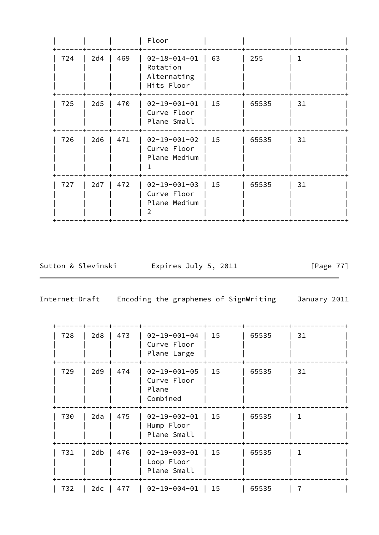|     |     |     | Floor                                                         |    |       |    |
|-----|-----|-----|---------------------------------------------------------------|----|-------|----|
| 724 | 2d4 | 469 | $02 - 18 - 014 - 01$<br>Rotation<br>Alternating<br>Hits Floor | 63 | 255   | 1  |
| 725 | 2d5 | 470 | $02 - 19 - 001 - 01$<br>Curve Floor<br>Plane Small            | 15 | 65535 | 31 |
| 726 | 2d6 | 471 | $02 - 19 - 001 - 02$<br>Curve Floor<br>Plane Medium           | 15 | 65535 | 31 |
| 727 | 2d7 | 472 | $02 - 19 - 001 - 03$<br>Curve Floor<br>Plane Medium<br>V      | 15 | 65535 | 31 |
|     |     |     |                                                               |    |       |    |

Sutton & Slevinski Expires July 5, 2011 [Page 77]

| 728 | 2d8 | 473 | $02 - 19 - 001 - 04$<br>Curve Floor<br>Plane Large       | 15   | 65535 | 31 |  |
|-----|-----|-----|----------------------------------------------------------|------|-------|----|--|
| 729 | 2d9 | 474 | $02 - 19 - 001 - 05$<br>Curve Floor<br>Plane<br>Combined | 15   | 65535 | 31 |  |
| 730 | 2da | 475 | $02 - 19 - 002 - 01$<br>Hump Floor<br>Plane Small        | 15   | 65535 |    |  |
| 731 | 2db | 476 | $02 - 19 - 003 - 01$<br>Loop Floor<br>Plane Small        | - 15 | 65535 |    |  |
| 732 | 2dc | 477 | 02-19-004-01   15                                        |      | 65535 |    |  |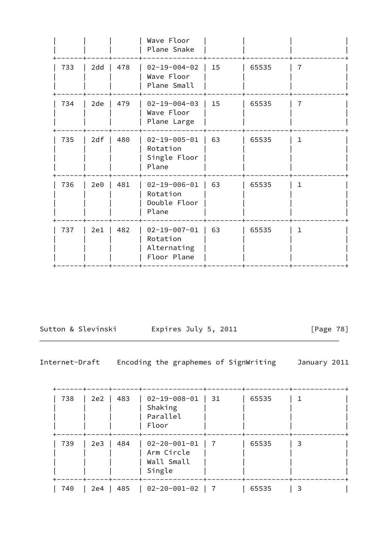|     |     |     | Wave Floor<br>Plane Snake                                      |    |       |                |
|-----|-----|-----|----------------------------------------------------------------|----|-------|----------------|
| 733 | 2dd | 478 | $02 - 19 - 004 - 02$<br>Wave Floor<br>Plane Small              | 15 | 65535 | $\overline{7}$ |
| 734 | 2de | 479 | $02 - 19 - 004 - 03$<br>Wave Floor<br>Plane Large              | 15 | 65535 | 7              |
| 735 | 2df | 480 | $02 - 19 - 005 - 01$<br>Rotation<br>Single Floor<br>Plane      | 63 | 65535 | $\mathbf{1}$   |
| 736 | 2e0 | 481 | $02 - 19 - 006 - 01$<br>Rotation<br>Double Floor<br>Plane      | 63 | 65535 | $\mathbf{1}$   |
| 737 | 2e1 | 482 | $02 - 19 - 007 - 01$<br>Rotation<br>Alternating<br>Floor Plane | 63 | 65535 | $\mathbf{1}$   |
|     |     |     |                                                                |    |       |                |

Sutton & Slevinski and Expires July 5, 2011 [Page 78]

| 738 | 2e2 | 483 | $02 - 19 - 008 - 01$<br>Shaking<br>Parallel<br>Floor       | - 31 | 65535 |   |  |
|-----|-----|-----|------------------------------------------------------------|------|-------|---|--|
| 739 | 2e3 | 484 | $02 - 20 - 001 - 01$<br>Arm Circle<br>Wall Small<br>Single | - 7  | 65535 | 3 |  |
| 740 | 2e4 | 485 | 02-20-001-02                                               |      | 65535 |   |  |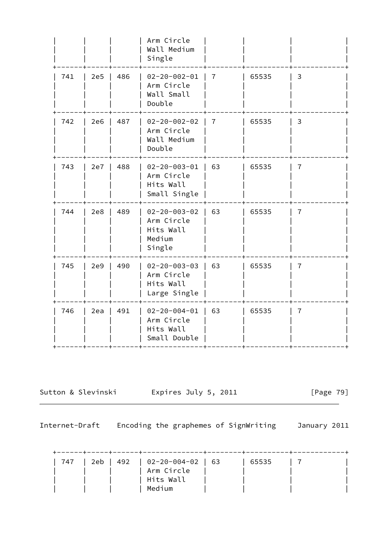|     |     |     | Arm Circle<br>Wall Medium<br>Single                                 |                |       |                |
|-----|-----|-----|---------------------------------------------------------------------|----------------|-------|----------------|
| 741 | 2e5 | 486 | $02 - 20 - 002 - 01$<br>Arm Circle<br>Wall Small<br>Double          | $\overline{7}$ | 65535 | 3              |
| 742 | 2e6 | 487 | $02 - 20 - 002 - 02$<br>Arm Circle<br>Wall Medium<br>Double         | $\overline{7}$ | 65535 | 3              |
| 743 | 2e7 | 488 | $02 - 20 - 003 - 01$<br>Arm Circle<br>Hits Wall<br>Small Single     | 63             | 65535 | 7              |
| 744 | 2e8 | 489 | $02 - 20 - 003 - 02$<br>Arm Circle<br>Hits Wall<br>Medium<br>Single | 63             | 65535 | $\overline{7}$ |
| 745 | 2e9 | 490 | $02 - 20 - 003 - 03$<br>Arm Circle<br>Hits Wall<br>Large Single     | 63             | 65535 | 7              |
| 746 | 2ea | 491 | $02 - 20 - 004 - 01$<br>Arm Circle<br>Hits Wall<br>Small Double     | 63             | 65535 | 7              |
|     |     |     |                                                                     |                |       |                |

Sutton & Slevinski Expires July 5, 2011 [Page 79]

Internet-Draft Encoding the graphemes of SignWriting January 2011

 +------+-----+------+--------------+--------+----------+------------+ | 747 | 2eb | 492 | 02-20-004-02 | 63 | 65535 | 7 |  $|$   $|$   $|$   $|$  Arm Circle  $|$   $|$   $|$ | Hits Wall | Medium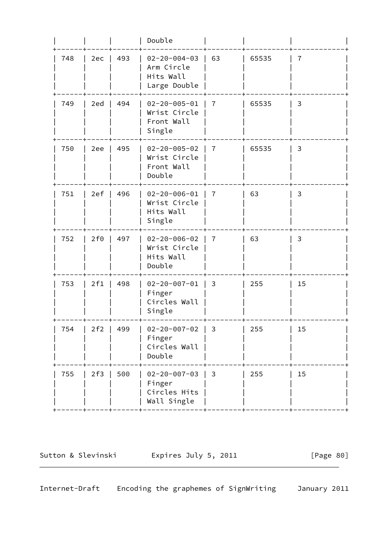|     |     |     | Double                                                          |                |       |    |
|-----|-----|-----|-----------------------------------------------------------------|----------------|-------|----|
| 748 | 2ec | 493 | $02 - 20 - 004 - 03$<br>Arm Circle<br>Hits Wall<br>Large Double | 63             | 65535 | 7  |
| 749 | 2ed | 494 | $02 - 20 - 005 - 01$<br>Wrist Circle<br>Front Wall<br>Single    | 7              | 65535 | 3  |
| 750 | 2ee | 495 | $02 - 20 - 005 - 02$<br>Wrist Circle<br>Front Wall<br>Double    | 7              | 65535 | 3  |
| 751 | 2ef | 496 | $02 - 20 - 006 - 01$<br>Wrist Circle<br>Hits Wall<br>Single     | 7              | 63    | 3  |
| 752 | 2f0 | 497 | $02 - 20 - 006 - 02$<br>Wrist Circle<br>Hits Wall<br>Double     | $\overline{7}$ | 63    | 3  |
| 753 | 2f1 | 498 | $02 - 20 - 007 - 01$<br>Finger<br>Circles Wall<br>Single        | 3              | 255   | 15 |
| 754 | 2f2 | 499 | $02 - 20 - 007 - 02$<br>Finger<br>Circles Wall<br>Double        | 3              | 255   | 15 |
| 755 | 2f3 | 500 | $02 - 20 - 007 - 03$<br>Finger<br>Circles Hits<br>Wall Single   | 3              | 255   | 15 |
|     |     |     |                                                                 |                |       |    |

Sutton & Slevinski Expires July 5, 2011 [Page 80]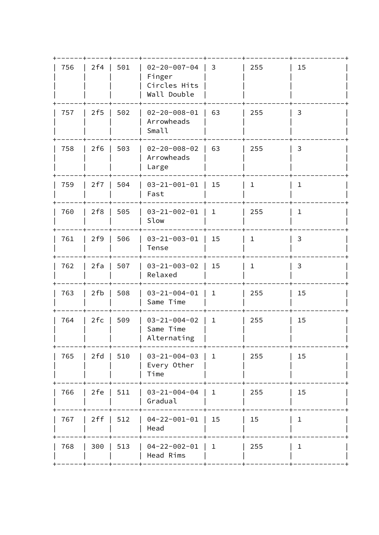| 756 | 2f4   | 501 | $02 - 20 - 007 - 04$<br>Finger<br>Circles Hits<br>Wall Double | 3                               | 255          | 15           |
|-----|-------|-----|---------------------------------------------------------------|---------------------------------|--------------|--------------|
| 757 | 2f5   | 502 | $02 - 20 - 008 - 01$<br>Arrowheads<br>Small                   | 63                              | 255          | 3            |
| 758 | 2f6   | 503 | $02 - 20 - 008 - 02$<br>Arrowheads<br>Large                   | 63                              | 255          | 3            |
| 759 | 2f7   | 504 | $03 - 21 - 001 - 01$<br>Fast                                  | 15                              | $\mathbf{1}$ | $\mathbf{1}$ |
| 760 | 2f8   | 505 | $03 - 21 - 002 - 01$   1<br>Slow                              |                                 | 255          | $\mathbf 1$  |
| 761 | 2f9   | 506 | $03 - 21 - 003 - 01$<br>Tense                                 | 15                              | $\mathbf{1}$ | 3            |
| 762 | 2fa   | 507 | $03 - 21 - 003 - 02$<br>Relaxed                               | 15                              | $\mathbf{1}$ | 3            |
| 763 | 2fb   | 508 | $03 - 21 - 004 - 01$<br>Same Time                             | $\mathbf{1}$                    | 255          | 15           |
| 764 | 2fc   | 509 | $03 - 21 - 004 - 02$<br>Same Time<br>Alternating              | $\mathbf 1$                     | 255          | 15           |
| 765 | 2 f d | 510 | $03 - 21 - 004 - 03$<br>Every Other<br>Time                   | $\mathbf{1}$                    | 255          | 15           |
| 766 | 2fe   | 511 | $03 - 21 - 004 - 04$<br>Gradual                               | $\begin{array}{cc} \end{array}$ | 255          | 15           |
| 767 | 2ff   | 512 | $04 - 22 - 001 - 01$<br>Head                                  | 15                              | 15           | $\mathbf{1}$ |
| 768 | 300   | 513 | $04 - 22 - 002 - 01$   1<br>Head Rims                         |                                 | 255          | $\mathbf{1}$ |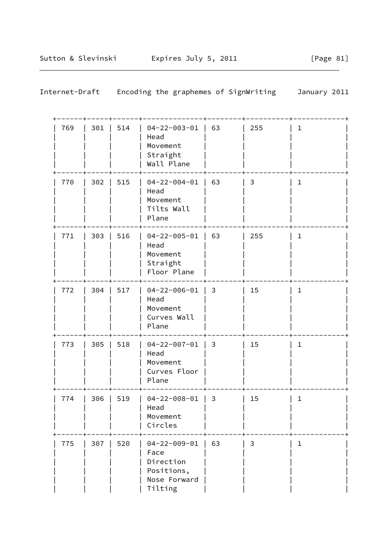| Internet-Draft |     | Encoding the graphemes of SignWriting                                              |    | January 2011 |              |  |
|----------------|-----|------------------------------------------------------------------------------------|----|--------------|--------------|--|
| 769<br>301     | 514 | $04 - 22 - 003 - 01$<br>Head<br>Movement<br>Straight<br>Wall Plane                 | 63 | 255          | $\mathbf{1}$ |  |
| 770<br>302     | 515 | $04 - 22 - 004 - 01$<br>Head<br>Movement<br>Tilts Wall<br>Plane                    | 63 | 3            | $\mathbf 1$  |  |
| 771<br>303     | 516 | $04 - 22 - 005 - 01$<br>Head<br>Movement<br>Straight<br>Floor Plane                | 63 | 255          | $\mathbf{1}$ |  |
| 772<br>304     | 517 | $04 - 22 - 006 - 01$<br>Head<br>Movement<br>Curves Wall<br>Plane                   | 3  | 15           | $\mathbf{1}$ |  |
| 773<br>305     | 518 | $04 - 22 - 007 - 01$<br>Head<br>Movement<br>Curves Floor<br>Plane                  | 3  | 15           | $\mathbf{1}$ |  |
| 774<br>306     | 519 | $04 - 22 - 008 - 01$<br>Head<br>Movement<br>Circles                                | 3  | 15           | $\mathbf{1}$ |  |
| 775<br>307     | 520 | $04 - 22 - 009 - 01$<br>Face<br>Direction<br>Positions,<br>Nose Forward<br>Tilting | 63 | 3            | $\mathbf{1}$ |  |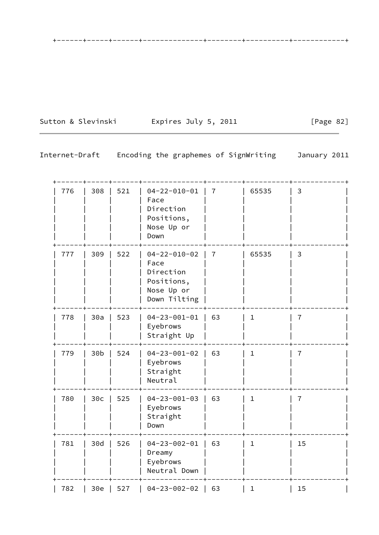Sutton & Slevinski Expires July 5, 2011 [Page 82]

+------+-----+------+--------------+--------+----------+------------+

| 776 | 308             | 521 | $04 - 22 - 010 - 01$<br>Face<br>Direction<br>Positions,<br>Nose Up or<br>Down         | $\overline{7}$ | 65535        | 3              |  |
|-----|-----------------|-----|---------------------------------------------------------------------------------------|----------------|--------------|----------------|--|
| 777 | 309             | 522 | $04 - 22 - 010 - 02$<br>Face<br>Direction<br>Positions,<br>Nose Up or<br>Down Tilting | $\overline{7}$ | 65535        | 3              |  |
| 778 | 30a             | 523 | $04 - 23 - 001 - 01$<br>Eyebrows<br>Straight Up                                       | 63             | $\mathbf{1}$ | $\overline{7}$ |  |
| 779 | 30 <sub>b</sub> | 524 | $04 - 23 - 001 - 02$<br>Eyebrows<br>Straight<br>Neutral                               | 63             | 1            | 7              |  |
| 780 | 30c             | 525 | $04 - 23 - 001 - 03$<br>Eyebrows<br>Straight<br>Down                                  | 63             | $\mathbf{1}$ | $\overline{7}$ |  |
| 781 | 30d             | 526 | $04 - 23 - 002 - 01$<br>Dreamy<br>Eyebrows<br>Neutral Down                            | 63             | $\mathbf{1}$ | 15             |  |
| 782 | $30e$           | 527 | $04 - 23 - 002 - 02$                                                                  | 63             | $\mathbf 1$  | 15             |  |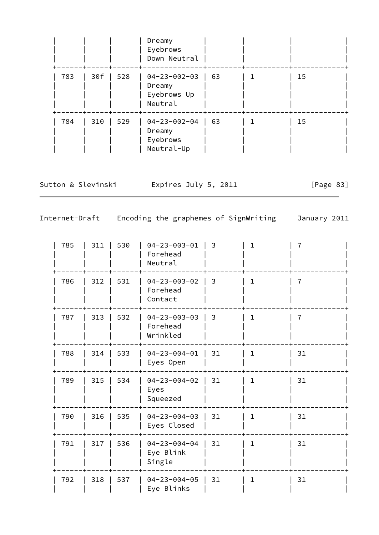|     |     |     | Dreamy<br>Eyebrows<br>Down Neutral                       |    |    |  |
|-----|-----|-----|----------------------------------------------------------|----|----|--|
| 783 | 30f | 528 | $04 - 23 - 002 - 03$<br>Dreamy<br>Eyebrows Up<br>Neutral | 63 | 15 |  |
| 784 | 310 | 529 | $04 - 23 - 002 - 04$<br>Dreamy<br>Eyebrows<br>Neutral-Up | 63 | 15 |  |

Sutton & Slevinski Expires July 5, 2011 [Page 83]

| 785 | 311 | 530 | $04 - 23 - 003 - 01$<br>Forehead<br>Neutral  | 3  | $\mathbf{1}$ | 7  |
|-----|-----|-----|----------------------------------------------|----|--------------|----|
| 786 | 312 | 531 | $04 - 23 - 003 - 02$<br>Forehead<br>Contact  | 3  | $\mathbf{1}$ | 7  |
| 787 | 313 | 532 | $04 - 23 - 003 - 03$<br>Forehead<br>Wrinkled | 3  | $\mathbf{1}$ | 7  |
| 788 | 314 | 533 | $04 - 23 - 004 - 01$<br>Eyes Open            | 31 | $\mathbf{1}$ | 31 |
| 789 | 315 | 534 | $04 - 23 - 004 - 02$<br>Eyes<br>Squeezed     | 31 | $\mathbf{1}$ | 31 |
| 790 | 316 | 535 | $04 - 23 - 004 - 03$<br>Eyes Closed          | 31 | $\mathbf{1}$ | 31 |
| 791 | 317 | 536 | $04 - 23 - 004 - 04$<br>Eye Blink<br>Single  | 31 | $\mathbf 1$  | 31 |
| 792 | 318 | 537 | $04 - 23 - 004 - 05$<br>Eye Blinks           | 31 | $\mathbf{1}$ | 31 |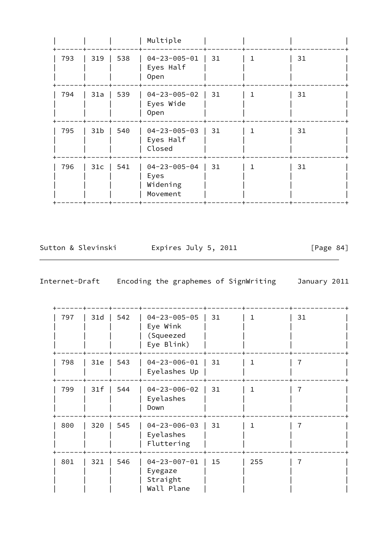|     |                 |     | Multiple                                             |    |             |    |
|-----|-----------------|-----|------------------------------------------------------|----|-------------|----|
| 793 | 319             | 538 | $04 - 23 - 005 - 01$<br>Eyes Half<br>0pen            | 31 | $\mathbf 1$ | 31 |
| 794 | 31a             | 539 | $04 - 23 - 005 - 02$<br>Eyes Wide<br>0pen            | 31 | 1           | 31 |
| 795 | 31 <sub>b</sub> | 540 | $04 - 23 - 005 - 03$<br>Eyes Half<br>Closed          | 31 |             | 31 |
| 796 | 31c             | 541 | $04 - 23 - 005 - 04$<br>Eyes<br>Widening<br>Movement | 31 |             | 31 |

Sutton & Slevinski and Expires July 5, 2011 [Page 84]

| 797 | 31d | 542 | $04 - 23 - 005 - 05$<br>Eye Wink<br>(Squeezed<br>Eye Blink) | 31 | ı   | 31 |
|-----|-----|-----|-------------------------------------------------------------|----|-----|----|
| 798 | 31e | 543 | $04 - 23 - 006 - 01$<br>Eyelashes Up                        | 31 | 1   |    |
| 799 | 31f | 544 | $04 - 23 - 006 - 02$<br>Eyelashes<br>Down                   | 31 | 1.  |    |
| 800 | 320 | 545 | $04 - 23 - 006 - 03$<br>Eyelashes<br>Fluttering             | 31 | 1   |    |
| 801 | 321 | 546 | $04 - 23 - 007 - 01$<br>Eyegaze<br>Straight<br>Wall Plane   | 15 | 255 |    |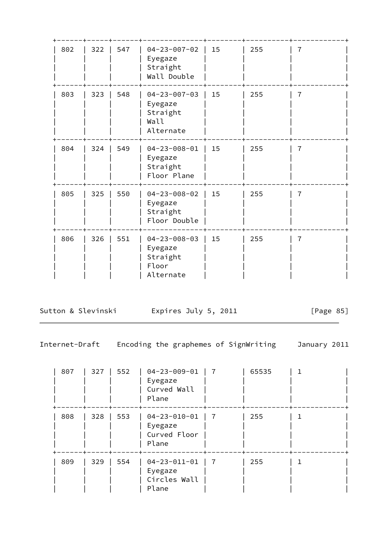| 802 | 322 | 547 | $04 - 23 - 007 - 02$<br>Eyegaze<br>Straight<br>Wall Double        | 15 | 255 | 7 |
|-----|-----|-----|-------------------------------------------------------------------|----|-----|---|
| 803 | 323 | 548 | $04 - 23 - 007 - 03$<br>Eyegaze<br>Straight<br>Wall<br>Alternate  | 15 | 255 | 7 |
| 804 | 324 | 549 | $04 - 23 - 008 - 01$<br>Eyegaze<br>Straight<br>Floor Plane        | 15 | 255 | 7 |
| 805 | 325 | 550 | $04 - 23 - 008 - 02$<br>Eyegaze<br>Straight<br>Floor Double       | 15 | 255 | 7 |
| 806 | 326 | 551 | $04 - 23 - 008 - 03$<br>Eyegaze<br>Straight<br>Floor<br>Alternate | 15 | 255 | 7 |

Sutton & Slevinski Expires July 5, 2011 [Page 85]

| 807 | 327 | 552 | $04 - 23 - 009 - 01$<br>Eyegaze<br>Curved Wall<br>Plane  | 7              | 65535 |  |
|-----|-----|-----|----------------------------------------------------------|----------------|-------|--|
| 808 | 328 | 553 | $04 - 23 - 010 - 01$<br>Eyegaze<br>Curved Floor<br>Plane |                | 255   |  |
| 809 | 329 | 554 | $04 - 23 - 011 - 01$<br>Eyegaze<br>Circles Wall<br>Plane | $\overline{7}$ | 255   |  |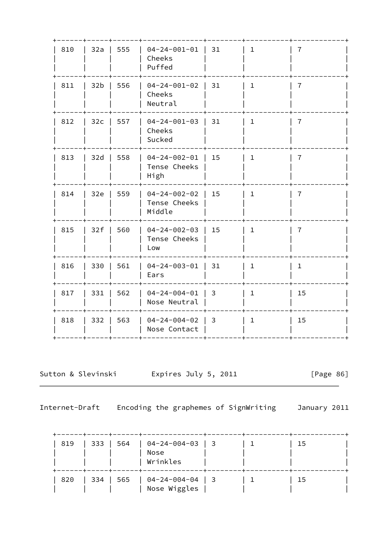| 810 | 32a | 555 | $04 - 24 - 001 - 01$<br>Cheeks<br>Puffed       | 31             | $\mathbf{1}$ | 7              |
|-----|-----|-----|------------------------------------------------|----------------|--------------|----------------|
| 811 | 32b | 556 | $04 - 24 - 001 - 02$<br>Cheeks<br>Neutral      | 31             | $\mathbf 1$  | 7              |
| 812 | 32c | 557 | $04 - 24 - 001 - 03$<br>Cheeks<br>Sucked       | 31             | $\mathbf{1}$ | $\overline{7}$ |
| 813 | 32d | 558 | $04 - 24 - 002 - 01$<br>Tense Cheeks<br>High   | 15             | $\mathbf{1}$ | 7              |
| 814 | 32e | 559 | $04 - 24 - 002 - 02$<br>Tense Cheeks<br>Middle | 15             | $\mathbf{1}$ | $\overline{7}$ |
| 815 | 32f | 560 | $04 - 24 - 002 - 03$<br>Tense Cheeks<br>Low    | 15             | $\mathbf{1}$ | 7              |
| 816 | 330 | 561 | $04 - 24 - 003 - 01$<br>Ears                   | 31             | $\mathbf{1}$ | $\mathbf{1}$   |
| 817 | 331 | 562 | $04 - 24 - 004 - 01$<br>Nose Neutral           | $\overline{3}$ | $\mathbf{1}$ | 15             |
| 818 | 332 | 563 | $04 - 24 - 004 - 02$<br>Nose Contact           | 3              | $\mathbf{1}$ | 15             |
|     |     |     |                                                |                |              |                |

Sutton & Slevinski Expires July 5, 2011

[Page 86]

| 819 | 333   564 | $\vert$ 04-24-004-03   3<br>Nose<br>Wrinkles         |  | 15 |  |
|-----|-----------|------------------------------------------------------|--|----|--|
| 820 |           | $\vert$ 334   565   04-24-004-04   3<br>Nose Wiggles |  | 15 |  |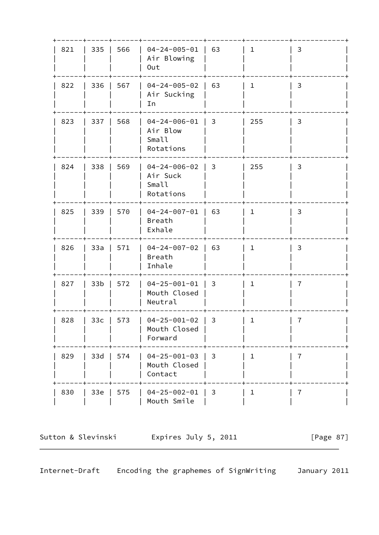| 821 | 335             | 566 | $04 - 24 - 005 - 01$<br>Air Blowing<br>Out             | 63             | $\mathbf{1}$ | 3              |  |
|-----|-----------------|-----|--------------------------------------------------------|----------------|--------------|----------------|--|
| 822 | 336             | 567 | $04 - 24 - 005 - 02$<br>Air Sucking<br>In              | 63             | $\mathbf{1}$ | 3              |  |
| 823 | 337             | 568 | $04 - 24 - 006 - 01$<br>Air Blow<br>Small<br>Rotations | 3              | 255          | 3              |  |
| 824 | 338             | 569 | $04 - 24 - 006 - 02$<br>Air Suck<br>Small<br>Rotations | $\overline{3}$ | 255          | 3              |  |
| 825 | 339             | 570 | $04 - 24 - 007 - 01$<br>Breath<br>Exhale               | 63             | $\mathbf{1}$ | 3              |  |
| 826 | 33a             | 571 | $04 - 24 - 007 - 02$<br>Breath<br>Inhale               | 63             | $\mathbf{1}$ | 3              |  |
| 827 | 33 <sub>b</sub> | 572 | $04 - 25 - 001 - 01$<br>Mouth Closed<br>Neutral        | 3              | $\mathbf{1}$ | 7              |  |
| 828 | 33 <sub>c</sub> | 573 | $04 - 25 - 001 - 02$<br>Mouth Closed<br>Forward        | 3              | $\mathbf 1$  | $\overline{7}$ |  |
| 829 | $33d$           | 574 | $04 - 25 - 001 - 03$<br>Mouth Closed<br>Contact        | 3              | $\mathbf{1}$ | 7              |  |
| 830 | $33e$           | 575 | $04 - 25 - 002 - 01$<br>Mouth Smile                    | 3              | $\mathbf{1}$ | $\overline{7}$ |  |

Sutton & Slevinski and Expires July 5, 2011 [Page 87]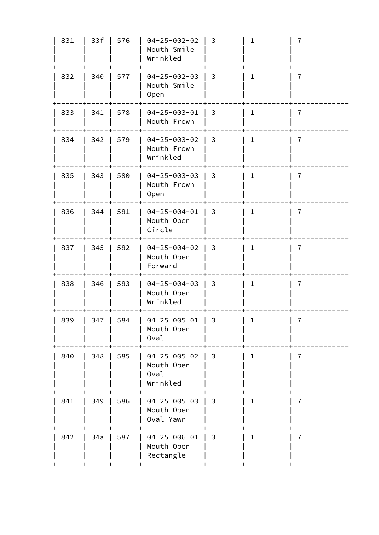| 831 | 33f | 576 | $04 - 25 - 002 - 02$<br>Mouth Smile<br>Wrinkled        | 3 | $\mathbf 1$  | 7              |  |
|-----|-----|-----|--------------------------------------------------------|---|--------------|----------------|--|
| 832 | 340 | 577 | $04 - 25 - 002 - 03$<br>Mouth Smile<br>Open            | 3 | $\mathbf 1$  | 7              |  |
| 833 | 341 | 578 | $04 - 25 - 003 - 01$<br>Mouth Frown                    | 3 | $\mathbf{1}$ | 7              |  |
| 834 | 342 | 579 | $04 - 25 - 003 - 02$<br>Mouth Frown<br>Wrinkled        | 3 | $\mathbf{1}$ | $\overline{7}$ |  |
| 835 | 343 | 580 | $04 - 25 - 003 - 03$<br>Mouth Frown<br><b>Open</b>     | 3 | $\mathbf 1$  | 7              |  |
| 836 | 344 | 581 | $04 - 25 - 004 - 01$<br>Mouth Open<br>Circle           | 3 | $\mathbf{1}$ | $\overline{7}$ |  |
| 837 | 345 | 582 | $04 - 25 - 004 - 02$<br>Mouth Open<br>Forward          | 3 | $\mathbf 1$  | 7              |  |
| 838 | 346 | 583 | $04 - 25 - 004 - 03$<br>Mouth Open<br>Wrinkled         | 3 | 1            | 7              |  |
| 839 | 347 | 584 | $04 - 25 - 005 - 01$<br>Mouth Open<br>Oval             | 3 | $\mathbf 1$  | $\overline{7}$ |  |
| 840 | 348 | 585 | $04 - 25 - 005 - 02$<br>Mouth Open<br>Oval<br>Wrinkled | 3 | $\mathbf{1}$ | $\overline{7}$ |  |
| 841 | 349 | 586 | $04 - 25 - 005 - 03$<br>Mouth Open<br>Oval Yawn        | 3 | $\mathbf{1}$ | $\overline{7}$ |  |
| 842 | 34a | 587 | $04 - 25 - 006 - 01$<br>Mouth Open<br>Rectangle        | 3 | 1            | 7              |  |
|     |     |     |                                                        |   |              |                |  |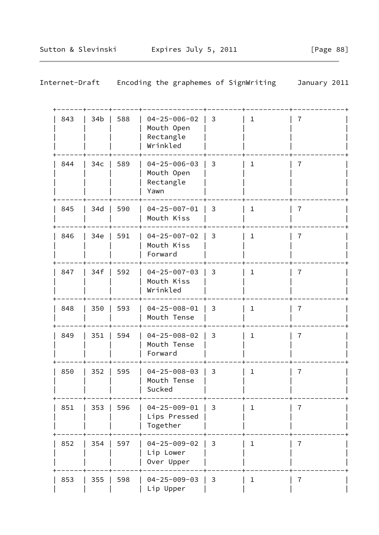| 843 | 34b             | 588 | $04 - 25 - 006 - 02$<br>Mouth Open<br>Rectangle<br>Wrinkled | 3              | $\mathbf{1}$ | 7 |
|-----|-----------------|-----|-------------------------------------------------------------|----------------|--------------|---|
| 844 | 34 <sub>c</sub> | 589 | $04 - 25 - 006 - 03$<br>Mouth Open<br>Rectangle<br>Yawn     | 3              | $\mathbf{1}$ | 7 |
| 845 | 34d             | 590 | $04 - 25 - 007 - 01$<br>Mouth Kiss                          | 3              | $\mathbf{1}$ | 7 |
| 846 | 34e             | 591 | $04 - 25 - 007 - 02$<br>Mouth Kiss<br>Forward               | 3              | $\mathbf{1}$ | 7 |
| 847 | 34f             | 592 | $04 - 25 - 007 - 03$<br>Mouth Kiss<br>Wrinkled              | 3              | $\mathbf{1}$ | 7 |
| 848 | 350             | 593 | $04 - 25 - 008 - 01$<br>Mouth Tense                         | 3              | $\mathbf{1}$ | 7 |
| 849 | 351             | 594 | $04 - 25 - 008 - 02$<br>Mouth Tense<br>Forward              | 3              | $\mathbf{1}$ | 7 |
| 850 | 352             | 595 | $04 - 25 - 008 - 03$<br>Mouth Tense<br>Sucked               | 3              | $\mathbf{1}$ | 7 |
| 851 | 353             | 596 | $04 - 25 - 009 - 01$<br>Lips Pressed<br>Together            | $\overline{3}$ | $\mathbf{1}$ | 7 |
| 852 | 354             | 597 | $04 - 25 - 009 - 02$<br>Lip Lower<br>Over Upper             | 3              | $\mathbf{1}$ | 7 |
| 853 | 355             | 598 | $04 - 25 - 009 - 03$<br>Lip Upper                           | $\overline{3}$ | $\mathbf 1$  | 7 |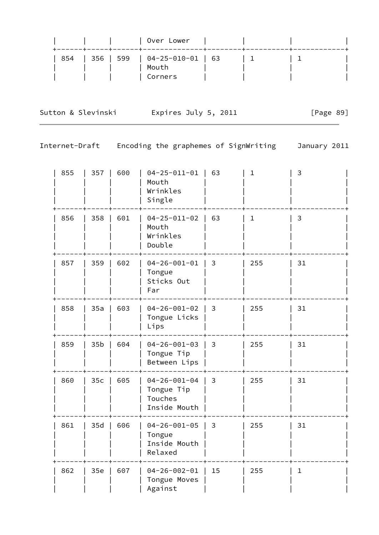|  |  | Over Lower<br>-----+-----+------+--------------- |  |  |
|--|--|--------------------------------------------------|--|--|
|  |  | 854   356   599   04-25-010-01   63              |  |  |
|  |  | Mouth                                            |  |  |
|  |  | Corners                                          |  |  |

Sutton & Slevinski Fxpires July 5, 2011 [Page 89]

| 855 | 357             | 600 | $04 - 25 - 011 - 01$<br>Mouth<br>Wrinkles<br>Single           | 63             | $\mathbf{1}$ | 3            |
|-----|-----------------|-----|---------------------------------------------------------------|----------------|--------------|--------------|
| 856 | 358             | 601 | $04 - 25 - 011 - 02$<br>Mouth<br>Wrinkles<br>Double           | 63             | 1            | 3            |
| 857 | 359             | 602 | $04 - 26 - 001 - 01$<br>Tongue<br>Sticks Out<br>Far           | 3              | 255          | 31           |
| 858 | 35a             | 603 | $04 - 26 - 001 - 02$<br>Tongue Licks<br>Lips                  | 3              | 255          | 31           |
| 859 | 35 <sub>b</sub> | 604 | $04 - 26 - 001 - 03$<br>Tongue Tip<br>Between Lips            | 3              | 255          | 31           |
| 860 | $35c$           | 605 | $04 - 26 - 001 - 04$<br>Tongue Tip<br>Touches<br>Inside Mouth | $\mathbf{3}$   | 255          | 31           |
| 861 | 35d             | 606 | $04 - 26 - 001 - 05$<br>Tongue<br>Inside Mouth<br>Relaxed     | $\overline{3}$ | 255          | 31           |
| 862 | $35e$           | 607 | $04 - 26 - 002 - 01$<br>Tongue Moves<br>Against               | 15             | 255          | $\mathbf{1}$ |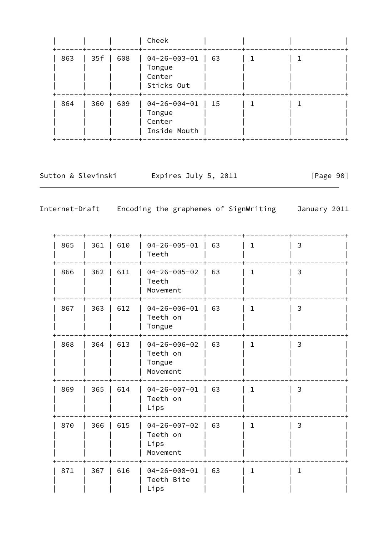|     |      |     | Cheek                                                         |                                                               |  |  |
|-----|------|-----|---------------------------------------------------------------|---------------------------------------------------------------|--|--|
| 863 | 35 f | 608 | 04-26-003-01<br>Tongue<br>Center<br>Sticks Out                | $\begin{array}{cc} \begin{array}{cc} \end{array} \end{array}$ |  |  |
| 864 | 360  | 609 | $04 - 26 - 004 - 01$   15<br>Tongue<br>Center<br>Inside Mouth |                                                               |  |  |

Sutton & Slevinski and Expires July 5, 2011 [Page 90]

| 865 | 361 | 610 | $04 - 26 - 005 - 01$<br>Teeth                          | 63 | 1            | 3            |
|-----|-----|-----|--------------------------------------------------------|----|--------------|--------------|
| 866 | 362 | 611 | $04 - 26 - 005 - 02$<br>Teeth<br>Movement              | 63 | $\mathbf{1}$ | 3            |
| 867 | 363 | 612 | $04 - 26 - 006 - 01$<br>Teeth on<br>Tongue             | 63 | 1            | 3            |
| 868 | 364 | 613 | $04 - 26 - 006 - 02$<br>Teeth on<br>Tongue<br>Movement | 63 | $\mathbf{1}$ | 3            |
| 869 | 365 | 614 | $04 - 26 - 007 - 01$<br>Teeth on<br>Lips               | 63 | $\mathbf{1}$ | 3            |
| 870 | 366 | 615 | $04 - 26 - 007 - 02$<br>Teeth on<br>Lips<br>Movement   | 63 | $\mathbf 1$  | 3            |
| 871 | 367 | 616 | $04 - 26 - 008 - 01$<br>Teeth Bite<br>Lips             | 63 | $\mathbf 1$  | $\mathbf{1}$ |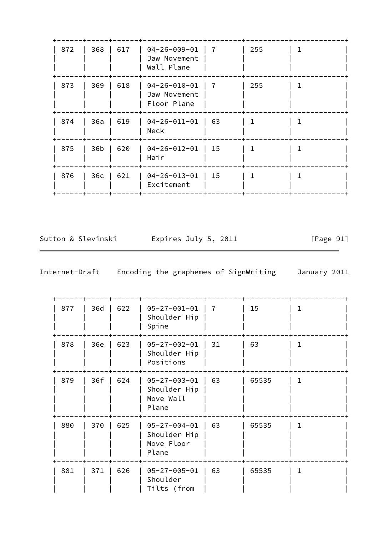| 872 | 368             | 617 | $04 - 26 - 009 - 01$<br>Jaw Movement<br>Wall Plane  | 7  | 255 |  |
|-----|-----------------|-----|-----------------------------------------------------|----|-----|--|
| 873 | 369             | 618 | $04 - 26 - 010 - 01$<br>Jaw Movement<br>Floor Plane | 7  | 255 |  |
| 874 | 36a             | 619 | $04 - 26 - 011 - 01$<br>Neck                        | 63 | 1.  |  |
| 875 | 36b             | 620 | $04 - 26 - 012 - 01$<br>Hair                        | 15 |     |  |
| 876 | 36 <sub>c</sub> | 621 | $04 - 26 - 013 - 01$<br>Excitement                  | 15 |     |  |

Sutton & Slevinski Fxpires July 5, 2011 [Page 91]

| 877 | 36d | 622 | $05 - 27 - 001 - 01$<br>Shoulder Hip<br>Spine               | 7  | 15    | 1            |
|-----|-----|-----|-------------------------------------------------------------|----|-------|--------------|
| 878 | 36e | 623 | $05 - 27 - 002 - 01$<br>Shoulder Hip<br>Positions           | 31 | 63    | L            |
| 879 | 36f | 624 | $05 - 27 - 003 - 01$<br>Shoulder Hip<br>Move Wall<br>Plane  | 63 | 65535 | 1            |
| 880 | 370 | 625 | $05 - 27 - 004 - 01$<br>Shoulder Hip<br>Move Floor<br>Plane | 63 | 65535 | $\mathbf{1}$ |
| 881 | 371 | 626 | $05 - 27 - 005 - 01$<br>Shoulder<br>Tilts (from             | 63 | 65535 | $\mathbf{1}$ |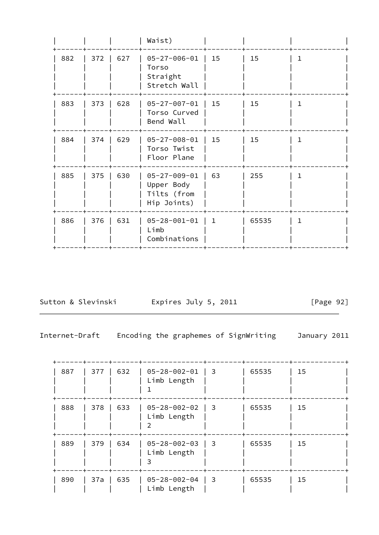|     |     |     | Waist)                                                           |              |       |              |
|-----|-----|-----|------------------------------------------------------------------|--------------|-------|--------------|
| 882 | 372 | 627 | $05 - 27 - 006 - 01$<br>Torso<br>Straight<br>Stretch Wall        | 15           | 15    | 1.           |
| 883 | 373 | 628 | $05 - 27 - 007 - 01$<br>Torso Curved<br>Bend Wall                | 15           | 15    | 1            |
| 884 | 374 | 629 | $05 - 27 - 008 - 01$<br>Torso Twist<br>Floor Plane               | 15           | 15    | $\mathbf 1$  |
| 885 | 375 | 630 | $05 - 27 - 009 - 01$<br>Upper Body<br>Tilts (from<br>Hip Joints) | 63           | 255   | $\mathbf{1}$ |
| 886 | 376 | 631 | $05 - 28 - 001 - 01$<br>Limb<br>Combinations                     | $\mathbf{1}$ | 65535 | $\mathbf{1}$ |

Sutton & Slevinski Expires July 5, 2011 [Page 92]

Internet-Draft Encoding the graphemes of SignWriting January 2011

 +------+-----+------+--------------+--------+----------+------------+ | 887 | 377 | 632 | 05-28-002-01 | 3 | 65535 | 15 | | | | | Limb Length | | | | | | | | 1 | | | | +------+-----+------+--------------+--------+----------+------------+ | 888 | 378 | 633 | 05-28-002-02 | 3 | 65535 | 15 | | | | | Limb Length | | | | | | | | 2 | | | | +------+-----+------+--------------+--------+----------+------------+ | 889 | 379 | 634 | 05-28-002-03 | 3 | 65535 | 15 | | | | | Limb Length | | | | | | | | 3 | | | | +------+-----+------+--------------+--------+----------+------------+ | 890 | 37a | 635 | 05-28-002-04 | 3 | 65535 | 15 | | | | | Limb Length | | | |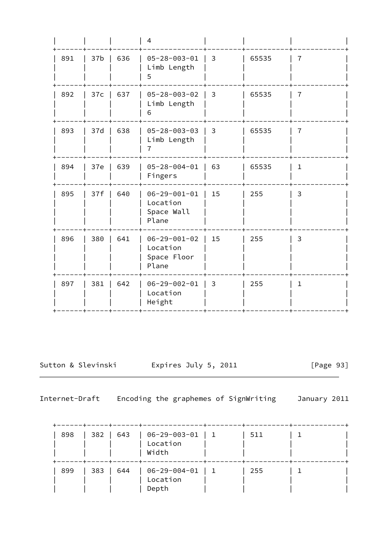|     |                 |     | $\overline{4}$                                           |    |       |                |
|-----|-----------------|-----|----------------------------------------------------------|----|-------|----------------|
| 891 | 37 <sub>b</sub> | 636 | $05 - 28 - 003 - 01$<br>Limb Length<br>5                 | 3  | 65535 | 7              |
| 892 | 37c             | 637 | $05 - 28 - 003 - 02$<br>Limb Length<br>6                 | 3  | 65535 | 7              |
| 893 | 37d             | 638 | $05 - 28 - 003 - 03$<br>Limb Length<br>$\overline{7}$    | 3  | 65535 | $\overline{7}$ |
| 894 | 37e             | 639 | $05 - 28 - 004 - 01$<br>Fingers                          | 63 | 65535 | $\mathbf 1$    |
| 895 | 37f             | 640 | $06 - 29 - 001 - 01$<br>Location<br>Space Wall<br>Plane  | 15 | 255   | 3              |
| 896 | 380             | 641 | $06 - 29 - 001 - 02$<br>Location<br>Space Floor<br>Plane | 15 | 255   | 3              |
| 897 | 381             | 642 | $06 - 29 - 002 - 01$<br>Location<br>Height               | 3  | 255   | $1\,$          |

Sutton & Slevinski Expires July 5, 2011 [Page 93]

| 898 | 382   643 | ----+-----+-----+ | $  06 - 29 - 003 - 01   1$<br>Location<br>Width     | 511 |  |
|-----|-----------|-------------------|-----------------------------------------------------|-----|--|
| 899 | 383   644 |                   | $\vert$ 06-29-004-01 $\vert$ 1<br>Location<br>Depth | 255 |  |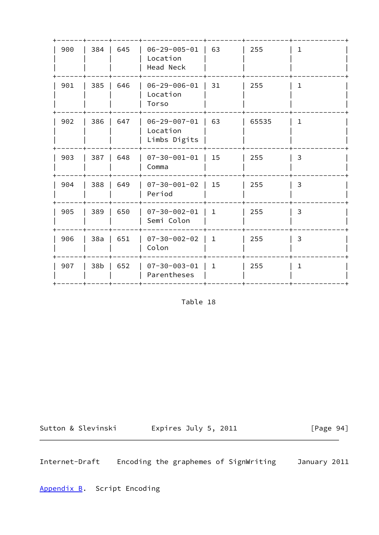| 900 | 384   | 645 | $06 - 29 - 005 - 01$<br>Location<br>Head Neck    | 63           | 255   | ı            |
|-----|-------|-----|--------------------------------------------------|--------------|-------|--------------|
| 901 | 385   | 646 | $06 - 29 - 006 - 01$<br>Location<br>Torso        | 31           | 255   | $\mathbf{1}$ |
| 902 | 386   | 647 | $06 - 29 - 007 - 01$<br>Location<br>Limbs Digits | 63           | 65535 | $\mathbf{1}$ |
| 903 | 387   | 648 | $07 - 30 - 001 - 01$<br>Comma                    | 15           | 255   | 3            |
| 904 | 388   | 649 | $07 - 30 - 001 - 02$<br>Period                   | 15           | 255   | 3            |
| 905 | 389   | 650 | $07 - 30 - 002 - 01$<br>Semi Colon               | $\mathbf{1}$ | 255   | 3            |
| 906 | 38a   | 651 | $07 - 30 - 002 - 02$<br>Colon                    | $\mathbf{1}$ | 255   | 3            |
| 907 | $38b$ | 652 | $07 - 30 - 003 - 01$<br>Parentheses              | $\mathbf{1}$ | 255   | $\mathbf{1}$ |
|     |       |     |                                                  |              |       |              |

Table 18

Sutton & Slevinski Expires July 5, 2011 [Page 94]

Internet-Draft Encoding the graphemes of SignWriting January 2011

<span id="page-106-0"></span>[Appendix B.](#page-106-0) Script Encoding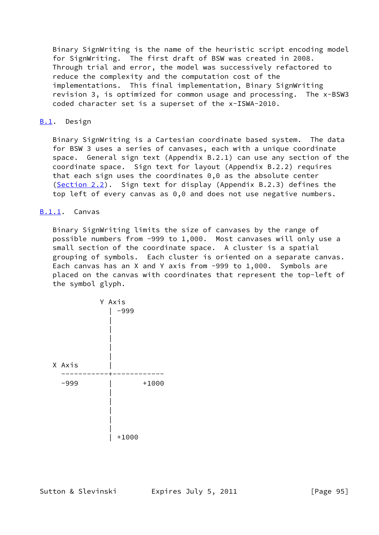Binary SignWriting is the name of the heuristic script encoding model for SignWriting. The first draft of BSW was created in 2008. Through trial and error, the model was successively refactored to reduce the complexity and the computation cost of the implementations. This final implementation, Binary SignWriting revision 3, is optimized for common usage and processing. The x-BSW3 coded character set is a superset of the x-ISWA-2010.

## <span id="page-107-0"></span>[B.1](#page-107-0). Design

 Binary SignWriting is a Cartesian coordinate based system. The data for BSW 3 uses a series of canvases, each with a unique coordinate space. General sign text (Appendix B.2.1) can use any section of the coordinate space. Sign text for layout (Appendix B.2.2) requires that each sign uses the coordinates 0,0 as the absolute center [\(Section 2.2](#page-8-0)). Sign text for display (Appendix B.2.3) defines the top left of every canvas as 0,0 and does not use negative numbers.

## <span id="page-107-1"></span>[B.1.1](#page-107-1). Canvas

 Binary SignWriting limits the size of canvases by the range of possible numbers from -999 to 1,000. Most canvases will only use a small section of the coordinate space. A cluster is a spatial grouping of symbols. Each cluster is oriented on a separate canvas. Each canvas has an X and Y axis from -999 to 1,000. Symbols are placed on the canvas with coordinates that represent the top-left of the symbol glyph.

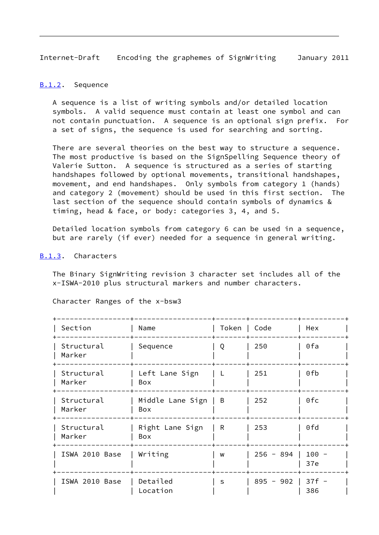Internet-Draft Encoding the graphemes of SignWriting January 2011

### <span id="page-108-0"></span>[B.1.2](#page-108-0). Sequence

 A sequence is a list of writing symbols and/or detailed location symbols. A valid sequence must contain at least one symbol and can not contain punctuation. A sequence is an optional sign prefix. For a set of signs, the sequence is used for searching and sorting.

There are several theories on the best way to structure a sequence. The most productive is based on the SignSpelling Sequence theory of Valerie Sutton. A sequence is structured as a series of starting handshapes followed by optional movements, transitional handshapes, movement, and end handshapes. Only symbols from category 1 (hands) and category 2 (movement) should be used in this first section. The last section of the sequence should contain symbols of dynamics & timing, head & face, or body: categories 3, 4, and 5.

 Detailed location symbols from category 6 can be used in a sequence, but are rarely (if ever) needed for a sequence in general writing.

#### <span id="page-108-1"></span>[B.1.3](#page-108-1). Characters

 The Binary SignWriting revision 3 character set includes all of the x-ISWA-2010 plus structural markers and number characters.

| Section              | Name                    | Token   Code |             | Hex            |  |
|----------------------|-------------------------|--------------|-------------|----------------|--|
| Structural<br>Marker | Sequence                | Q            | 250         | 0fa            |  |
| Structural<br>Marker | Left Lane Sign<br>Box   | L            | 251         | 0fb            |  |
| Structural<br>Marker | Middle Lane Sign<br>Box | B            | 252         | 0fc            |  |
| Structural<br>Marker | Right Lane Sign<br>Box  | R            | 253         | 0fd            |  |
| ISWA 2010 Base       | Writing                 | W            | $256 - 894$ | $100 -$<br>37e |  |
| ISWA 2010 Base       | Detailed<br>Location    | S            | $895 - 902$ | $37f -$<br>386 |  |

Character Ranges of the x-bsw3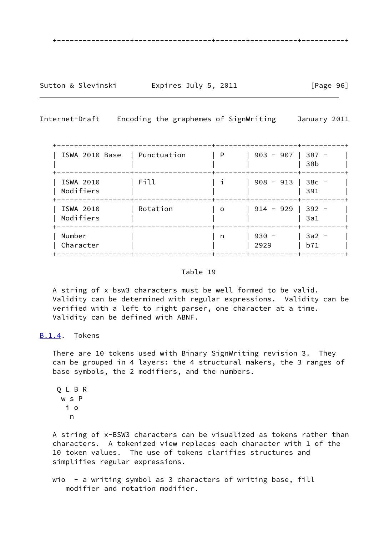Sutton & Slevinski Fxpires July 5, 2011 [Page 96]

Internet-Draft Encoding the graphemes of SignWriting January 2011

| ISWA 2010 Base         | Punctuation | P        | $903 - 907$     | $387 -$<br>38b |
|------------------------|-------------|----------|-----------------|----------------|
| ISWA 2010<br>Modifiers | Fill        |          | $908 - 913$     | $38c -$<br>391 |
| ISWA 2010<br>Modifiers | Rotation    | $\Omega$ | $914 - 929$     | $392 -$<br>3a1 |
| Number<br>Character    |             | n        | $930 -$<br>2929 | $3a2 -$<br>b71 |

# Table 19

 A string of x-bsw3 characters must be well formed to be valid. Validity can be determined with regular expressions. Validity can be verified with a left to right parser, one character at a time. Validity can be defined with ABNF.

# <span id="page-109-0"></span>[B.1.4](#page-109-0). Tokens

 There are 10 tokens used with Binary SignWriting revision 3. They can be grouped in 4 layers: the 4 structural makers, the 3 ranges of base symbols, the 2 modifiers, and the numbers.

 Q L B R w s P i o n

 A string of x-BSW3 characters can be visualized as tokens rather than characters. A tokenized view replaces each character with 1 of the 10 token values. The use of tokens clarifies structures and simplifies regular expressions.

wio - a writing symbol as 3 characters of writing base, fill modifier and rotation modifier.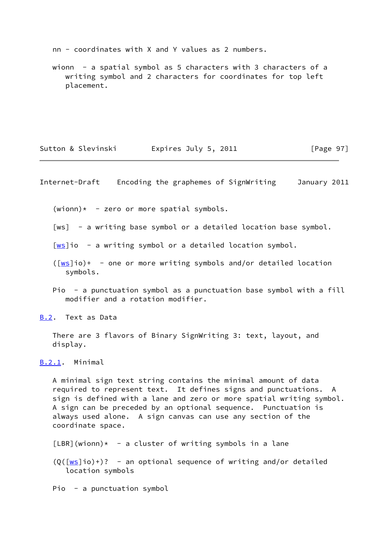nn - coordinates with X and Y values as 2 numbers.

 wionn - a spatial symbol as 5 characters with 3 characters of a writing symbol and 2 characters for coordinates for top left placement.

Sutton & Slevinski Fxpires July 5, 2011 [Page 97]

Internet-Draft Encoding the graphemes of SignWriting January 2011

 $(wionn)* - zero or more spatial symbols.$ 

<span id="page-110-0"></span>[ws] - a writing base symbol or a detailed location base symbol.

 $\lceil \frac{ws}{s} \rceil$  - a writing symbol or a detailed location symbol.

- $(\lceil \text{ws}\rceil i_0)$ + one or more writing symbols and/or detailed location symbols.
- Pio a punctuation symbol as a punctuation base symbol with a fill modifier and a rotation modifier.

<span id="page-110-1"></span>[B.2](#page-110-1). Text as Data

 There are 3 flavors of Binary SignWriting 3: text, layout, and display.

<span id="page-110-2"></span>[B.2.1](#page-110-2). Minimal

 A minimal sign text string contains the minimal amount of data required to represent text. It defines signs and punctuations. A sign is defined with a lane and zero or more spatial writing symbol. A sign can be preceded by an optional sequence. Punctuation is always used alone. A sign canvas can use any section of the coordinate space.

 $[LBR]$ (wionn)\* - a cluster of writing symbols in a lane

 $(Q([\omega s]io)^+)?$  - an optional sequence of writing and/or detailed location symbols

Pio - a punctuation symbol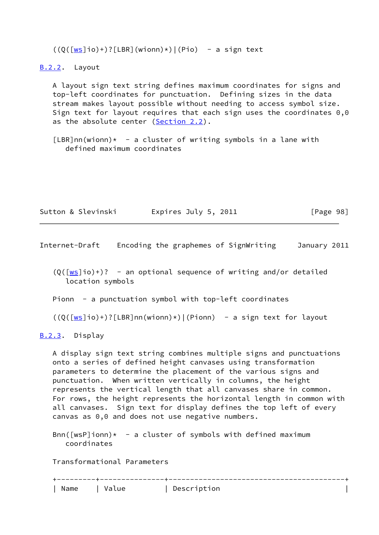$((Q([\underline{ws}]io)+)?[LBR](winon))*)|(Pio) - a sign text$ 

<span id="page-111-0"></span>[B.2.2](#page-111-0). Layout

 A layout sign text string defines maximum coordinates for signs and top-left coordinates for punctuation. Defining sizes in the data stream makes layout possible without needing to access symbol size. Sign text for layout requires that each sign uses the coordinates 0,0 as the absolute center [\(Section 2.2](#page-8-0)).

 $[LBR]nn(wionn)* - a cluster of writing symbols in a lane with$ defined maximum coordinates

| Sutton & Slevinski | Expires July 5, 2011 | [Page 98] |
|--------------------|----------------------|-----------|
|--------------------|----------------------|-----------|

Internet-Draft Encoding the graphemes of SignWriting January 2011

 $(0([ws]io)+)?$  $(0([ws]io)+)?$  $(0([ws]io)+)?$  - an optional sequence of writing and/or detailed location symbols

Pionn - a punctuation symbol with top-left coordinates

```
((Q([\underline{ws}]io)+)?[LBR]nn(wionn)*)|(Pionn) - a sign text for layout
```
<span id="page-111-1"></span>[B.2.3](#page-111-1). Display

 A display sign text string combines multiple signs and punctuations onto a series of defined height canvases using transformation parameters to determine the placement of the various signs and punctuation. When written vertically in columns, the height represents the vertical length that all canvases share in common. For rows, the height represents the horizontal length in common with all canvases. Sign text for display defines the top left of every canvas as 0,0 and does not use negative numbers.

 $Bnn([wsP]ionn)* - a cluster of symbols with defined maximum$ coordinates

Transformational Parameters

|        | - - - |  |
|--------|-------|--|
| ______ | __    |  |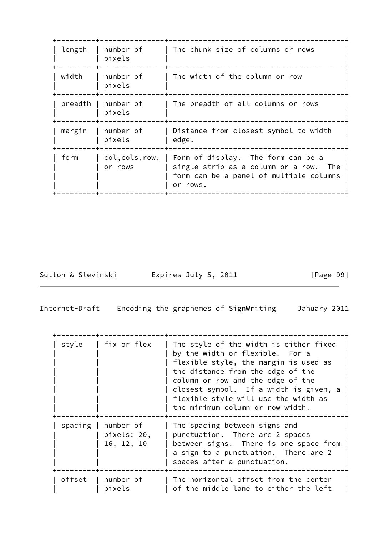| length | number of<br>pixels           | The chunk size of columns or rows                                                                                                      |
|--------|-------------------------------|----------------------------------------------------------------------------------------------------------------------------------------|
| width  | number of<br>pixels           | The width of the column or row                                                                                                         |
|        | breadth   number of<br>pixels | The breadth of all columns or rows                                                                                                     |
| margin | number of<br>pixels           | Distance from closest symbol to width<br>edge.                                                                                         |
| form   | col,cols,row,<br>or rows      | Form of display. The form can be a<br>single strip as a column or a row.<br>The<br>form can be a panel of multiple columns<br>or rows. |

Sutton & Slevinski Expires July 5, 2011 [Page 99]

Internet-Draft Encoding the graphemes of SignWriting January 2011

| style  | fix or flex                                        | The style of the width is either fixed<br>by the width or flexible. For a<br>flexible style, the margin is used as<br>the distance from the edge of the<br>column or row and the edge of the<br>closest symbol. If a width is given, a<br>flexible style will use the width as<br>the minimum column or row width. |
|--------|----------------------------------------------------|--------------------------------------------------------------------------------------------------------------------------------------------------------------------------------------------------------------------------------------------------------------------------------------------------------------------|
|        | spacing $ $ number of<br>pixels: 20,<br>16, 12, 10 | The spacing between signs and<br>punctuation. There are 2 spaces<br>between signs. There is one space from<br>a sign to a punctuation. There are 2<br>spaces after a punctuation.                                                                                                                                  |
| offset | number of<br>pixels                                | The horizontal offset from the center<br>of the middle lane to either the left                                                                                                                                                                                                                                     |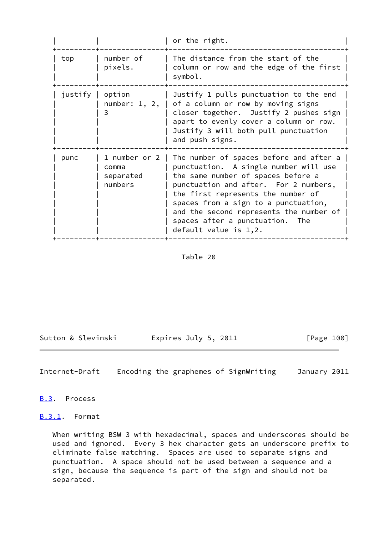|         |                                                | or the right.                                                                                                                                                                                                                                                                                                                                          |
|---------|------------------------------------------------|--------------------------------------------------------------------------------------------------------------------------------------------------------------------------------------------------------------------------------------------------------------------------------------------------------------------------------------------------------|
| top     | number of<br>pixels.                           | The distance from the start of the<br>column or row and the edge of the first<br>symbol.                                                                                                                                                                                                                                                               |
| justify | option<br>number: $1, 2,$<br>3                 | Justify 1 pulls punctuation to the end<br>of a column or row by moving signs<br>closer together. Justify 2 pushes sign<br>apart to evenly cover a column or row.<br>Justify 3 will both pull punctuation<br>and push signs.                                                                                                                            |
| punc    | 1 number or 2<br>comma<br>separated<br>numbers | The number of spaces before and after a<br>punctuation. A single number will use<br>the same number of spaces before a<br>punctuation and after. For 2 numbers,<br>the first represents the number of<br>spaces from a sign to a punctuation,<br>and the second represents the number of<br>spaces after a punctuation. The<br>default value is $1,2.$ |

## Table 20

Sutton & Slevinski Fxpires July 5, 2011 [Page 100]

Internet-Draft Encoding the graphemes of SignWriting January 2011

<span id="page-113-0"></span>[B.3](#page-113-0). Process

<span id="page-113-1"></span>**[B.3.1](#page-113-1).** Format

 When writing BSW 3 with hexadecimal, spaces and underscores should be used and ignored. Every 3 hex character gets an underscore prefix to eliminate false matching. Spaces are used to separate signs and punctuation. A space should not be used between a sequence and a sign, because the sequence is part of the sign and should not be separated.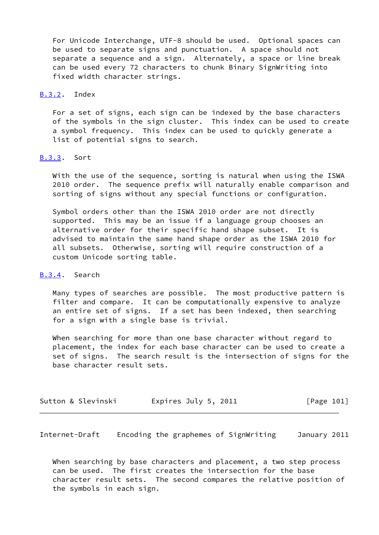For Unicode Interchange, UTF-8 should be used. Optional spaces can be used to separate signs and punctuation. A space should not separate a sequence and a sign. Alternately, a space or line break can be used every 72 characters to chunk Binary SignWriting into fixed width character strings.

### <span id="page-114-0"></span>[B.3.2](#page-114-0). Index

 For a set of signs, each sign can be indexed by the base characters of the symbols in the sign cluster. This index can be used to create a symbol frequency. This index can be used to quickly generate a list of potential signs to search.

# <span id="page-114-1"></span>[B.3.3](#page-114-1). Sort

 With the use of the sequence, sorting is natural when using the ISWA 2010 order. The sequence prefix will naturally enable comparison and sorting of signs without any special functions or configuration.

 Symbol orders other than the ISWA 2010 order are not directly supported. This may be an issue if a language group chooses an alternative order for their specific hand shape subset. It is advised to maintain the same hand shape order as the ISWA 2010 for all subsets. Otherwise, sorting will require construction of a custom Unicode sorting table.

#### <span id="page-114-2"></span>[B.3.4](#page-114-2). Search

 Many types of searches are possible. The most productive pattern is filter and compare. It can be computationally expensive to analyze an entire set of signs. If a set has been indexed, then searching for a sign with a single base is trivial.

 When searching for more than one base character without regard to placement, the index for each base character can be used to create a set of signs. The search result is the intersection of signs for the base character result sets.

| Sutton & Slevinski | Expires July 5, 2011 | [Page 101] |
|--------------------|----------------------|------------|
|--------------------|----------------------|------------|

Internet-Draft Encoding the graphemes of SignWriting January 2011

 When searching by base characters and placement, a two step process can be used. The first creates the intersection for the base character result sets. The second compares the relative position of the symbols in each sign.